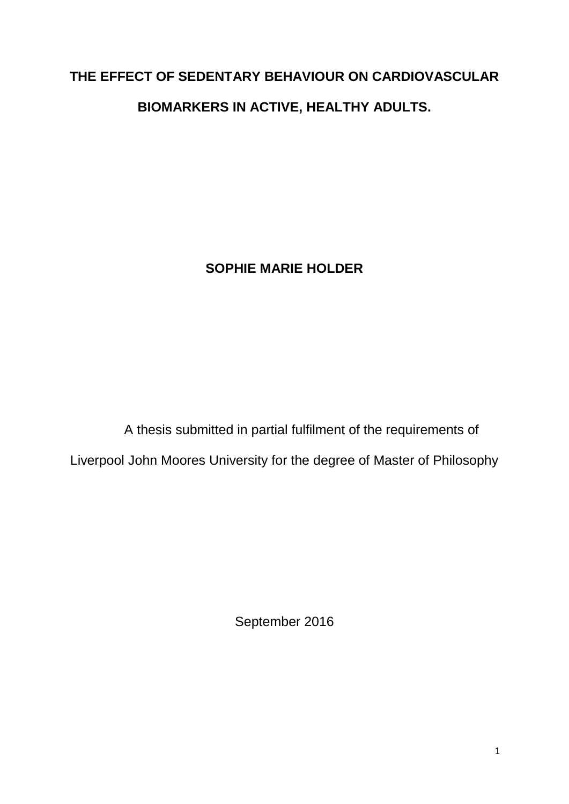# **THE EFFECT OF SEDENTARY BEHAVIOUR ON CARDIOVASCULAR BIOMARKERS IN ACTIVE, HEALTHY ADULTS.**

**SOPHIE MARIE HOLDER**

A thesis submitted in partial fulfilment of the requirements of Liverpool John Moores University for the degree of Master of Philosophy

September 2016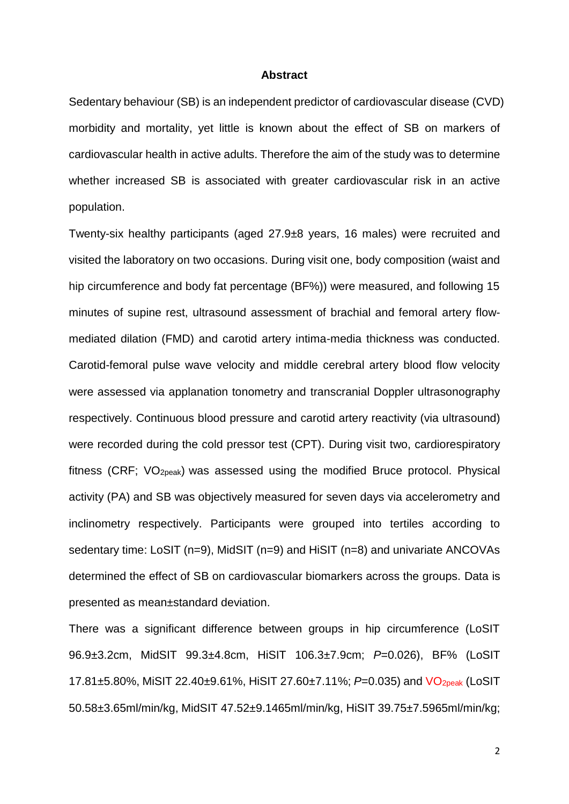#### **Abstract**

Sedentary behaviour (SB) is an independent predictor of cardiovascular disease (CVD) morbidity and mortality, yet little is known about the effect of SB on markers of cardiovascular health in active adults. Therefore the aim of the study was to determine whether increased SB is associated with greater cardiovascular risk in an active population.

Twenty-six healthy participants (aged 27.9±8 years, 16 males) were recruited and visited the laboratory on two occasions. During visit one, body composition (waist and hip circumference and body fat percentage (BF%)) were measured, and following 15 minutes of supine rest, ultrasound assessment of brachial and femoral artery flowmediated dilation (FMD) and carotid artery intima-media thickness was conducted. Carotid-femoral pulse wave velocity and middle cerebral artery blood flow velocity were assessed via applanation tonometry and transcranial Doppler ultrasonography respectively. Continuous blood pressure and carotid artery reactivity (via ultrasound) were recorded during the cold pressor test (CPT). During visit two, cardiorespiratory fitness (CRF; VO2peak) was assessed using the modified Bruce protocol. Physical activity (PA) and SB was objectively measured for seven days via accelerometry and inclinometry respectively. Participants were grouped into tertiles according to sedentary time: LoSIT (n=9), MidSIT (n=9) and HiSIT (n=8) and univariate ANCOVAs determined the effect of SB on cardiovascular biomarkers across the groups. Data is presented as mean±standard deviation.

There was a significant difference between groups in hip circumference (LoSIT 96.9±3.2cm, MidSIT 99.3±4.8cm, HiSIT 106.3±7.9cm; *P*=0.026), BF% (LoSIT 17.81±5.80%, MiSIT 22.40±9.61%, HiSIT 27.60±7.11%; *P*=0.035) and VO2peak (LoSIT 50.58±3.65ml/min/kg, MidSIT 47.52±9.1465ml/min/kg, HiSIT 39.75±7.5965ml/min/kg;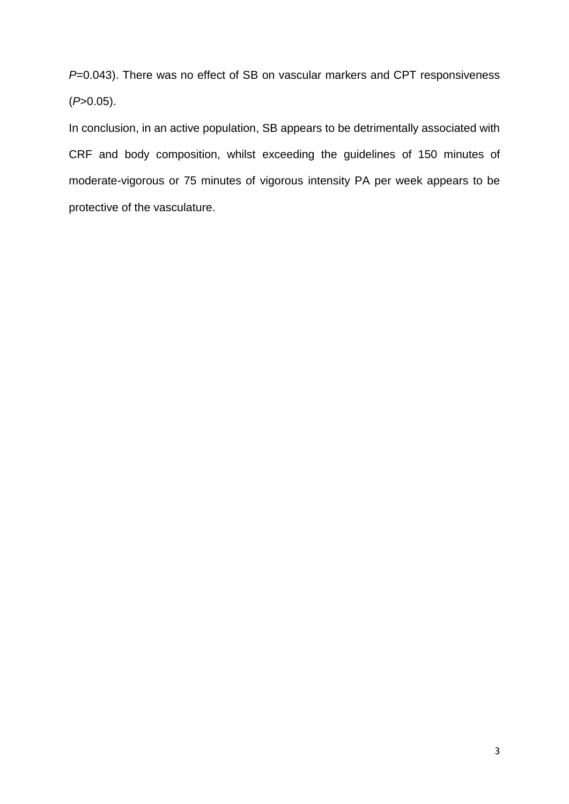*P*=0.043). There was no effect of SB on vascular markers and CPT responsiveness (*P*>0.05).

In conclusion, in an active population, SB appears to be detrimentally associated with CRF and body composition, whilst exceeding the guidelines of 150 minutes of moderate-vigorous or 75 minutes of vigorous intensity PA per week appears to be protective of the vasculature.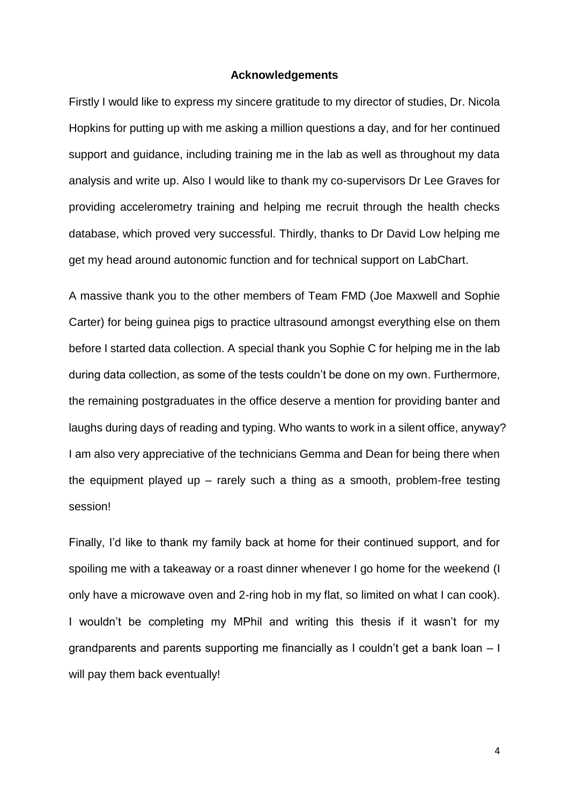#### **Acknowledgements**

Firstly I would like to express my sincere gratitude to my director of studies, Dr. Nicola Hopkins for putting up with me asking a million questions a day, and for her continued support and guidance, including training me in the lab as well as throughout my data analysis and write up. Also I would like to thank my co-supervisors Dr Lee Graves for providing accelerometry training and helping me recruit through the health checks database, which proved very successful. Thirdly, thanks to Dr David Low helping me get my head around autonomic function and for technical support on LabChart.

A massive thank you to the other members of Team FMD (Joe Maxwell and Sophie Carter) for being guinea pigs to practice ultrasound amongst everything else on them before I started data collection. A special thank you Sophie C for helping me in the lab during data collection, as some of the tests couldn't be done on my own. Furthermore, the remaining postgraduates in the office deserve a mention for providing banter and laughs during days of reading and typing. Who wants to work in a silent office, anyway? I am also very appreciative of the technicians Gemma and Dean for being there when the equipment played up – rarely such a thing as a smooth, problem-free testing session!

Finally, I'd like to thank my family back at home for their continued support, and for spoiling me with a takeaway or a roast dinner whenever I go home for the weekend (I only have a microwave oven and 2-ring hob in my flat, so limited on what I can cook). I wouldn't be completing my MPhil and writing this thesis if it wasn't for my grandparents and parents supporting me financially as I couldn't get a bank loan – I will pay them back eventually!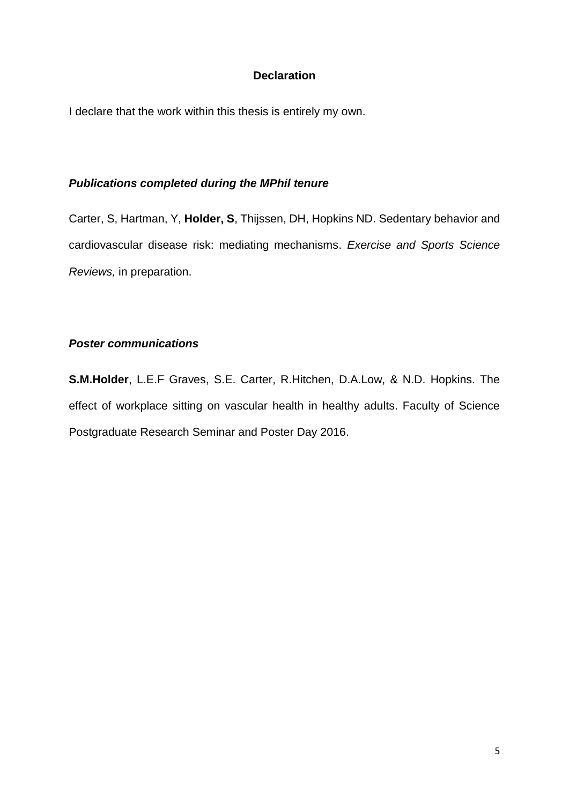#### **Declaration**

I declare that the work within this thesis is entirely my own.

#### *Publications completed during the MPhil tenure*

Carter, S, Hartman, Y, **Holder, S**, Thijssen, DH, Hopkins ND. Sedentary behavior and cardiovascular disease risk: mediating mechanisms. *Exercise and Sports Science Reviews,* in preparation.

#### *Poster communications*

**S.M.Holder**, L.E.F Graves, S.E. Carter, R.Hitchen, D.A.Low, & N.D. Hopkins. The effect of workplace sitting on vascular health in healthy adults. Faculty of Science Postgraduate Research Seminar and Poster Day 2016.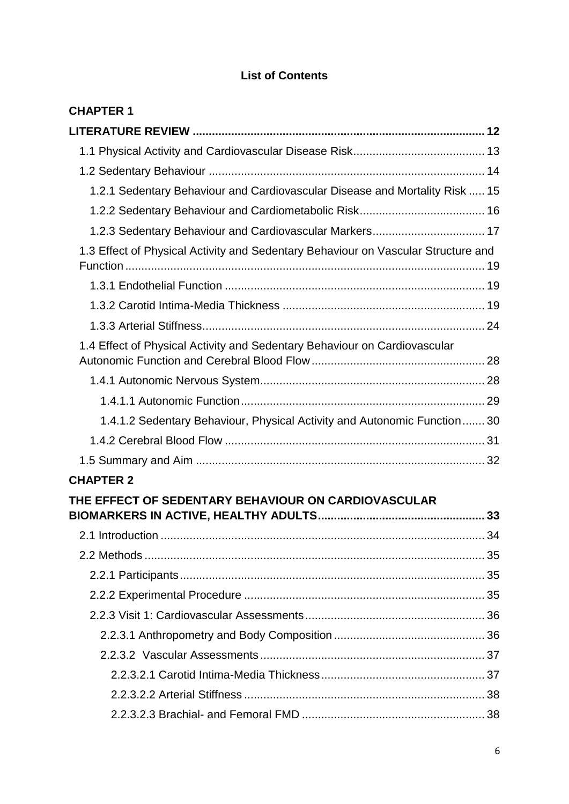## **List of Contents**

| <b>CHAPTER 1</b>                                                                  |  |
|-----------------------------------------------------------------------------------|--|
|                                                                                   |  |
|                                                                                   |  |
|                                                                                   |  |
| 1.2.1 Sedentary Behaviour and Cardiovascular Disease and Mortality Risk  15       |  |
|                                                                                   |  |
| 1.2.3 Sedentary Behaviour and Cardiovascular Markers 17                           |  |
| 1.3 Effect of Physical Activity and Sedentary Behaviour on Vascular Structure and |  |
|                                                                                   |  |
|                                                                                   |  |
|                                                                                   |  |
| 1.4 Effect of Physical Activity and Sedentary Behaviour on Cardiovascular         |  |
|                                                                                   |  |
|                                                                                   |  |
| 1.4.1.2 Sedentary Behaviour, Physical Activity and Autonomic Function 30          |  |
|                                                                                   |  |
|                                                                                   |  |
| <b>CHAPTER 2</b>                                                                  |  |
| THE EFFECT OF SEDENTARY BEHAVIOUR ON CARDIOVASCULAR                               |  |
|                                                                                   |  |
|                                                                                   |  |
|                                                                                   |  |
|                                                                                   |  |
|                                                                                   |  |
|                                                                                   |  |
|                                                                                   |  |
|                                                                                   |  |
|                                                                                   |  |
|                                                                                   |  |
|                                                                                   |  |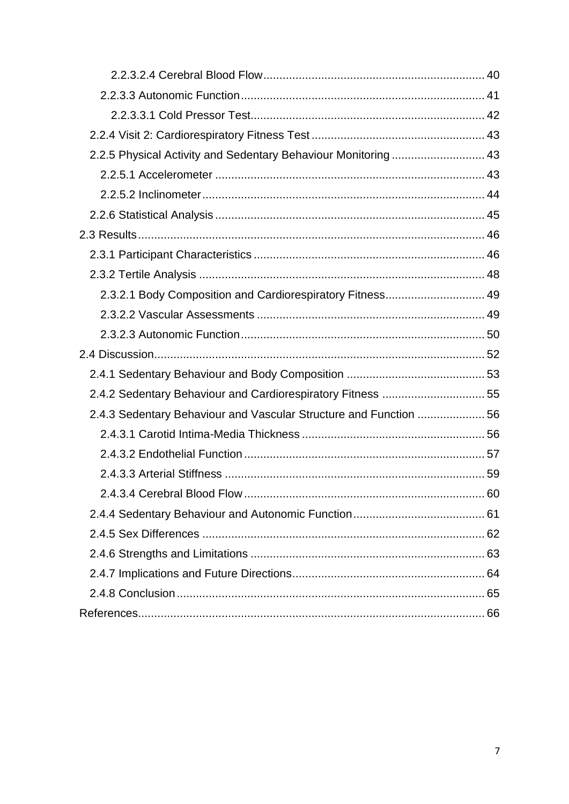| 2.2.5 Physical Activity and Sedentary Behaviour Monitoring 43     |  |
|-------------------------------------------------------------------|--|
|                                                                   |  |
|                                                                   |  |
|                                                                   |  |
|                                                                   |  |
|                                                                   |  |
|                                                                   |  |
| 2.3.2.1 Body Composition and Cardiorespiratory Fitness 49         |  |
|                                                                   |  |
|                                                                   |  |
|                                                                   |  |
|                                                                   |  |
|                                                                   |  |
| 2.4.2 Sedentary Behaviour and Cardiorespiratory Fitness  55       |  |
| 2.4.3 Sedentary Behaviour and Vascular Structure and Function  56 |  |
|                                                                   |  |
|                                                                   |  |
|                                                                   |  |
|                                                                   |  |
|                                                                   |  |
|                                                                   |  |
|                                                                   |  |
|                                                                   |  |
|                                                                   |  |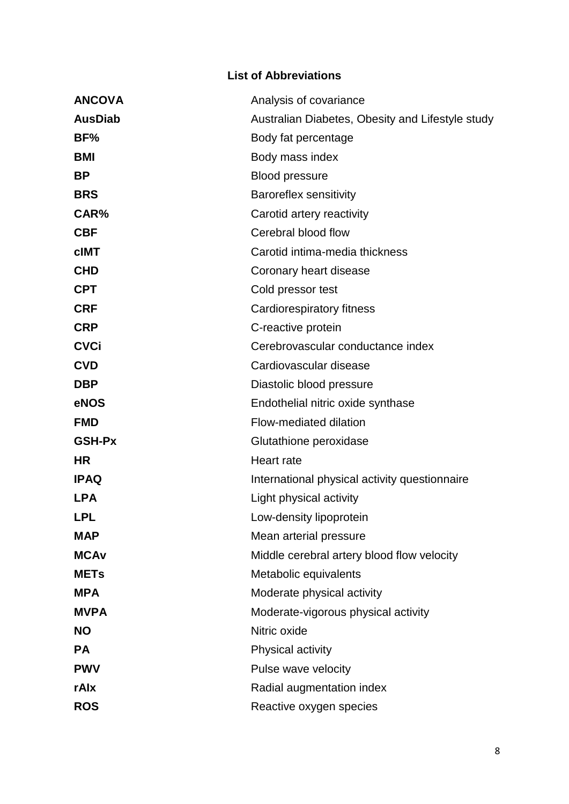### **List of Abbreviations**

| <b>ANCOVA</b>  | Analysis of covariance                           |
|----------------|--------------------------------------------------|
| <b>AusDiab</b> | Australian Diabetes, Obesity and Lifestyle study |
| BF%            | Body fat percentage                              |
| <b>BMI</b>     | Body mass index                                  |
| <b>BP</b>      | <b>Blood pressure</b>                            |
| <b>BRS</b>     | <b>Baroreflex sensitivity</b>                    |
| CAR%           | Carotid artery reactivity                        |
| <b>CBF</b>     | Cerebral blood flow                              |
| <b>cIMT</b>    | Carotid intima-media thickness                   |
| <b>CHD</b>     | Coronary heart disease                           |
| <b>CPT</b>     | Cold pressor test                                |
| <b>CRF</b>     | Cardiorespiratory fitness                        |
| <b>CRP</b>     | C-reactive protein                               |
| <b>CVCi</b>    | Cerebrovascular conductance index                |
| <b>CVD</b>     | Cardiovascular disease                           |
| <b>DBP</b>     | Diastolic blood pressure                         |
| eNOS           | Endothelial nitric oxide synthase                |
| <b>FMD</b>     | Flow-mediated dilation                           |
| <b>GSH-Px</b>  | Glutathione peroxidase                           |
| <b>HR</b>      | Heart rate                                       |
| <b>IPAQ</b>    | International physical activity questionnaire    |
| <b>LPA</b>     | Light physical activity                          |
| <b>LPL</b>     | Low-density lipoprotein                          |
| <b>MAP</b>     | Mean arterial pressure                           |
| <b>MCAv</b>    | Middle cerebral artery blood flow velocity       |
| <b>METs</b>    | Metabolic equivalents                            |
| <b>MPA</b>     | Moderate physical activity                       |
| <b>MVPA</b>    | Moderate-vigorous physical activity              |
| <b>NO</b>      | Nitric oxide                                     |
| <b>PA</b>      | Physical activity                                |
| <b>PWV</b>     | Pulse wave velocity                              |
| rAlx           | Radial augmentation index                        |
| <b>ROS</b>     | Reactive oxygen species                          |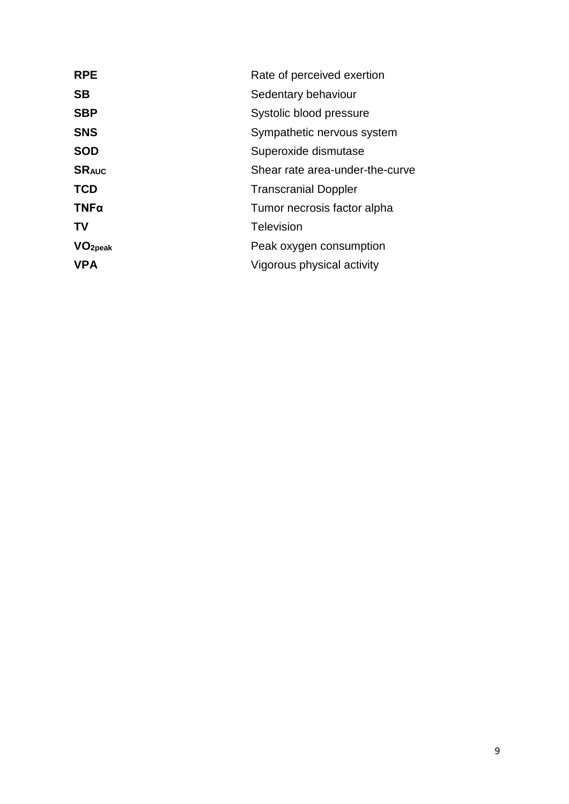| <b>RPE</b>          | Rate of perceived exertion      |
|---------------------|---------------------------------|
| <b>SB</b>           | Sedentary behaviour             |
| <b>SBP</b>          | Systolic blood pressure         |
| <b>SNS</b>          | Sympathetic nervous system      |
| <b>SOD</b>          | Superoxide dismutase            |
| <b>SRAUC</b>        | Shear rate area-under-the-curve |
| <b>TCD</b>          | <b>Transcranial Doppler</b>     |
| TNFa                | Tumor necrosis factor alpha     |
| TV                  | <b>Television</b>               |
| VO <sub>2peak</sub> | Peak oxygen consumption         |
| <b>VPA</b>          | Vigorous physical activity      |
|                     |                                 |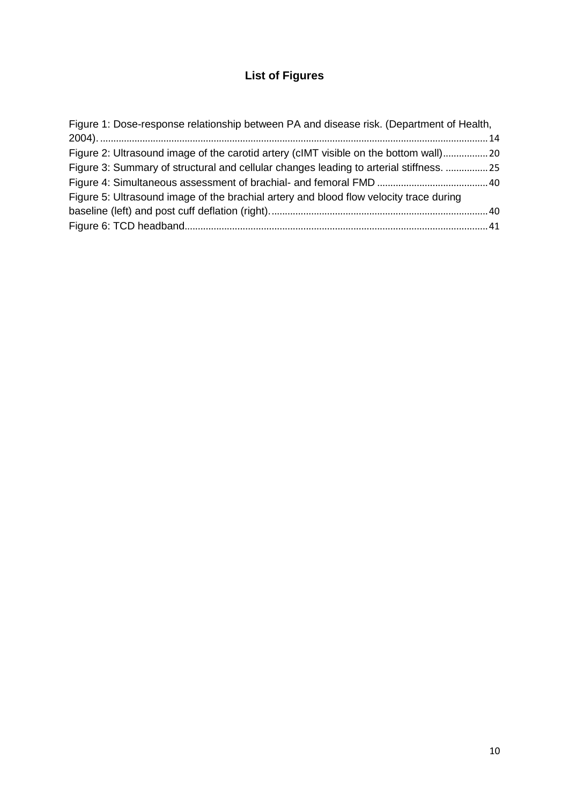## **List of Figures**

| Figure 1: Dose-response relationship between PA and disease risk. (Department of Health, |  |
|------------------------------------------------------------------------------------------|--|
|                                                                                          |  |
| Figure 2: Ultrasound image of the carotid artery (cIMT visible on the bottom wall) 20    |  |
| Figure 3: Summary of structural and cellular changes leading to arterial stiffness.  25  |  |
|                                                                                          |  |
| Figure 5: Ultrasound image of the brachial artery and blood flow velocity trace during   |  |
|                                                                                          |  |
|                                                                                          |  |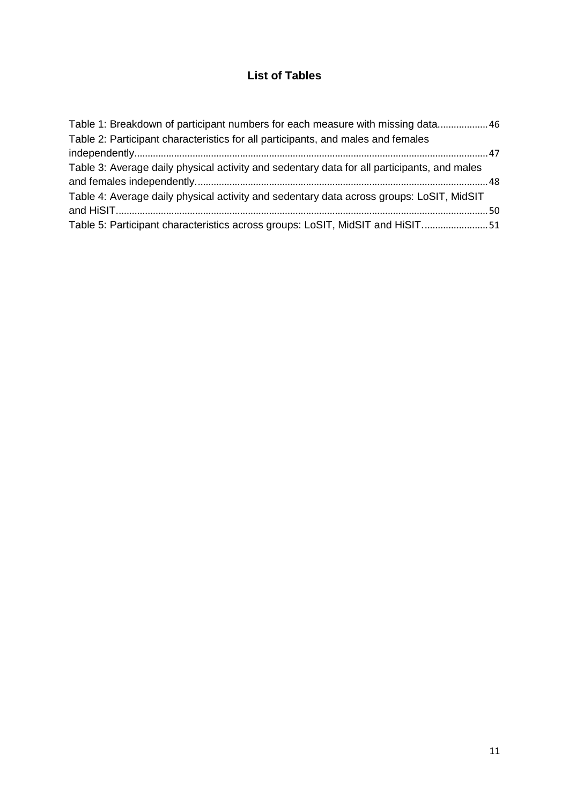## **List of Tables**

| Table 1: Breakdown of participant numbers for each measure with missing data 46             |  |
|---------------------------------------------------------------------------------------------|--|
| Table 2: Participant characteristics for all participants, and males and females            |  |
|                                                                                             |  |
| Table 3: Average daily physical activity and sedentary data for all participants, and males |  |
|                                                                                             |  |
| Table 4: Average daily physical activity and sedentary data across groups: LoSIT, MidSIT    |  |
|                                                                                             |  |
| Table 5: Participant characteristics across groups: LoSIT, MidSIT and HiSIT51               |  |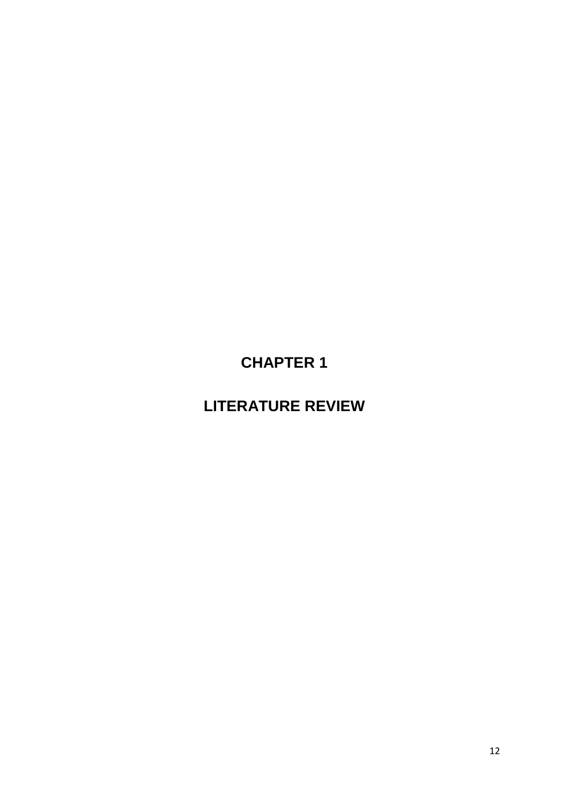**CHAPTER 1**

<span id="page-11-1"></span><span id="page-11-0"></span>**LITERATURE REVIEW**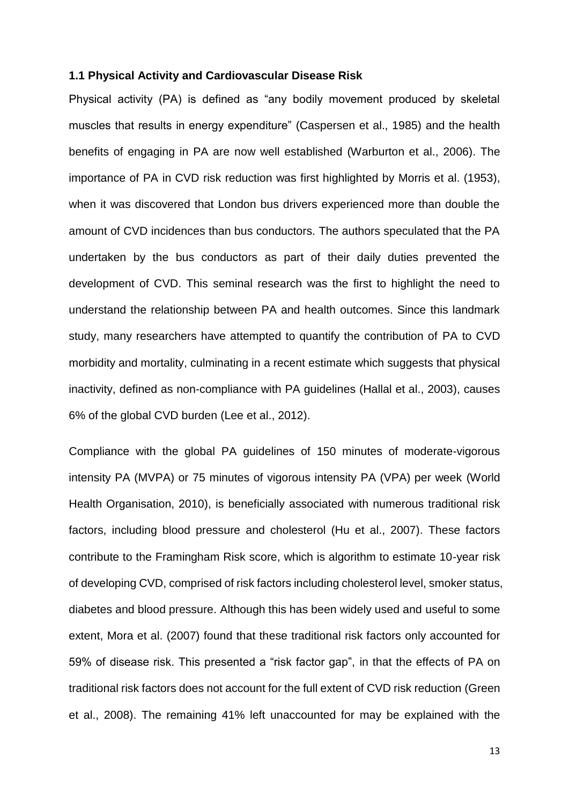#### <span id="page-12-0"></span>**1.1 Physical Activity and Cardiovascular Disease Risk**

Physical activity (PA) is defined as "any bodily movement produced by skeletal muscles that results in energy expenditure" (Caspersen et al., 1985) and the health benefits of engaging in PA are now well established (Warburton et al., 2006). The importance of PA in CVD risk reduction was first highlighted by Morris et al. (1953), when it was discovered that London bus drivers experienced more than double the amount of CVD incidences than bus conductors. The authors speculated that the PA undertaken by the bus conductors as part of their daily duties prevented the development of CVD. This seminal research was the first to highlight the need to understand the relationship between PA and health outcomes. Since this landmark study, many researchers have attempted to quantify the contribution of PA to CVD morbidity and mortality, culminating in a recent estimate which suggests that physical inactivity, defined as non-compliance with PA guidelines (Hallal et al., 2003), causes 6% of the global CVD burden (Lee et al., 2012).

Compliance with the global PA guidelines of 150 minutes of moderate-vigorous intensity PA (MVPA) or 75 minutes of vigorous intensity PA (VPA) per week (World Health Organisation, 2010), is beneficially associated with numerous traditional risk factors, including blood pressure and cholesterol (Hu et al., 2007). These factors contribute to the Framingham Risk score, which is algorithm to estimate 10-year risk of developing CVD, comprised of risk factors including cholesterol level, smoker status, diabetes and blood pressure. Although this has been widely used and useful to some extent, Mora et al. (2007) found that these traditional risk factors only accounted for 59% of disease risk. This presented a "risk factor gap", in that the effects of PA on traditional risk factors does not account for the full extent of CVD risk reduction (Green et al., 2008). The remaining 41% left unaccounted for may be explained with the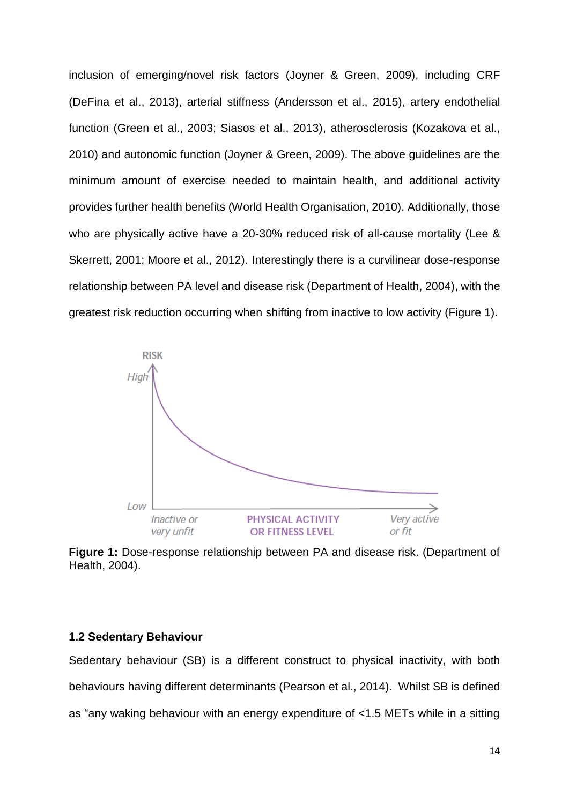inclusion of emerging/novel risk factors (Joyner & Green, 2009), including CRF (DeFina et al., 2013), arterial stiffness (Andersson et al., 2015), artery endothelial function (Green et al., 2003; Siasos et al., 2013), atherosclerosis (Kozakova et al., 2010) and autonomic function (Joyner & Green, 2009). The above guidelines are the minimum amount of exercise needed to maintain health, and additional activity provides further health benefits (World Health Organisation, 2010). Additionally, those who are physically active have a 20-30% reduced risk of all-cause mortality (Lee & Skerrett, 2001; Moore et al., 2012). Interestingly there is a curvilinear dose-response relationship between PA level and disease risk (Department of Health, 2004), with the greatest risk reduction occurring when shifting from inactive to low activity (Figure 1).



<span id="page-13-1"></span>**Figure 1:** Dose-response relationship between PA and disease risk. (Department of Health, 2004).

#### <span id="page-13-0"></span>**1.2 Sedentary Behaviour**

Sedentary behaviour (SB) is a different construct to physical inactivity, with both behaviours having different determinants (Pearson et al., 2014). Whilst SB is defined as "any waking behaviour with an energy expenditure of <1.5 METs while in a sitting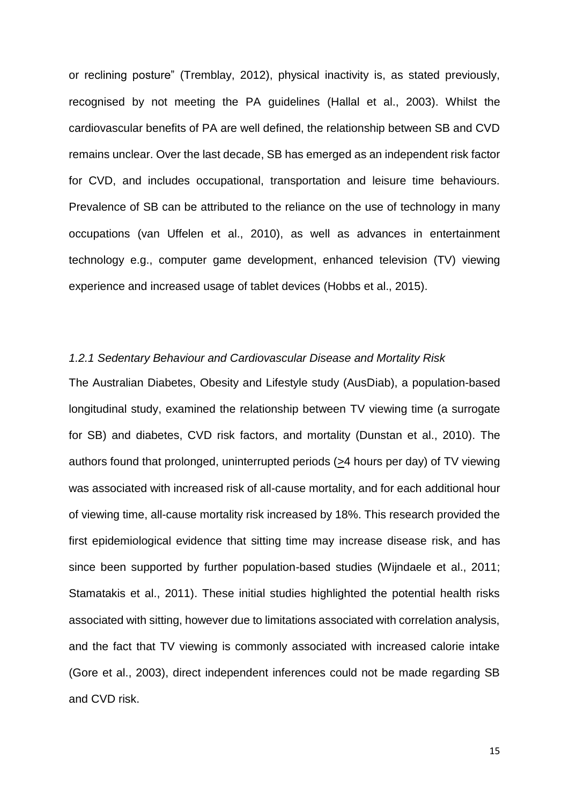or reclining posture" (Tremblay, 2012), physical inactivity is, as stated previously, recognised by not meeting the PA guidelines (Hallal et al., 2003). Whilst the cardiovascular benefits of PA are well defined, the relationship between SB and CVD remains unclear. Over the last decade, SB has emerged as an independent risk factor for CVD, and includes occupational, transportation and leisure time behaviours. Prevalence of SB can be attributed to the reliance on the use of technology in many occupations (van Uffelen et al., 2010), as well as advances in entertainment technology e.g., computer game development, enhanced television (TV) viewing experience and increased usage of tablet devices (Hobbs et al., 2015).

#### <span id="page-14-0"></span>*1.2.1 Sedentary Behaviour and Cardiovascular Disease and Mortality Risk*

The Australian Diabetes, Obesity and Lifestyle study (AusDiab), a population-based longitudinal study, examined the relationship between TV viewing time (a surrogate for SB) and diabetes, CVD risk factors, and mortality (Dunstan et al., 2010). The authors found that prolonged, uninterrupted periods (>4 hours per day) of TV viewing was associated with increased risk of all-cause mortality, and for each additional hour of viewing time, all-cause mortality risk increased by 18%. This research provided the first epidemiological evidence that sitting time may increase disease risk, and has since been supported by further population-based studies (Wijndaele et al., 2011; Stamatakis et al., 2011). These initial studies highlighted the potential health risks associated with sitting, however due to limitations associated with correlation analysis, and the fact that TV viewing is commonly associated with increased calorie intake (Gore et al., 2003), direct independent inferences could not be made regarding SB and CVD risk.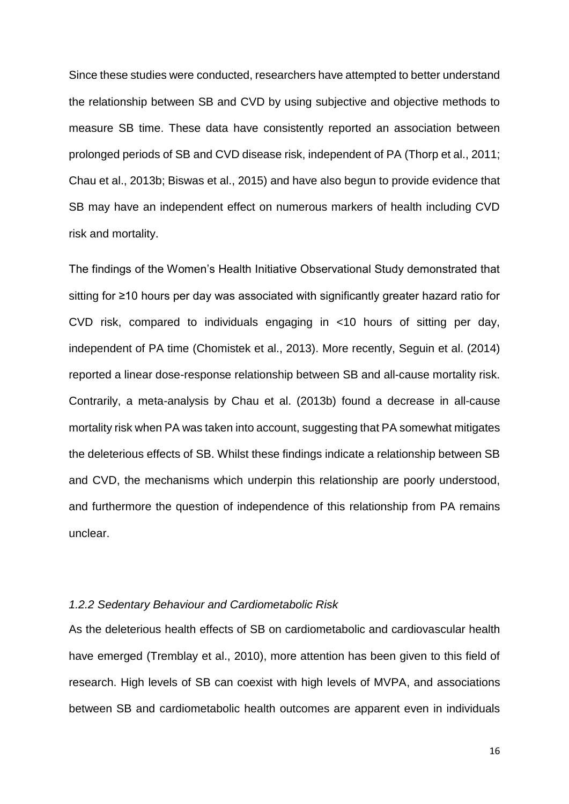Since these studies were conducted, researchers have attempted to better understand the relationship between SB and CVD by using subjective and objective methods to measure SB time. These data have consistently reported an association between prolonged periods of SB and CVD disease risk, independent of PA (Thorp et al., 2011; Chau et al., 2013b; Biswas et al., 2015) and have also begun to provide evidence that SB may have an independent effect on numerous markers of health including CVD risk and mortality.

The findings of the Women's Health Initiative Observational Study demonstrated that sitting for ≥10 hours per day was associated with significantly greater hazard ratio for CVD risk, compared to individuals engaging in <10 hours of sitting per day, independent of PA time (Chomistek et al., 2013). More recently, Seguin et al. (2014) reported a linear dose-response relationship between SB and all-cause mortality risk. Contrarily, a meta-analysis by Chau et al. (2013b) found a decrease in all-cause mortality risk when PA was taken into account, suggesting that PA somewhat mitigates the deleterious effects of SB. Whilst these findings indicate a relationship between SB and CVD, the mechanisms which underpin this relationship are poorly understood, and furthermore the question of independence of this relationship from PA remains unclear.

#### <span id="page-15-0"></span>*1.2.2 Sedentary Behaviour and Cardiometabolic Risk*

As the deleterious health effects of SB on cardiometabolic and cardiovascular health have emerged (Tremblay et al., 2010), more attention has been given to this field of research. High levels of SB can coexist with high levels of MVPA, and associations between SB and cardiometabolic health outcomes are apparent even in individuals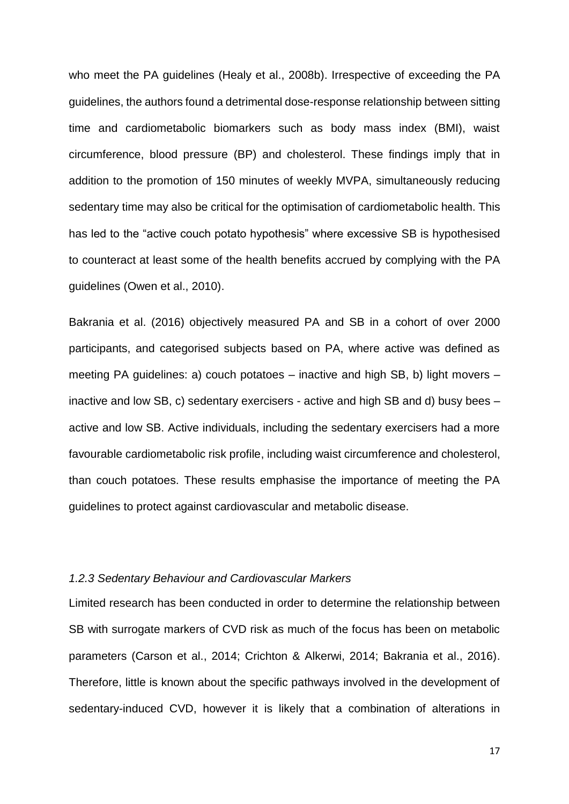who meet the PA guidelines (Healy et al., 2008b). Irrespective of exceeding the PA guidelines, the authors found a detrimental dose-response relationship between sitting time and cardiometabolic biomarkers such as body mass index (BMI), waist circumference, blood pressure (BP) and cholesterol. These findings imply that in addition to the promotion of 150 minutes of weekly MVPA, simultaneously reducing sedentary time may also be critical for the optimisation of cardiometabolic health. This has led to the "active couch potato hypothesis" where excessive SB is hypothesised to counteract at least some of the health benefits accrued by complying with the PA guidelines (Owen et al., 2010).

Bakrania et al. (2016) objectively measured PA and SB in a cohort of over 2000 participants, and categorised subjects based on PA, where active was defined as meeting PA guidelines: a) couch potatoes – inactive and high SB, b) light movers – inactive and low SB, c) sedentary exercisers - active and high SB and d) busy bees – active and low SB. Active individuals, including the sedentary exercisers had a more favourable cardiometabolic risk profile, including waist circumference and cholesterol, than couch potatoes. These results emphasise the importance of meeting the PA guidelines to protect against cardiovascular and metabolic disease.

#### <span id="page-16-0"></span>*1.2.3 Sedentary Behaviour and Cardiovascular Markers*

Limited research has been conducted in order to determine the relationship between SB with surrogate markers of CVD risk as much of the focus has been on metabolic parameters (Carson et al., 2014; Crichton & Alkerwi, 2014; Bakrania et al., 2016). Therefore, little is known about the specific pathways involved in the development of sedentary-induced CVD, however it is likely that a combination of alterations in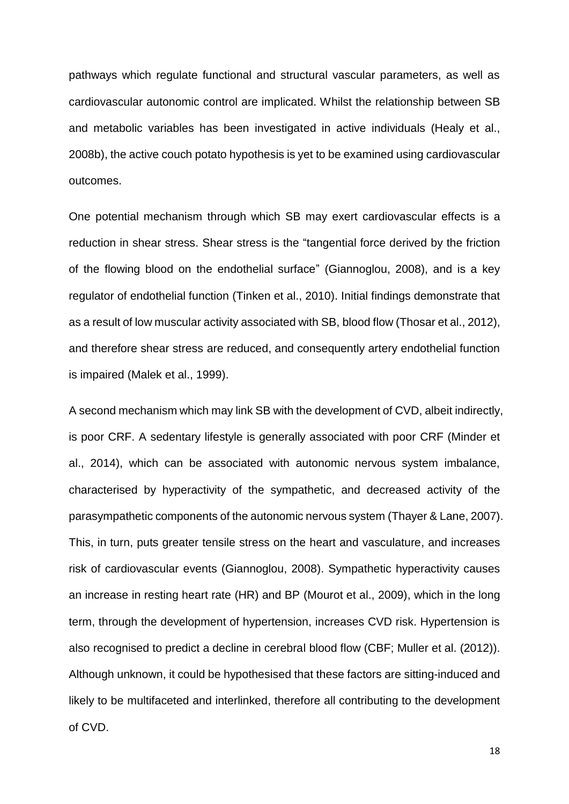pathways which regulate functional and structural vascular parameters, as well as cardiovascular autonomic control are implicated. Whilst the relationship between SB and metabolic variables has been investigated in active individuals (Healy et al., 2008b), the active couch potato hypothesis is yet to be examined using cardiovascular outcomes.

One potential mechanism through which SB may exert cardiovascular effects is a reduction in shear stress. Shear stress is the "tangential force derived by the friction of the flowing blood on the endothelial surface" (Giannoglou, 2008), and is a key regulator of endothelial function (Tinken et al., 2010). Initial findings demonstrate that as a result of low muscular activity associated with SB, blood flow (Thosar et al., 2012), and therefore shear stress are reduced, and consequently artery endothelial function is impaired (Malek et al., 1999).

A second mechanism which may link SB with the development of CVD, albeit indirectly, is poor CRF. A sedentary lifestyle is generally associated with poor CRF (Minder et al., 2014), which can be associated with autonomic nervous system imbalance, characterised by hyperactivity of the sympathetic, and decreased activity of the parasympathetic components of the autonomic nervous system (Thayer & Lane, 2007). This, in turn, puts greater tensile stress on the heart and vasculature, and increases risk of cardiovascular events (Giannoglou, 2008). Sympathetic hyperactivity causes an increase in resting heart rate (HR) and BP (Mourot et al., 2009), which in the long term, through the development of hypertension, increases CVD risk. Hypertension is also recognised to predict a decline in cerebral blood flow (CBF; Muller et al. (2012)). Although unknown, it could be hypothesised that these factors are sitting-induced and likely to be multifaceted and interlinked, therefore all contributing to the development of CVD.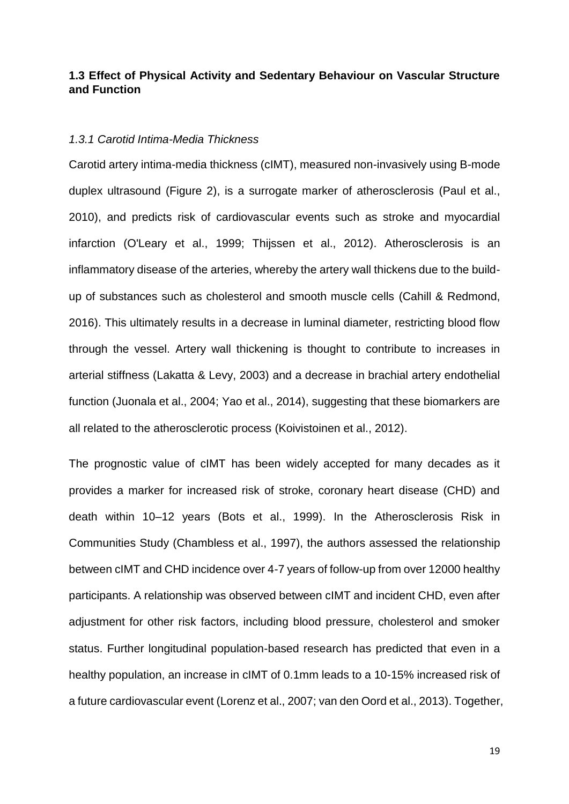#### <span id="page-18-0"></span>**1.3 Effect of Physical Activity and Sedentary Behaviour on Vascular Structure and Function**

#### <span id="page-18-1"></span>*1.3.1 Carotid Intima-Media Thickness*

Carotid artery intima-media thickness (cIMT), measured non-invasively using B-mode duplex ultrasound (Figure 2), is a surrogate marker of atherosclerosis (Paul et al., 2010), and predicts risk of cardiovascular events such as stroke and myocardial infarction (O'Leary et al., 1999; Thijssen et al., 2012). Atherosclerosis is an inflammatory disease of the arteries, whereby the artery wall thickens due to the buildup of substances such as cholesterol and smooth muscle cells (Cahill & Redmond, 2016). This ultimately results in a decrease in luminal diameter, restricting blood flow through the vessel. Artery wall thickening is thought to contribute to increases in arterial stiffness (Lakatta & Levy, 2003) and a decrease in brachial artery endothelial function (Juonala et al., 2004; Yao et al., 2014), suggesting that these biomarkers are all related to the atherosclerotic process (Koivistoinen et al., 2012).

The prognostic value of cIMT has been widely accepted for many decades as it provides a marker for increased risk of stroke, coronary heart disease (CHD) and death within 10–12 years (Bots et al., 1999). In the Atherosclerosis Risk in Communities Study (Chambless et al., 1997), the authors assessed the relationship between cIMT and CHD incidence over 4-7 years of follow-up from over 12000 healthy participants. A relationship was observed between cIMT and incident CHD, even after adjustment for other risk factors, including blood pressure, cholesterol and smoker status. Further longitudinal population-based research has predicted that even in a healthy population, an increase in cIMT of 0.1mm leads to a 10-15% increased risk of a future cardiovascular event (Lorenz et al., 2007; van den Oord et al., 2013). Together,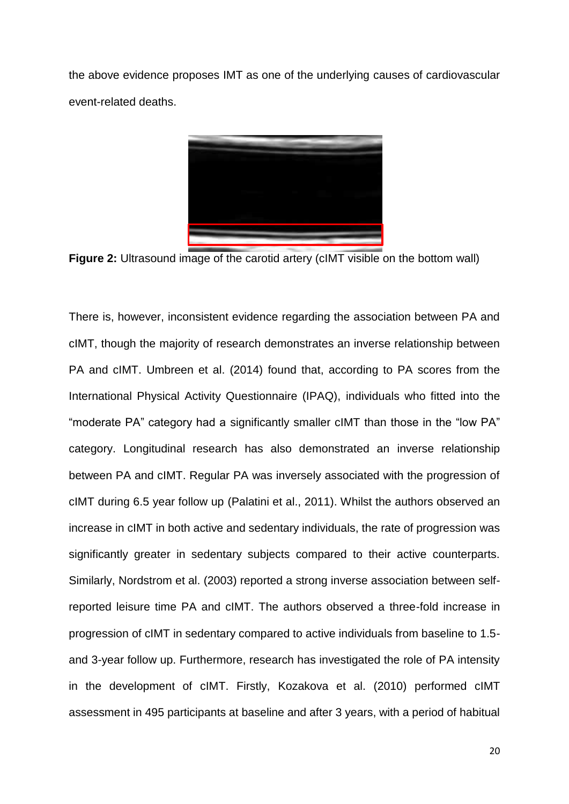the above evidence proposes IMT as one of the underlying causes of cardiovascular event-related deaths.



**Figure 2:** Ultrasound image of the carotid artery (cIMT visible on the bottom wall)

<span id="page-19-0"></span>There is, however, inconsistent evidence regarding the association between PA and cIMT, though the majority of research demonstrates an inverse relationship between PA and cIMT. Umbreen et al. (2014) found that, according to PA scores from the International Physical Activity Questionnaire (IPAQ), individuals who fitted into the "moderate PA" category had a significantly smaller cIMT than those in the "low PA" category. Longitudinal research has also demonstrated an inverse relationship between PA and cIMT. Regular PA was inversely associated with the progression of cIMT during 6.5 year follow up (Palatini et al., 2011). Whilst the authors observed an increase in cIMT in both active and sedentary individuals, the rate of progression was significantly greater in sedentary subjects compared to their active counterparts. Similarly, Nordstrom et al. (2003) reported a strong inverse association between selfreported leisure time PA and cIMT. The authors observed a three-fold increase in progression of cIMT in sedentary compared to active individuals from baseline to 1.5 and 3-year follow up. Furthermore, research has investigated the role of PA intensity in the development of cIMT. Firstly, Kozakova et al. (2010) performed cIMT assessment in 495 participants at baseline and after 3 years, with a period of habitual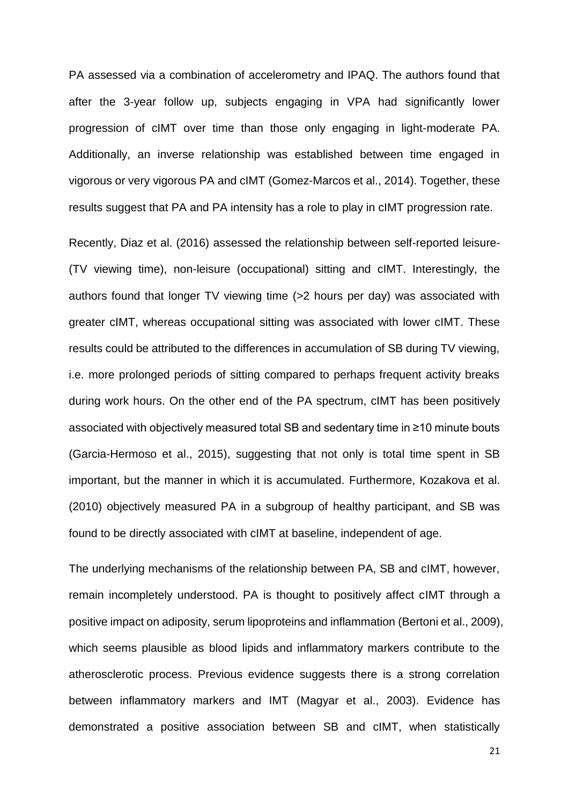PA assessed via a combination of accelerometry and IPAQ. The authors found that after the 3-year follow up, subjects engaging in VPA had significantly lower progression of cIMT over time than those only engaging in light-moderate PA. Additionally, an inverse relationship was established between time engaged in vigorous or very vigorous PA and cIMT (Gomez-Marcos et al., 2014). Together, these results suggest that PA and PA intensity has a role to play in cIMT progression rate.

Recently, Diaz et al. (2016) assessed the relationship between self-reported leisure- (TV viewing time), non-leisure (occupational) sitting and cIMT. Interestingly, the authors found that longer TV viewing time (>2 hours per day) was associated with greater cIMT, whereas occupational sitting was associated with lower cIMT. These results could be attributed to the differences in accumulation of SB during TV viewing, i.e. more prolonged periods of sitting compared to perhaps frequent activity breaks during work hours. On the other end of the PA spectrum, cIMT has been positively associated with objectively measured total SB and sedentary time in ≥10 minute bouts (Garcia-Hermoso et al., 2015), suggesting that not only is total time spent in SB important, but the manner in which it is accumulated. Furthermore, Kozakova et al. (2010) objectively measured PA in a subgroup of healthy participant, and SB was found to be directly associated with cIMT at baseline, independent of age.

The underlying mechanisms of the relationship between PA, SB and cIMT, however, remain incompletely understood. PA is thought to positively affect cIMT through a positive impact on adiposity, serum lipoproteins and inflammation (Bertoni et al., 2009), which seems plausible as blood lipids and inflammatory markers contribute to the atherosclerotic process. Previous evidence suggests there is a strong correlation between inflammatory markers and IMT (Magyar et al., 2003). Evidence has demonstrated a positive association between SB and cIMT, when statistically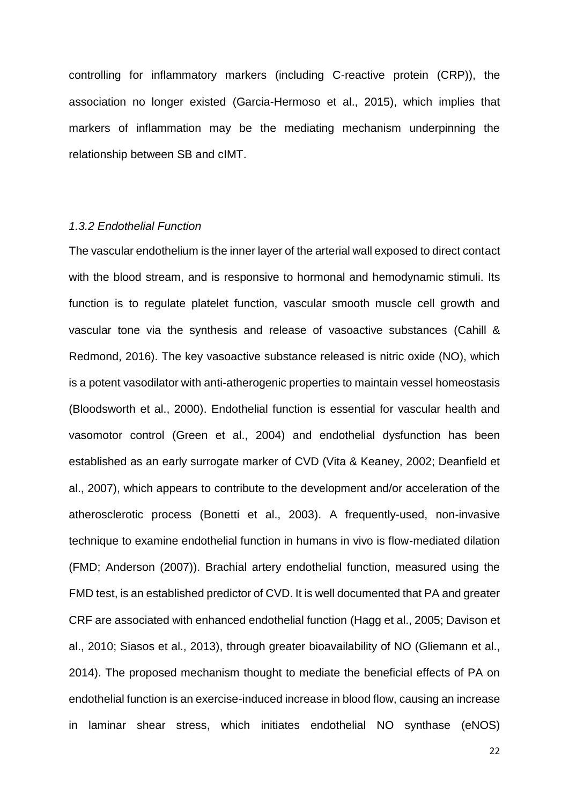controlling for inflammatory markers (including C-reactive protein (CRP)), the association no longer existed (Garcia-Hermoso et al., 2015), which implies that markers of inflammation may be the mediating mechanism underpinning the relationship between SB and cIMT.

#### *1.3.2 Endothelial Function*

The vascular endothelium is the inner layer of the arterial wall exposed to direct contact with the blood stream, and is responsive to hormonal and hemodynamic stimuli. Its function is to regulate platelet function, vascular smooth muscle cell growth and vascular tone via the synthesis and release of vasoactive substances (Cahill & Redmond, 2016). The key vasoactive substance released is nitric oxide (NO), which is a potent vasodilator with anti-atherogenic properties to maintain vessel homeostasis (Bloodsworth et al., 2000). Endothelial function is essential for vascular health and vasomotor control (Green et al., 2004) and endothelial dysfunction has been established as an early surrogate marker of CVD (Vita & Keaney, 2002; Deanfield et al., 2007), which appears to contribute to the development and/or acceleration of the atherosclerotic process (Bonetti et al., 2003). A frequently-used, non-invasive technique to examine endothelial function in humans in vivo is flow-mediated dilation (FMD; Anderson (2007)). Brachial artery endothelial function, measured using the FMD test, is an established predictor of CVD. It is well documented that PA and greater CRF are associated with enhanced endothelial function (Hagg et al., 2005; Davison et al., 2010; Siasos et al., 2013), through greater bioavailability of NO (Gliemann et al., 2014). The proposed mechanism thought to mediate the beneficial effects of PA on endothelial function is an exercise-induced increase in blood flow, causing an increase in laminar shear stress, which initiates endothelial NO synthase (eNOS)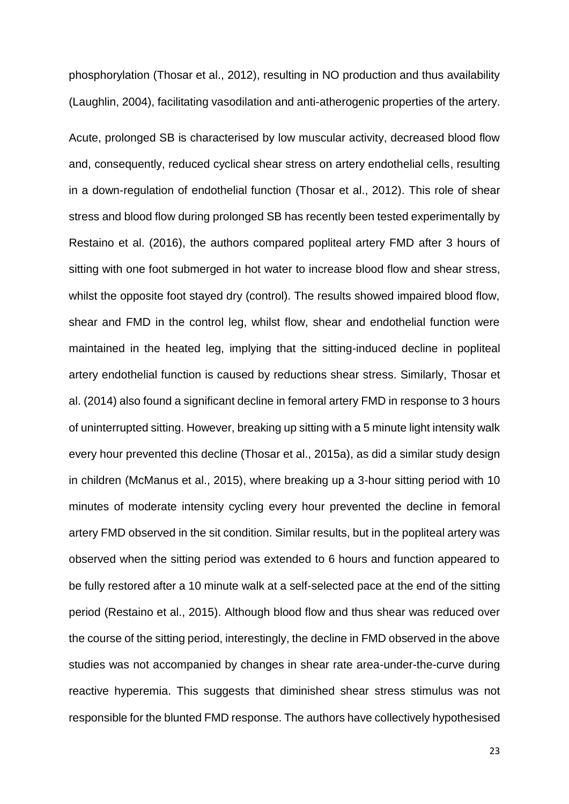phosphorylation (Thosar et al., 2012), resulting in NO production and thus availability (Laughlin, 2004), facilitating vasodilation and anti-atherogenic properties of the artery.

Acute, prolonged SB is characterised by low muscular activity, decreased blood flow and, consequently, reduced cyclical shear stress on artery endothelial cells, resulting in a down-regulation of endothelial function (Thosar et al., 2012). This role of shear stress and blood flow during prolonged SB has recently been tested experimentally by Restaino et al. (2016), the authors compared popliteal artery FMD after 3 hours of sitting with one foot submerged in hot water to increase blood flow and shear stress, whilst the opposite foot stayed dry (control). The results showed impaired blood flow, shear and FMD in the control leg, whilst flow, shear and endothelial function were maintained in the heated leg, implying that the sitting-induced decline in popliteal artery endothelial function is caused by reductions shear stress. Similarly, Thosar et al. (2014) also found a significant decline in femoral artery FMD in response to 3 hours of uninterrupted sitting. However, breaking up sitting with a 5 minute light intensity walk every hour prevented this decline (Thosar et al., 2015a), as did a similar study design in children (McManus et al., 2015), where breaking up a 3-hour sitting period with 10 minutes of moderate intensity cycling every hour prevented the decline in femoral artery FMD observed in the sit condition. Similar results, but in the popliteal artery was observed when the sitting period was extended to 6 hours and function appeared to be fully restored after a 10 minute walk at a self-selected pace at the end of the sitting period (Restaino et al., 2015). Although blood flow and thus shear was reduced over the course of the sitting period, interestingly, the decline in FMD observed in the above studies was not accompanied by changes in shear rate area-under-the-curve during reactive hyperemia. This suggests that diminished shear stress stimulus was not responsible for the blunted FMD response. The authors have collectively hypothesised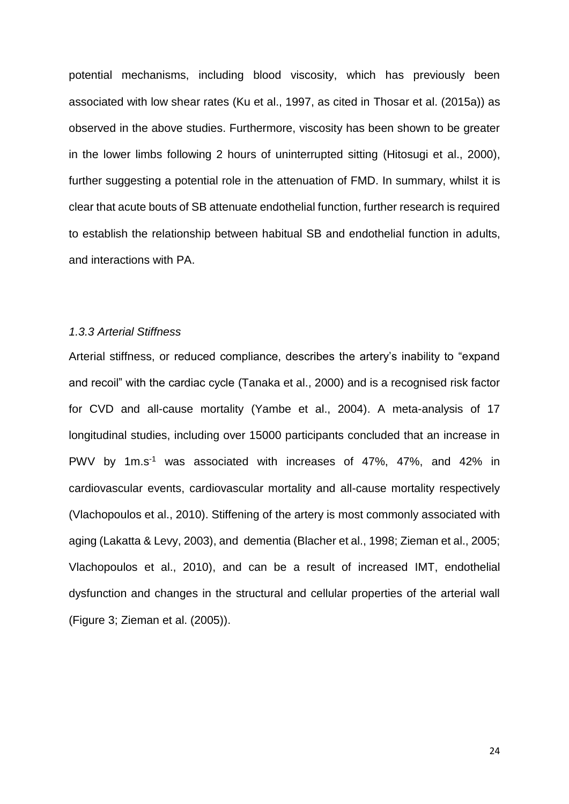potential mechanisms, including blood viscosity, which has previously been associated with low shear rates (Ku et al., 1997, as cited in Thosar et al. (2015a)) as observed in the above studies. Furthermore, viscosity has been shown to be greater in the lower limbs following 2 hours of uninterrupted sitting (Hitosugi et al., 2000), further suggesting a potential role in the attenuation of FMD. In summary, whilst it is clear that acute bouts of SB attenuate endothelial function, further research is required to establish the relationship between habitual SB and endothelial function in adults, and interactions with PA.

#### <span id="page-23-0"></span>*1.3.3 Arterial Stiffness*

Arterial stiffness, or reduced compliance, describes the artery's inability to "expand and recoil" with the cardiac cycle (Tanaka et al., 2000) and is a recognised risk factor for CVD and all-cause mortality (Yambe et al., 2004). A meta-analysis of 17 longitudinal studies, including over 15000 participants concluded that an increase in PWV by 1m.s<sup>-1</sup> was associated with increases of 47%, 47%, and 42% in cardiovascular events, cardiovascular mortality and all-cause mortality respectively (Vlachopoulos et al., 2010). Stiffening of the artery is most commonly associated with aging (Lakatta & Levy, 2003), and dementia (Blacher et al., 1998; Zieman et al., 2005; Vlachopoulos et al., 2010), and can be a result of increased IMT, endothelial dysfunction and changes in the structural and cellular properties of the arterial wall (Figure 3; Zieman et al. (2005)).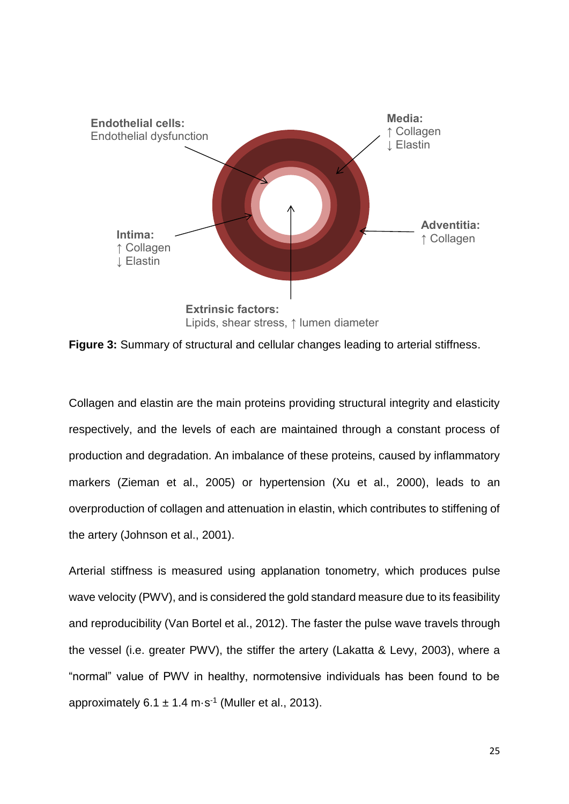

<span id="page-24-0"></span>**Figure 3:** Summary of structural and cellular changes leading to arterial stiffness.

Collagen and elastin are the main proteins providing structural integrity and elasticity respectively, and the levels of each are maintained through a constant process of production and degradation. An imbalance of these proteins, caused by inflammatory markers (Zieman et al., 2005) or hypertension (Xu et al., 2000), leads to an overproduction of collagen and attenuation in elastin, which contributes to stiffening of the artery (Johnson et al., 2001).

Arterial stiffness is measured using applanation tonometry, which produces pulse wave velocity (PWV), and is considered the gold standard measure due to its feasibility and reproducibility (Van Bortel et al., 2012). The faster the pulse wave travels through the vessel (i.e. greater PWV), the stiffer the artery (Lakatta & Levy, 2003), where a "normal" value of PWV in healthy, normotensive individuals has been found to be approximately  $6.1 \pm 1.4 \text{ m} \cdot \text{s}^{-1}$  (Muller et al., 2013).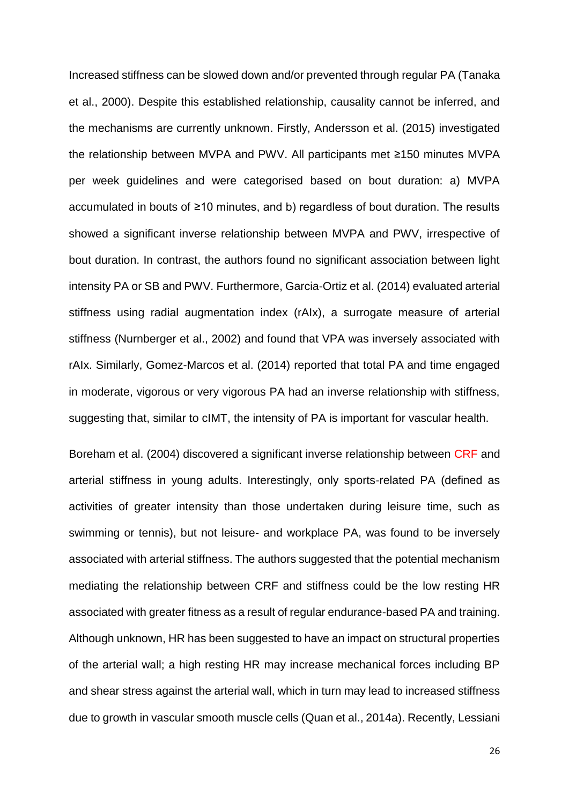Increased stiffness can be slowed down and/or prevented through regular PA (Tanaka et al., 2000). Despite this established relationship, causality cannot be inferred, and the mechanisms are currently unknown. Firstly, Andersson et al. (2015) investigated the relationship between MVPA and PWV. All participants met ≥150 minutes MVPA per week guidelines and were categorised based on bout duration: a) MVPA accumulated in bouts of ≥10 minutes, and b) regardless of bout duration. The results showed a significant inverse relationship between MVPA and PWV, irrespective of bout duration. In contrast, the authors found no significant association between light intensity PA or SB and PWV. Furthermore, Garcia-Ortiz et al. (2014) evaluated arterial stiffness using radial augmentation index (rAIx), a surrogate measure of arterial stiffness (Nurnberger et al., 2002) and found that VPA was inversely associated with rAIx. Similarly, Gomez-Marcos et al. (2014) reported that total PA and time engaged in moderate, vigorous or very vigorous PA had an inverse relationship with stiffness, suggesting that, similar to cIMT, the intensity of PA is important for vascular health.

Boreham et al. (2004) discovered a significant inverse relationship between CRF and arterial stiffness in young adults. Interestingly, only sports-related PA (defined as activities of greater intensity than those undertaken during leisure time, such as swimming or tennis), but not leisure- and workplace PA, was found to be inversely associated with arterial stiffness. The authors suggested that the potential mechanism mediating the relationship between CRF and stiffness could be the low resting HR associated with greater fitness as a result of regular endurance-based PA and training. Although unknown, HR has been suggested to have an impact on structural properties of the arterial wall; a high resting HR may increase mechanical forces including BP and shear stress against the arterial wall, which in turn may lead to increased stiffness due to growth in vascular smooth muscle cells (Quan et al., 2014a). Recently, Lessiani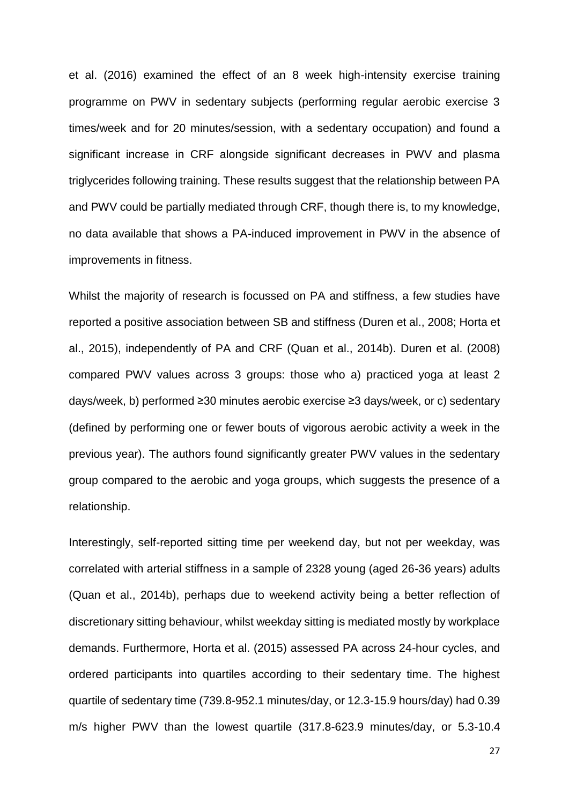et al. (2016) examined the effect of an 8 week high-intensity exercise training programme on PWV in sedentary subjects (performing regular aerobic exercise 3 times/week and for 20 minutes/session, with a sedentary occupation) and found a significant increase in CRF alongside significant decreases in PWV and plasma triglycerides following training. These results suggest that the relationship between PA and PWV could be partially mediated through CRF, though there is, to my knowledge, no data available that shows a PA-induced improvement in PWV in the absence of improvements in fitness.

Whilst the majority of research is focussed on PA and stiffness, a few studies have reported a positive association between SB and stiffness (Duren et al., 2008; Horta et al., 2015), independently of PA and CRF (Quan et al., 2014b). Duren et al. (2008) compared PWV values across 3 groups: those who a) practiced yoga at least 2 days/week, b) performed ≥30 minutes aerobic exercise ≥3 days/week, or c) sedentary (defined by performing one or fewer bouts of vigorous aerobic activity a week in the previous year). The authors found significantly greater PWV values in the sedentary group compared to the aerobic and yoga groups, which suggests the presence of a relationship.

Interestingly, self-reported sitting time per weekend day, but not per weekday, was correlated with arterial stiffness in a sample of 2328 young (aged 26-36 years) adults (Quan et al., 2014b), perhaps due to weekend activity being a better reflection of discretionary sitting behaviour, whilst weekday sitting is mediated mostly by workplace demands. Furthermore, Horta et al. (2015) assessed PA across 24-hour cycles, and ordered participants into quartiles according to their sedentary time. The highest quartile of sedentary time (739.8-952.1 minutes/day, or 12.3-15.9 hours/day) had 0.39 m/s higher PWV than the lowest quartile (317.8-623.9 minutes/day, or 5.3-10.4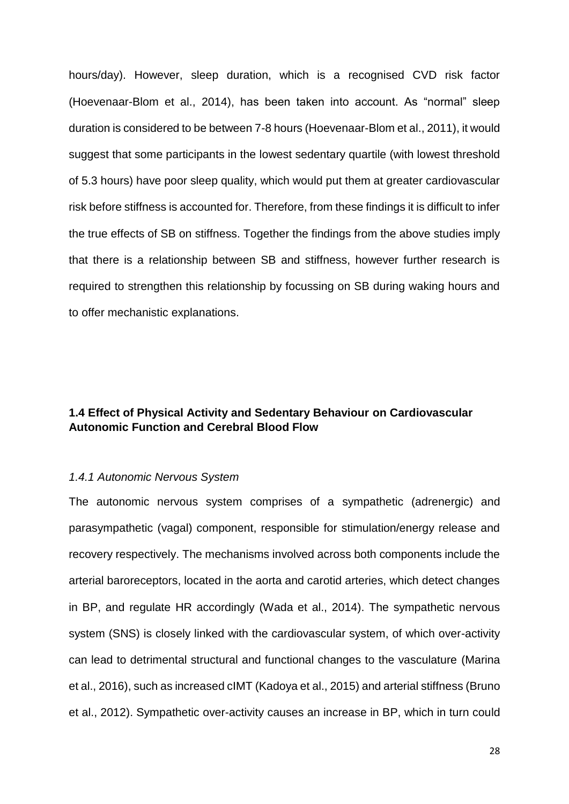hours/day). However, sleep duration, which is a recognised CVD risk factor (Hoevenaar-Blom et al., 2014), has been taken into account. As "normal" sleep duration is considered to be between 7-8 hours (Hoevenaar-Blom et al., 2011), it would suggest that some participants in the lowest sedentary quartile (with lowest threshold of 5.3 hours) have poor sleep quality, which would put them at greater cardiovascular risk before stiffness is accounted for. Therefore, from these findings it is difficult to infer the true effects of SB on stiffness. Together the findings from the above studies imply that there is a relationship between SB and stiffness, however further research is required to strengthen this relationship by focussing on SB during waking hours and to offer mechanistic explanations.

#### <span id="page-27-0"></span>**1.4 Effect of Physical Activity and Sedentary Behaviour on Cardiovascular Autonomic Function and Cerebral Blood Flow**

#### <span id="page-27-1"></span>*1.4.1 Autonomic Nervous System*

The autonomic nervous system comprises of a sympathetic (adrenergic) and parasympathetic (vagal) component, responsible for stimulation/energy release and recovery respectively. The mechanisms involved across both components include the arterial baroreceptors, located in the aorta and carotid arteries, which detect changes in BP, and regulate HR accordingly (Wada et al., 2014). The sympathetic nervous system (SNS) is closely linked with the cardiovascular system, of which over-activity can lead to detrimental structural and functional changes to the vasculature (Marina et al., 2016), such as increased cIMT (Kadoya et al., 2015) and arterial stiffness (Bruno et al., 2012). Sympathetic over-activity causes an increase in BP, which in turn could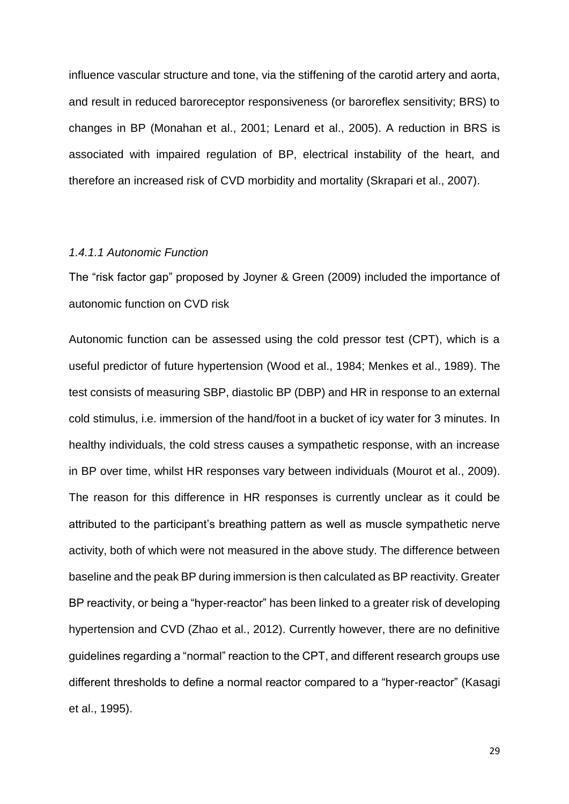influence vascular structure and tone, via the stiffening of the carotid artery and aorta, and result in reduced baroreceptor responsiveness (or baroreflex sensitivity; BRS) to changes in BP (Monahan et al., 2001; Lenard et al., 2005). A reduction in BRS is associated with impaired regulation of BP, electrical instability of the heart, and therefore an increased risk of CVD morbidity and mortality (Skrapari et al., 2007).

#### <span id="page-28-0"></span>*1.4.1.1 Autonomic Function*

The "risk factor gap" proposed by Joyner & Green (2009) included the importance of autonomic function on CVD risk

Autonomic function can be assessed using the cold pressor test (CPT), which is a useful predictor of future hypertension (Wood et al., 1984; Menkes et al., 1989). The test consists of measuring SBP, diastolic BP (DBP) and HR in response to an external cold stimulus, i.e. immersion of the hand/foot in a bucket of icy water for 3 minutes. In healthy individuals, the cold stress causes a sympathetic response, with an increase in BP over time, whilst HR responses vary between individuals (Mourot et al., 2009). The reason for this difference in HR responses is currently unclear as it could be attributed to the participant's breathing pattern as well as muscle sympathetic nerve activity, both of which were not measured in the above study. The difference between baseline and the peak BP during immersion is then calculated as BP reactivity. Greater BP reactivity, or being a "hyper-reactor" has been linked to a greater risk of developing hypertension and CVD (Zhao et al., 2012). Currently however, there are no definitive guidelines regarding a "normal" reaction to the CPT, and different research groups use different thresholds to define a normal reactor compared to a "hyper-reactor" (Kasagi et al., 1995).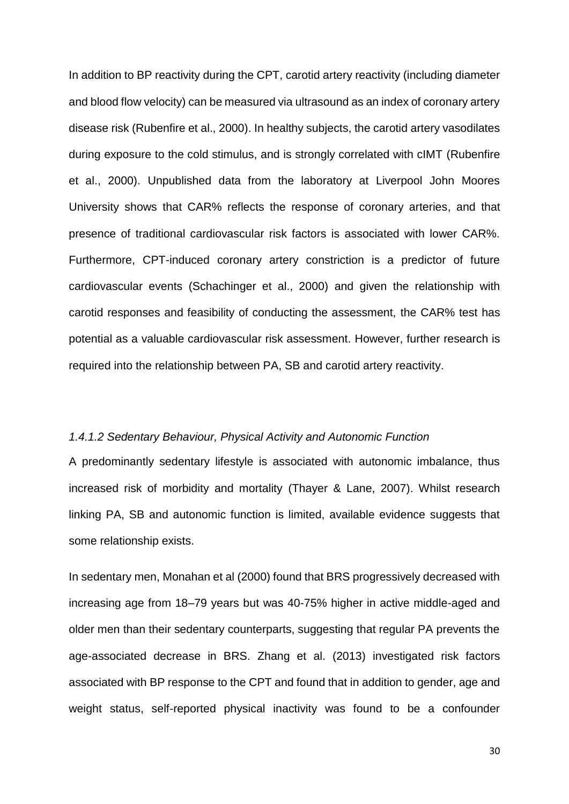In addition to BP reactivity during the CPT, carotid artery reactivity (including diameter and blood flow velocity) can be measured via ultrasound as an index of coronary artery disease risk (Rubenfire et al., 2000). In healthy subjects, the carotid artery vasodilates during exposure to the cold stimulus, and is strongly correlated with cIMT (Rubenfire et al., 2000). Unpublished data from the laboratory at Liverpool John Moores University shows that CAR% reflects the response of coronary arteries, and that presence of traditional cardiovascular risk factors is associated with lower CAR%. Furthermore, CPT-induced coronary artery constriction is a predictor of future cardiovascular events (Schachinger et al., 2000) and given the relationship with carotid responses and feasibility of conducting the assessment, the CAR% test has potential as a valuable cardiovascular risk assessment. However, further research is required into the relationship between PA, SB and carotid artery reactivity.

#### <span id="page-29-0"></span>*1.4.1.2 Sedentary Behaviour, Physical Activity and Autonomic Function*

A predominantly sedentary lifestyle is associated with autonomic imbalance, thus increased risk of morbidity and mortality (Thayer & Lane, 2007). Whilst research linking PA, SB and autonomic function is limited, available evidence suggests that some relationship exists.

In sedentary men, Monahan et al (2000) found that BRS progressively decreased with increasing age from 18–79 years but was 40-75% higher in active middle-aged and older men than their sedentary counterparts, suggesting that regular PA prevents the age-associated decrease in BRS. Zhang et al. (2013) investigated risk factors associated with BP response to the CPT and found that in addition to gender, age and weight status, self-reported physical inactivity was found to be a confounder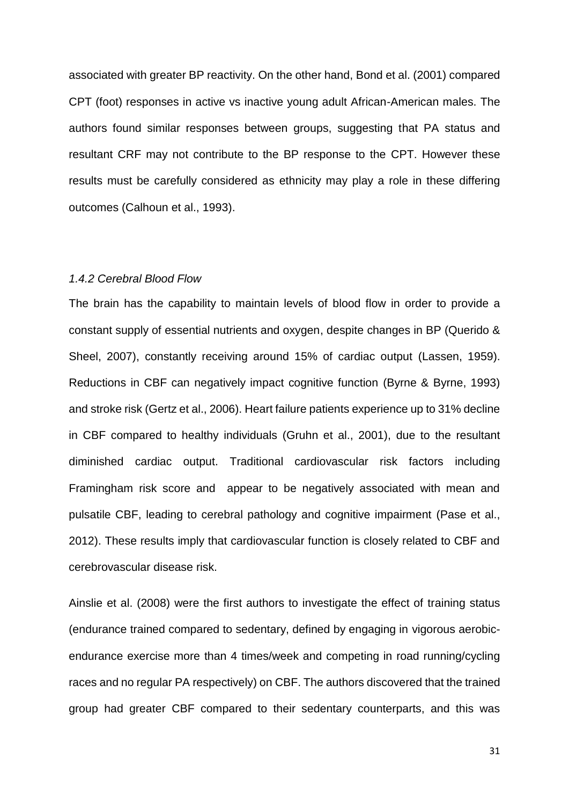associated with greater BP reactivity. On the other hand, Bond et al. (2001) compared CPT (foot) responses in active vs inactive young adult African-American males. The authors found similar responses between groups, suggesting that PA status and resultant CRF may not contribute to the BP response to the CPT. However these results must be carefully considered as ethnicity may play a role in these differing outcomes (Calhoun et al., 1993).

#### <span id="page-30-0"></span>*1.4.2 Cerebral Blood Flow*

The brain has the capability to maintain levels of blood flow in order to provide a constant supply of essential nutrients and oxygen, despite changes in BP (Querido & Sheel, 2007), constantly receiving around 15% of cardiac output (Lassen, 1959). Reductions in CBF can negatively impact cognitive function (Byrne & Byrne, 1993) and stroke risk (Gertz et al., 2006). Heart failure patients experience up to 31% decline in CBF compared to healthy individuals (Gruhn et al., 2001), due to the resultant diminished cardiac output. Traditional cardiovascular risk factors including Framingham risk score and appear to be negatively associated with mean and pulsatile CBF, leading to cerebral pathology and cognitive impairment (Pase et al., 2012). These results imply that cardiovascular function is closely related to CBF and cerebrovascular disease risk.

Ainslie et al. (2008) were the first authors to investigate the effect of training status (endurance trained compared to sedentary, defined by engaging in vigorous aerobicendurance exercise more than 4 times/week and competing in road running/cycling races and no regular PA respectively) on CBF. The authors discovered that the trained group had greater CBF compared to their sedentary counterparts, and this was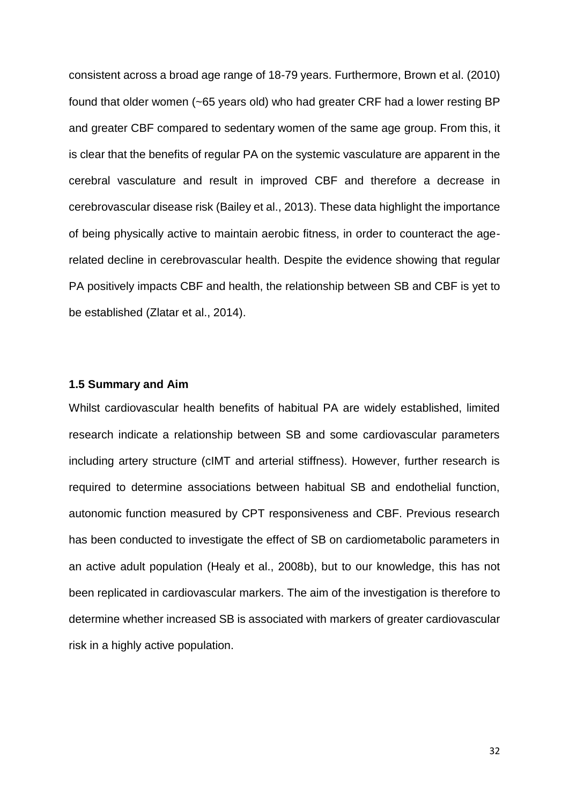consistent across a broad age range of 18-79 years. Furthermore, Brown et al. (2010) found that older women (~65 years old) who had greater CRF had a lower resting BP and greater CBF compared to sedentary women of the same age group. From this, it is clear that the benefits of regular PA on the systemic vasculature are apparent in the cerebral vasculature and result in improved CBF and therefore a decrease in cerebrovascular disease risk (Bailey et al., 2013). These data highlight the importance of being physically active to maintain aerobic fitness, in order to counteract the agerelated decline in cerebrovascular health. Despite the evidence showing that regular PA positively impacts CBF and health, the relationship between SB and CBF is yet to be established (Zlatar et al., 2014).

#### <span id="page-31-0"></span>**1.5 Summary and Aim**

Whilst cardiovascular health benefits of habitual PA are widely established, limited research indicate a relationship between SB and some cardiovascular parameters including artery structure (cIMT and arterial stiffness). However, further research is required to determine associations between habitual SB and endothelial function, autonomic function measured by CPT responsiveness and CBF. Previous research has been conducted to investigate the effect of SB on cardiometabolic parameters in an active adult population (Healy et al., 2008b), but to our knowledge, this has not been replicated in cardiovascular markers. The aim of the investigation is therefore to determine whether increased SB is associated with markers of greater cardiovascular risk in a highly active population.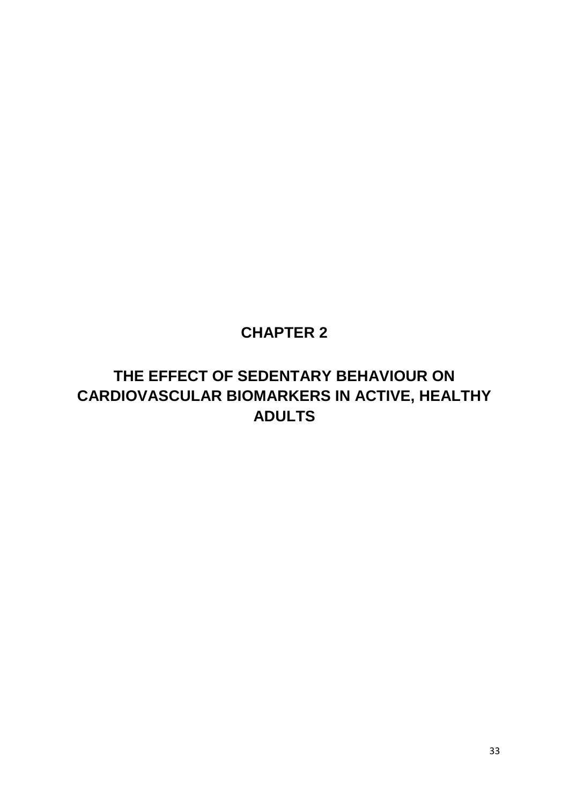## **CHAPTER 2**

## <span id="page-32-1"></span><span id="page-32-0"></span>**THE EFFECT OF SEDENTARY BEHAVIOUR ON CARDIOVASCULAR BIOMARKERS IN ACTIVE, HEALTHY ADULTS**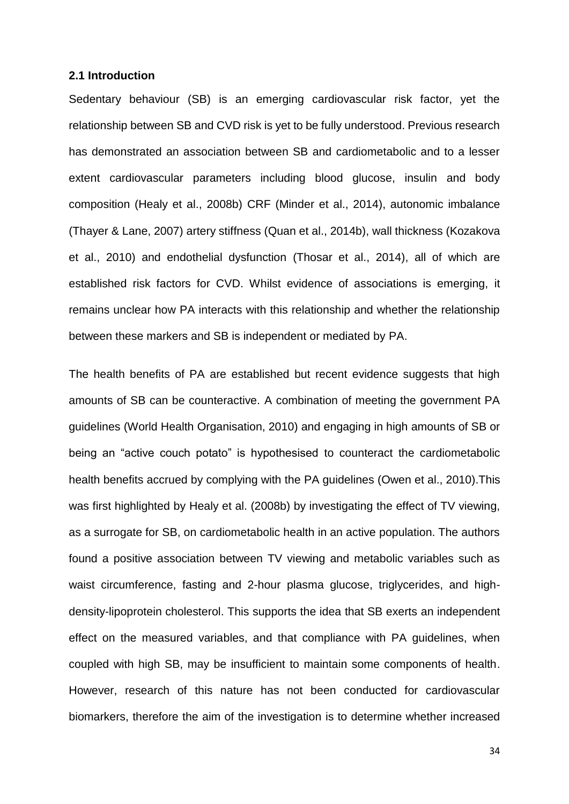#### <span id="page-33-0"></span>**2.1 Introduction**

Sedentary behaviour (SB) is an emerging cardiovascular risk factor, yet the relationship between SB and CVD risk is yet to be fully understood. Previous research has demonstrated an association between SB and cardiometabolic and to a lesser extent cardiovascular parameters including blood glucose, insulin and body composition (Healy et al., 2008b) CRF (Minder et al., 2014), autonomic imbalance (Thayer & Lane, 2007) artery stiffness (Quan et al., 2014b), wall thickness (Kozakova et al., 2010) and endothelial dysfunction (Thosar et al., 2014), all of which are established risk factors for CVD. Whilst evidence of associations is emerging, it remains unclear how PA interacts with this relationship and whether the relationship between these markers and SB is independent or mediated by PA.

The health benefits of PA are established but recent evidence suggests that high amounts of SB can be counteractive. A combination of meeting the government PA guidelines (World Health Organisation, 2010) and engaging in high amounts of SB or being an "active couch potato" is hypothesised to counteract the cardiometabolic health benefits accrued by complying with the PA guidelines (Owen et al., 2010).This was first highlighted by Healy et al. (2008b) by investigating the effect of TV viewing, as a surrogate for SB, on cardiometabolic health in an active population. The authors found a positive association between TV viewing and metabolic variables such as waist circumference, fasting and 2-hour plasma glucose, triglycerides, and highdensity-lipoprotein cholesterol. This supports the idea that SB exerts an independent effect on the measured variables, and that compliance with PA guidelines, when coupled with high SB, may be insufficient to maintain some components of health. However, research of this nature has not been conducted for cardiovascular biomarkers, therefore the aim of the investigation is to determine whether increased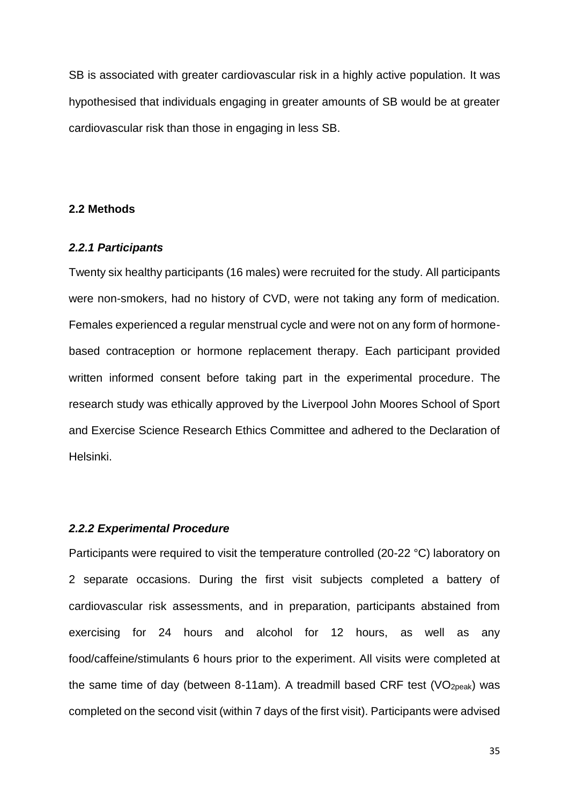SB is associated with greater cardiovascular risk in a highly active population. It was hypothesised that individuals engaging in greater amounts of SB would be at greater cardiovascular risk than those in engaging in less SB.

#### <span id="page-34-0"></span>**2.2 Methods**

#### <span id="page-34-1"></span>*2.2.1 Participants*

Twenty six healthy participants (16 males) were recruited for the study. All participants were non-smokers, had no history of CVD, were not taking any form of medication. Females experienced a regular menstrual cycle and were not on any form of hormonebased contraception or hormone replacement therapy. Each participant provided written informed consent before taking part in the experimental procedure. The research study was ethically approved by the Liverpool John Moores School of Sport and Exercise Science Research Ethics Committee and adhered to the Declaration of Helsinki.

#### <span id="page-34-2"></span>*2.2.2 Experimental Procedure*

Participants were required to visit the temperature controlled (20-22 °C) laboratory on 2 separate occasions. During the first visit subjects completed a battery of cardiovascular risk assessments, and in preparation, participants abstained from exercising for 24 hours and alcohol for 12 hours, as well as any food/caffeine/stimulants 6 hours prior to the experiment. All visits were completed at the same time of day (between 8-11am). A treadmill based CRF test ( $VO<sub>2peak</sub>$ ) was completed on the second visit (within 7 days of the first visit). Participants were advised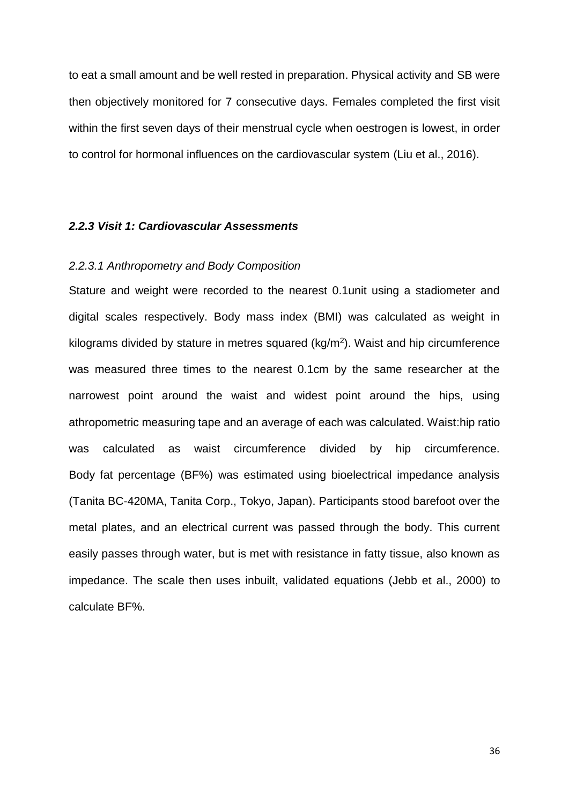to eat a small amount and be well rested in preparation. Physical activity and SB were then objectively monitored for 7 consecutive days. Females completed the first visit within the first seven days of their menstrual cycle when oestrogen is lowest, in order to control for hormonal influences on the cardiovascular system (Liu et al., 2016).

#### <span id="page-35-0"></span>*2.2.3 Visit 1: Cardiovascular Assessments*

#### <span id="page-35-1"></span>*2.2.3.1 Anthropometry and Body Composition*

Stature and weight were recorded to the nearest 0.1unit using a stadiometer and digital scales respectively. Body mass index (BMI) was calculated as weight in kilograms divided by stature in metres squared (kg/m<sup>2</sup>). Waist and hip circumference was measured three times to the nearest 0.1cm by the same researcher at the narrowest point around the waist and widest point around the hips, using athropometric measuring tape and an average of each was calculated. Waist:hip ratio was calculated as waist circumference divided by hip circumference. Body fat percentage (BF%) was estimated using bioelectrical impedance analysis (Tanita BC-420MA, Tanita Corp., Tokyo, Japan). Participants stood barefoot over the metal plates, and an electrical current was passed through the body. This current easily passes through water, but is met with resistance in fatty tissue, also known as impedance. The scale then uses inbuilt, validated equations (Jebb et al., 2000) to calculate BF%.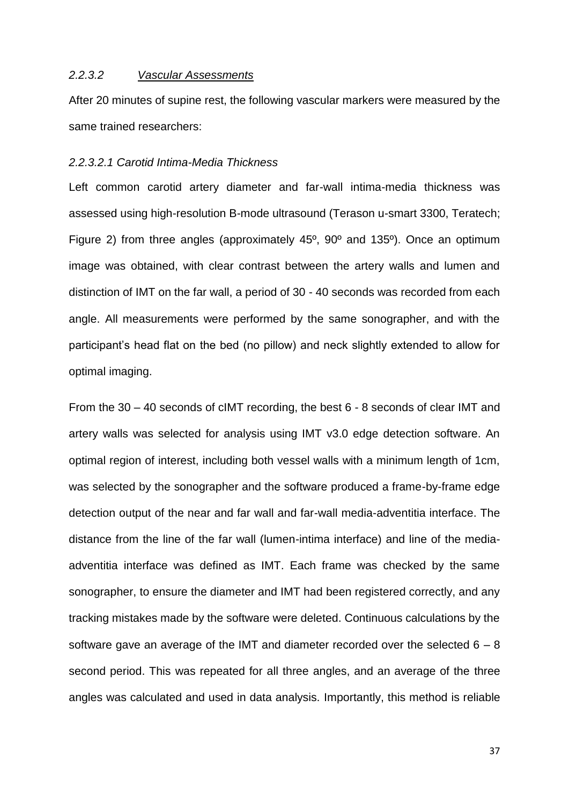#### *2.2.3.2 Vascular Assessments*

After 20 minutes of supine rest, the following vascular markers were measured by the same trained researchers:

## *2.2.3.2.1 Carotid Intima-Media Thickness*

Left common carotid artery diameter and far-wall intima-media thickness was assessed using high-resolution B-mode ultrasound (Terason u-smart 3300, Teratech; Figure 2) from three angles (approximately 45º, 90º and 135º). Once an optimum image was obtained, with clear contrast between the artery walls and lumen and distinction of IMT on the far wall, a period of 30 - 40 seconds was recorded from each angle. All measurements were performed by the same sonographer, and with the participant's head flat on the bed (no pillow) and neck slightly extended to allow for optimal imaging.

From the 30 – 40 seconds of cIMT recording, the best 6 - 8 seconds of clear IMT and artery walls was selected for analysis using IMT v3.0 edge detection software. An optimal region of interest, including both vessel walls with a minimum length of 1cm, was selected by the sonographer and the software produced a frame-by-frame edge detection output of the near and far wall and far-wall media-adventitia interface. The distance from the line of the far wall (lumen-intima interface) and line of the mediaadventitia interface was defined as IMT. Each frame was checked by the same sonographer, to ensure the diameter and IMT had been registered correctly, and any tracking mistakes made by the software were deleted. Continuous calculations by the software gave an average of the IMT and diameter recorded over the selected  $6 - 8$ second period. This was repeated for all three angles, and an average of the three angles was calculated and used in data analysis. Importantly, this method is reliable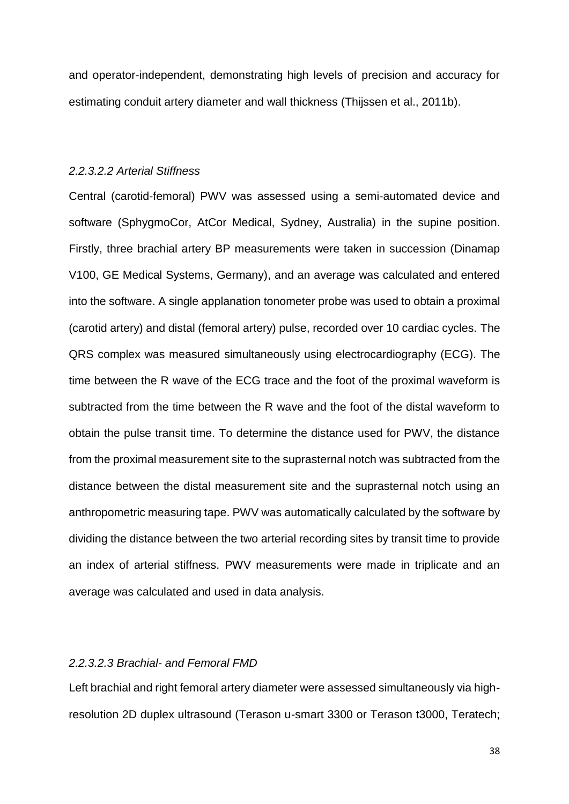and operator-independent, demonstrating high levels of precision and accuracy for estimating conduit artery diameter and wall thickness (Thijssen et al., 2011b).

#### *2.2.3.2.2 Arterial Stiffness*

Central (carotid-femoral) PWV was assessed using a semi-automated device and software (SphygmoCor, AtCor Medical, Sydney, Australia) in the supine position. Firstly, three brachial artery BP measurements were taken in succession (Dinamap V100, GE Medical Systems, Germany), and an average was calculated and entered into the software. A single applanation tonometer probe was used to obtain a proximal (carotid artery) and distal (femoral artery) pulse, recorded over 10 cardiac cycles. The QRS complex was measured simultaneously using electrocardiography (ECG). The time between the R wave of the ECG trace and the foot of the proximal waveform is subtracted from the time between the R wave and the foot of the distal waveform to obtain the pulse transit time. To determine the distance used for PWV, the distance from the proximal measurement site to the suprasternal notch was subtracted from the distance between the distal measurement site and the suprasternal notch using an anthropometric measuring tape. PWV was automatically calculated by the software by dividing the distance between the two arterial recording sites by transit time to provide an index of arterial stiffness. PWV measurements were made in triplicate and an average was calculated and used in data analysis.

# *2.2.3.2.3 Brachial- and Femoral FMD*

Left brachial and right femoral artery diameter were assessed simultaneously via highresolution 2D duplex ultrasound (Terason u-smart 3300 or Terason t3000, Teratech;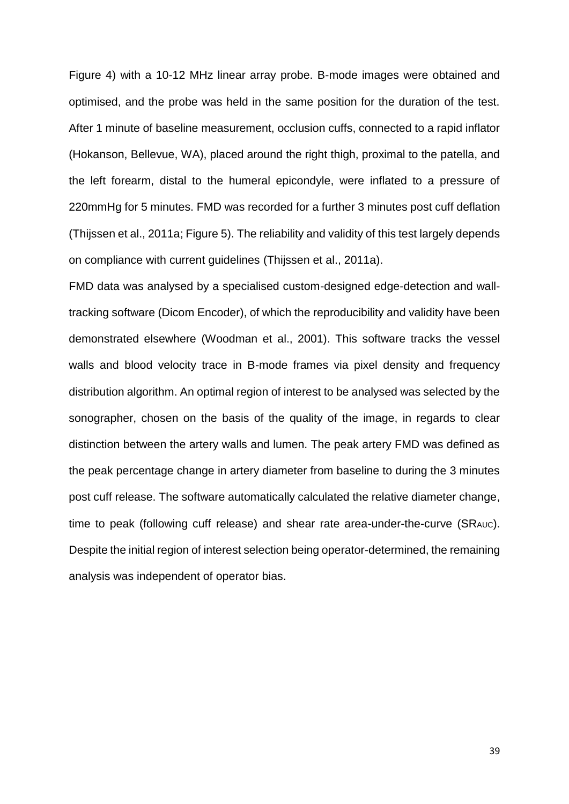Figure 4) with a 10-12 MHz linear array probe. B-mode images were obtained and optimised, and the probe was held in the same position for the duration of the test. After 1 minute of baseline measurement, occlusion cuffs, connected to a rapid inflator (Hokanson, Bellevue, WA), placed around the right thigh, proximal to the patella, and the left forearm, distal to the humeral epicondyle, were inflated to a pressure of 220mmHg for 5 minutes. FMD was recorded for a further 3 minutes post cuff deflation (Thijssen et al., 2011a; Figure 5). The reliability and validity of this test largely depends on compliance with current guidelines (Thijssen et al., 2011a).

FMD data was analysed by a specialised custom-designed edge-detection and walltracking software (Dicom Encoder), of which the reproducibility and validity have been demonstrated elsewhere (Woodman et al., 2001). This software tracks the vessel walls and blood velocity trace in B-mode frames via pixel density and frequency distribution algorithm. An optimal region of interest to be analysed was selected by the sonographer, chosen on the basis of the quality of the image, in regards to clear distinction between the artery walls and lumen. The peak artery FMD was defined as the peak percentage change in artery diameter from baseline to during the 3 minutes post cuff release. The software automatically calculated the relative diameter change, time to peak (following cuff release) and shear rate area-under-the-curve (SRAUC). Despite the initial region of interest selection being operator-determined, the remaining analysis was independent of operator bias.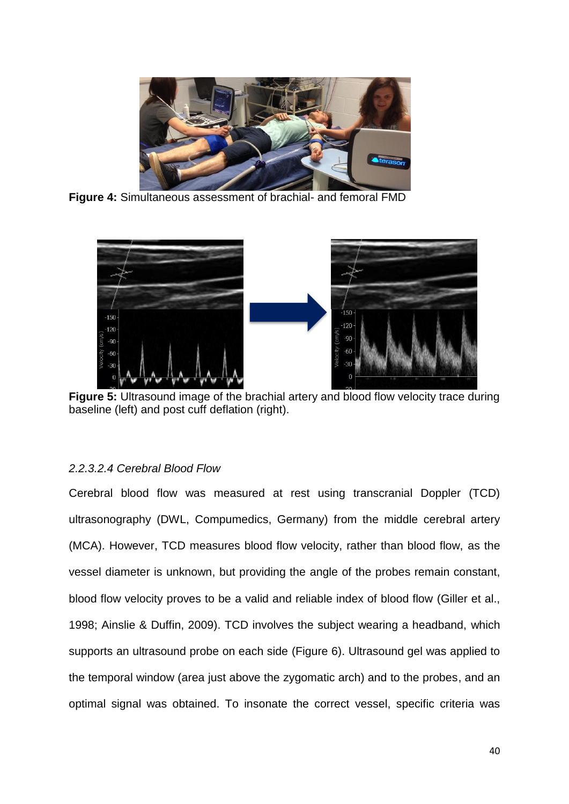

**Figure 4:** Simultaneous assessment of brachial- and femoral FMD



**Figure 5:** Ultrasound image of the brachial artery and blood flow velocity trace during baseline (left) and post cuff deflation (right).

# *2.2.3.2.4 Cerebral Blood Flow*

Cerebral blood flow was measured at rest using transcranial Doppler (TCD) ultrasonography (DWL, Compumedics, Germany) from the middle cerebral artery (MCA). However, TCD measures blood flow velocity, rather than blood flow, as the vessel diameter is unknown, but providing the angle of the probes remain constant, blood flow velocity proves to be a valid and reliable index of blood flow (Giller et al., 1998; Ainslie & Duffin, 2009). TCD involves the subject wearing a headband, which supports an ultrasound probe on each side (Figure 6). Ultrasound gel was applied to the temporal window (area just above the zygomatic arch) and to the probes, and an optimal signal was obtained. To insonate the correct vessel, specific criteria was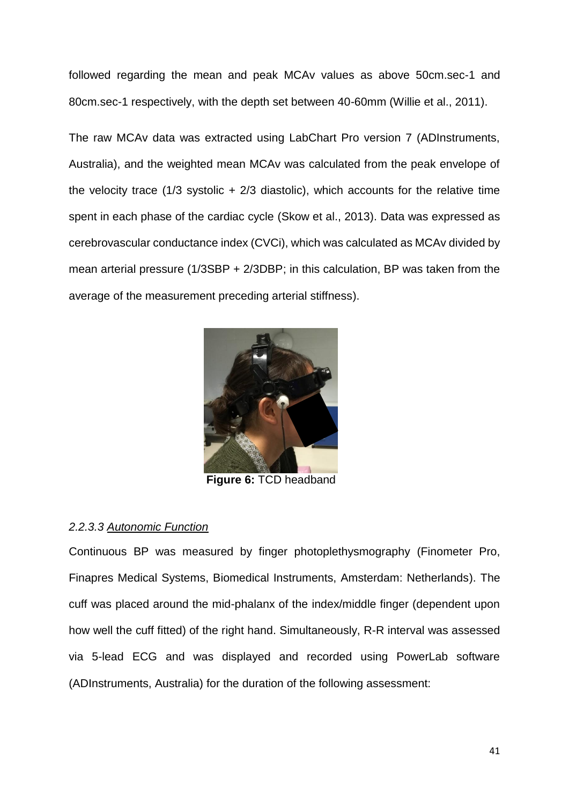followed regarding the mean and peak MCAv values as above 50cm.sec-1 and 80cm.sec-1 respectively, with the depth set between 40-60mm (Willie et al., 2011).

The raw MCAv data was extracted using LabChart Pro version 7 (ADInstruments, Australia), and the weighted mean MCAv was calculated from the peak envelope of the velocity trace (1/3 systolic  $+$  2/3 diastolic), which accounts for the relative time spent in each phase of the cardiac cycle (Skow et al., 2013). Data was expressed as cerebrovascular conductance index (CVCi), which was calculated as MCAv divided by mean arterial pressure (1/3SBP + 2/3DBP; in this calculation, BP was taken from the average of the measurement preceding arterial stiffness).



**Figure 6:** TCD headband

# *2.2.3.3 Autonomic Function*

Continuous BP was measured by finger photoplethysmography (Finometer Pro, Finapres Medical Systems, Biomedical Instruments, Amsterdam: Netherlands). The cuff was placed around the mid-phalanx of the index/middle finger (dependent upon how well the cuff fitted) of the right hand. Simultaneously, R-R interval was assessed via 5-lead ECG and was displayed and recorded using PowerLab software (ADInstruments, Australia) for the duration of the following assessment: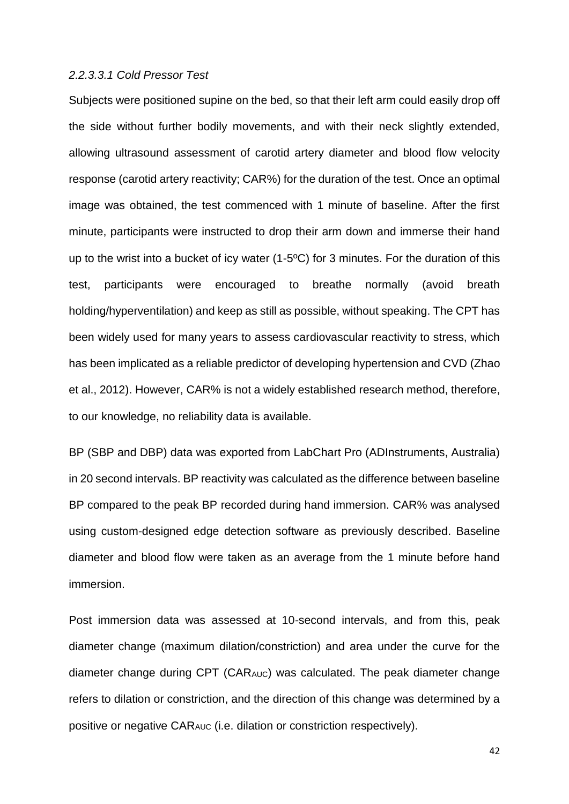#### *2.2.3.3.1 Cold Pressor Test*

Subjects were positioned supine on the bed, so that their left arm could easily drop off the side without further bodily movements, and with their neck slightly extended, allowing ultrasound assessment of carotid artery diameter and blood flow velocity response (carotid artery reactivity; CAR%) for the duration of the test. Once an optimal image was obtained, the test commenced with 1 minute of baseline. After the first minute, participants were instructed to drop their arm down and immerse their hand up to the wrist into a bucket of icy water (1-5ºC) for 3 minutes. For the duration of this test, participants were encouraged to breathe normally (avoid breath holding/hyperventilation) and keep as still as possible, without speaking. The CPT has been widely used for many years to assess cardiovascular reactivity to stress, which has been implicated as a reliable predictor of developing hypertension and CVD (Zhao et al., 2012). However, CAR% is not a widely established research method, therefore, to our knowledge, no reliability data is available.

BP (SBP and DBP) data was exported from LabChart Pro (ADInstruments, Australia) in 20 second intervals. BP reactivity was calculated as the difference between baseline BP compared to the peak BP recorded during hand immersion. CAR% was analysed using custom-designed edge detection software as previously described. Baseline diameter and blood flow were taken as an average from the 1 minute before hand immersion.

Post immersion data was assessed at 10-second intervals, and from this, peak diameter change (maximum dilation/constriction) and area under the curve for the diameter change during CPT (CARAUC) was calculated. The peak diameter change refers to dilation or constriction, and the direction of this change was determined by a positive or negative CARAUC (i.e. dilation or constriction respectively).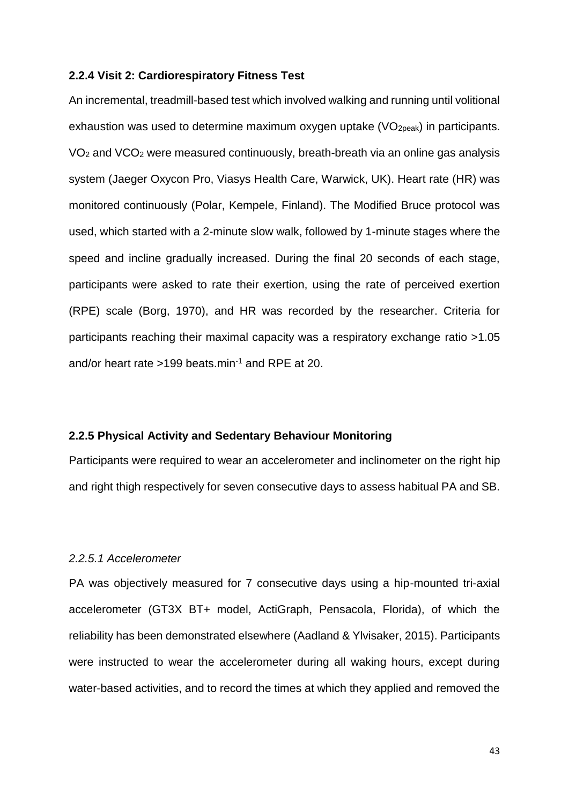#### **2.2.4 Visit 2: Cardiorespiratory Fitness Test**

An incremental, treadmill-based test which involved walking and running until volitional exhaustion was used to determine maximum oxygen uptake  $(VO<sub>2peak</sub>)$  in participants. VO<sup>2</sup> and VCO<sup>2</sup> were measured continuously, breath-breath via an online gas analysis system (Jaeger Oxycon Pro, Viasys Health Care, Warwick, UK). Heart rate (HR) was monitored continuously (Polar, Kempele, Finland). The Modified Bruce protocol was used, which started with a 2-minute slow walk, followed by 1-minute stages where the speed and incline gradually increased. During the final 20 seconds of each stage, participants were asked to rate their exertion, using the rate of perceived exertion (RPE) scale (Borg, 1970), and HR was recorded by the researcher. Criteria for participants reaching their maximal capacity was a respiratory exchange ratio >1.05 and/or heart rate >199 beats.min<sup>-1</sup> and RPE at 20.

## **2.2.5 Physical Activity and Sedentary Behaviour Monitoring**

Participants were required to wear an accelerometer and inclinometer on the right hip and right thigh respectively for seven consecutive days to assess habitual PA and SB.

#### *2.2.5.1 Accelerometer*

PA was objectively measured for 7 consecutive days using a hip-mounted tri-axial accelerometer (GT3X BT+ model, ActiGraph, Pensacola, Florida), of which the reliability has been demonstrated elsewhere (Aadland & Ylvisaker, 2015). Participants were instructed to wear the accelerometer during all waking hours, except during water-based activities, and to record the times at which they applied and removed the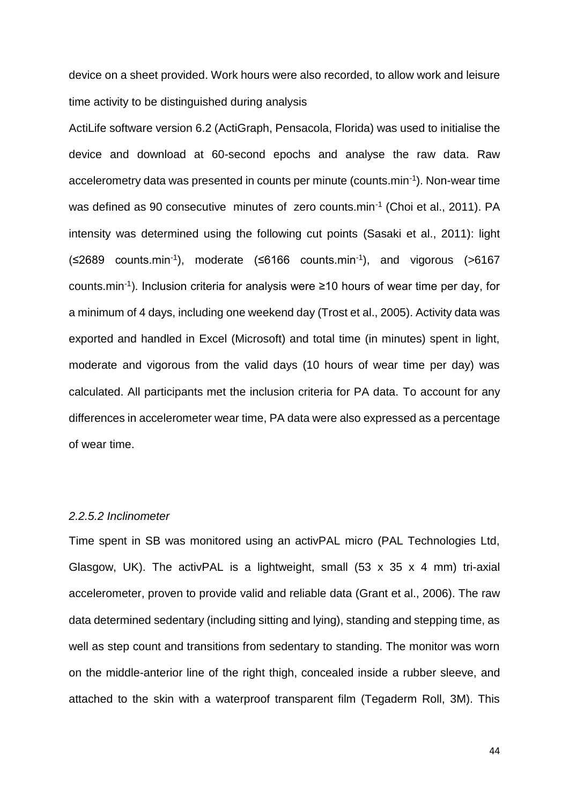device on a sheet provided. Work hours were also recorded, to allow work and leisure time activity to be distinguished during analysis

ActiLife software version 6.2 (ActiGraph, Pensacola, Florida) was used to initialise the device and download at 60-second epochs and analyse the raw data. Raw accelerometry data was presented in counts per minute (counts.min-1 ). Non-wear time was defined as 90 consecutive minutes of zero counts.min<sup>-1</sup> (Choi et al., 2011). PA intensity was determined using the following cut points (Sasaki et al., 2011): light  $(\leq 2689$  counts.min<sup>-1</sup>), moderate  $(\leq 6166$  counts.min<sup>-1</sup>), and vigorous (>6167 counts.min-1 ). Inclusion criteria for analysis were ≥10 hours of wear time per day, for a minimum of 4 days, including one weekend day (Trost et al., 2005). Activity data was exported and handled in Excel (Microsoft) and total time (in minutes) spent in light, moderate and vigorous from the valid days (10 hours of wear time per day) was calculated. All participants met the inclusion criteria for PA data. To account for any differences in accelerometer wear time, PA data were also expressed as a percentage of wear time.

### *2.2.5.2 Inclinometer*

Time spent in SB was monitored using an activPAL micro (PAL Technologies Ltd, Glasgow, UK). The activPAL is a lightweight, small  $(53 \times 35 \times 4 \text{ mm})$  tri-axial accelerometer, proven to provide valid and reliable data (Grant et al., 2006). The raw data determined sedentary (including sitting and lying), standing and stepping time, as well as step count and transitions from sedentary to standing. The monitor was worn on the middle-anterior line of the right thigh, concealed inside a rubber sleeve, and attached to the skin with a waterproof transparent film (Tegaderm Roll, 3M). This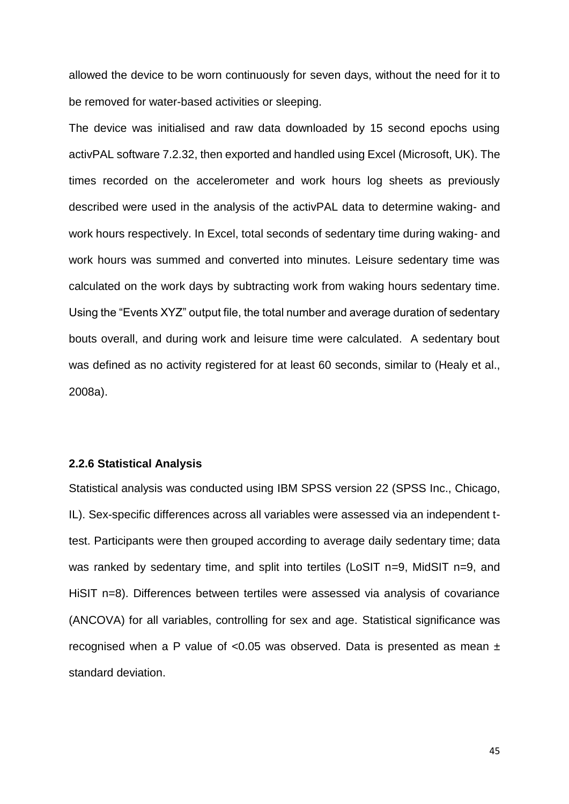allowed the device to be worn continuously for seven days, without the need for it to be removed for water-based activities or sleeping.

The device was initialised and raw data downloaded by 15 second epochs using activPAL software 7.2.32, then exported and handled using Excel (Microsoft, UK). The times recorded on the accelerometer and work hours log sheets as previously described were used in the analysis of the activPAL data to determine waking- and work hours respectively. In Excel, total seconds of sedentary time during waking- and work hours was summed and converted into minutes. Leisure sedentary time was calculated on the work days by subtracting work from waking hours sedentary time. Using the "Events XYZ" output file, the total number and average duration of sedentary bouts overall, and during work and leisure time were calculated. A sedentary bout was defined as no activity registered for at least 60 seconds, similar to (Healy et al., 2008a).

#### **2.2.6 Statistical Analysis**

Statistical analysis was conducted using IBM SPSS version 22 (SPSS Inc., Chicago, IL). Sex-specific differences across all variables were assessed via an independent ttest. Participants were then grouped according to average daily sedentary time; data was ranked by sedentary time, and split into tertiles (LoSIT n=9, MidSIT n=9, and HiSIT n=8). Differences between tertiles were assessed via analysis of covariance (ANCOVA) for all variables, controlling for sex and age. Statistical significance was recognised when a P value of <0.05 was observed. Data is presented as mean  $\pm$ standard deviation.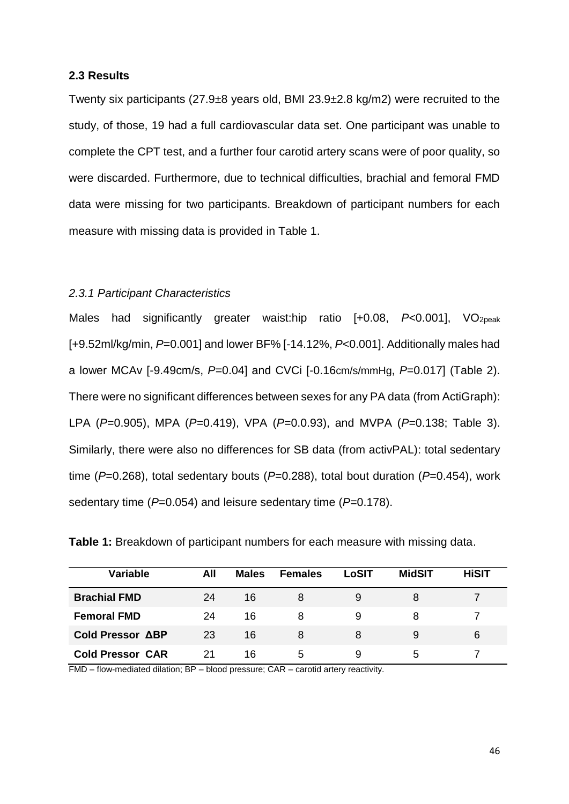### **2.3 Results**

Twenty six participants (27.9±8 years old, BMI 23.9±2.8 kg/m2) were recruited to the study, of those, 19 had a full cardiovascular data set. One participant was unable to complete the CPT test, and a further four carotid artery scans were of poor quality, so were discarded. Furthermore, due to technical difficulties, brachial and femoral FMD data were missing for two participants. Breakdown of participant numbers for each measure with missing data is provided in Table 1.

### *2.3.1 Participant Characteristics*

Males had significantly greater waist:hip ratio [+0.08, P<0.001], VO<sub>2peak</sub> [+9.52ml/kg/min, *P*=0.001] and lower BF% [-14.12%, *P*<0.001]. Additionally males had a lower MCAv [-9.49cm/s, *P*=0.04] and CVCi [-0.16cm/s/mmHg, *P*=0.017] (Table 2). There were no significant differences between sexes for any PA data (from ActiGraph): LPA (*P*=0.905), MPA (*P*=0.419), VPA (*P*=0.0.93), and MVPA (*P*=0.138; Table 3). Similarly, there were also no differences for SB data (from activPAL): total sedentary time (*P*=0.268), total sedentary bouts (*P*=0.288), total bout duration (*P*=0.454), work sedentary time (*P*=0.054) and leisure sedentary time (*P*=0.178).

| <b>Variable</b>         | All | <b>Males</b> | <b>Females</b> | LoSIT | <b>MidSIT</b> | <b>HiSIT</b> |
|-------------------------|-----|--------------|----------------|-------|---------------|--------------|
| <b>Brachial FMD</b>     | 24  | 16           | 8              |       | 8             |              |
| <b>Femoral FMD</b>      | 24  | 16           | 8              | 9     | 8             |              |
| Cold Pressor ABP        | 23  | 16           | 8              | 8     | 9             | 6            |
| <b>Cold Pressor CAR</b> | 21  | 16           | 5              |       | 5.            |              |

**Table 1:** Breakdown of participant numbers for each measure with missing data.

FMD – flow-mediated dilation; BP – blood pressure; CAR – carotid artery reactivity.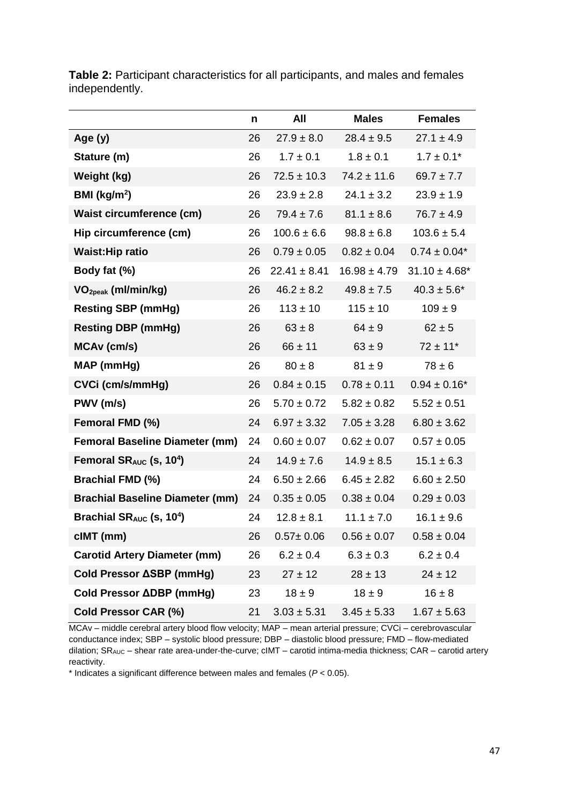|                                                 | n  | All              | <b>Males</b>     | <b>Females</b>     |
|-------------------------------------------------|----|------------------|------------------|--------------------|
| Age $(y)$                                       | 26 | $27.9 \pm 8.0$   | $28.4 \pm 9.5$   | $27.1 \pm 4.9$     |
| Stature (m)                                     | 26 | $1.7 \pm 0.1$    | $1.8 \pm 0.1$    | $1.7 \pm 0.1*$     |
| Weight (kg)                                     | 26 | $72.5 \pm 10.3$  | $74.2 \pm 11.6$  | $69.7 \pm 7.7$     |
| BMI ( $kg/m2$ )                                 | 26 | $23.9 \pm 2.8$   | $24.1 \pm 3.2$   | $23.9 \pm 1.9$     |
| <b>Waist circumference (cm)</b>                 | 26 | $79.4 \pm 7.6$   | $81.1 \pm 8.6$   | $76.7 \pm 4.9$     |
| Hip circumference (cm)                          | 26 | $100.6 \pm 6.6$  | $98.8 \pm 6.8$   | $103.6 \pm 5.4$    |
| <b>Waist: Hip ratio</b>                         | 26 | $0.79 \pm 0.05$  | $0.82 \pm 0.04$  | $0.74 \pm 0.04*$   |
| Body fat (%)                                    | 26 | $22.41 \pm 8.41$ | $16.98 \pm 4.79$ | $31.10 \pm 4.68^*$ |
| VO <sub>2peak</sub> (ml/min/kg)                 | 26 | $46.2 \pm 8.2$   | $49.8 \pm 7.5$   | $40.3 \pm 5.6^*$   |
| <b>Resting SBP (mmHg)</b>                       | 26 | $113 \pm 10$     | $115 \pm 10$     | $109 \pm 9$        |
| <b>Resting DBP (mmHg)</b>                       | 26 | $63 \pm 8$       | $64 \pm 9$       | $62 \pm 5$         |
| MCAv (cm/s)                                     | 26 | $66 \pm 11$      | $63 \pm 9$       | $72 \pm 11$ *      |
| MAP (mmHg)                                      | 26 | $80 \pm 8$       | $81 \pm 9$       | $78 \pm 6$         |
| CVCi (cm/s/mmHg)                                | 26 | $0.84 \pm 0.15$  | $0.78 \pm 0.11$  | $0.94 \pm 0.16^*$  |
| PWV (m/s)                                       | 26 | $5.70 \pm 0.72$  | $5.82 \pm 0.82$  | $5.52 \pm 0.51$    |
| Femoral FMD (%)                                 | 24 | $6.97 \pm 3.32$  | $7.05 \pm 3.28$  | $6.80 \pm 3.62$    |
| <b>Femoral Baseline Diameter (mm)</b>           | 24 | $0.60 \pm 0.07$  | $0.62 \pm 0.07$  | $0.57 \pm 0.05$    |
| Femoral SR <sub>AUC</sub> (s, 10 <sup>4</sup> ) | 24 | $14.9 \pm 7.6$   | $14.9 \pm 8.5$   | $15.1 \pm 6.3$     |
| <b>Brachial FMD (%)</b>                         | 24 | $6.50 \pm 2.66$  | $6.45 \pm 2.82$  | $6.60 \pm 2.50$    |
| <b>Brachial Baseline Diameter (mm)</b>          | 24 | $0.35 \pm 0.05$  | $0.38 \pm 0.04$  | $0.29 \pm 0.03$    |
| Brachial $SR_{AUC}$ (s, 10 <sup>4</sup> )       | 24 | $12.8 \pm 8.1$   | $11.1 \pm 7.0$   | $16.1 \pm 9.6$     |
| cIMT (mm)                                       | 26 | $0.57 \pm 0.06$  | $0.56 \pm 0.07$  | $0.58 \pm 0.04$    |
| <b>Carotid Artery Diameter (mm)</b>             | 26 | $6.2 \pm 0.4$    | $6.3 \pm 0.3$    | $6.2 \pm 0.4$      |
| Cold Pressor ∆SBP (mmHg)                        | 23 | $27 \pm 12$      | $28 \pm 13$      | $24 \pm 12$        |
| Cold Pressor ADBP (mmHg)                        | 23 | $18 \pm 9$       | $18 \pm 9$       | $16 \pm 8$         |
| Cold Pressor CAR (%)                            | 21 | $3.03 \pm 5.31$  | $3.45 \pm 5.33$  | $1.67 \pm 5.63$    |

**Table 2:** Participant characteristics for all participants, and males and females independently.

MCAv – middle cerebral artery blood flow velocity; MAP – mean arterial pressure; CVCi – cerebrovascular conductance index; SBP – systolic blood pressure; DBP – diastolic blood pressure; FMD – flow-mediated dilation; SRAUC – shear rate area-under-the-curve; cIMT – carotid intima-media thickness; CAR – carotid artery reactivity.

\* Indicates a significant difference between males and females (*P* < 0.05).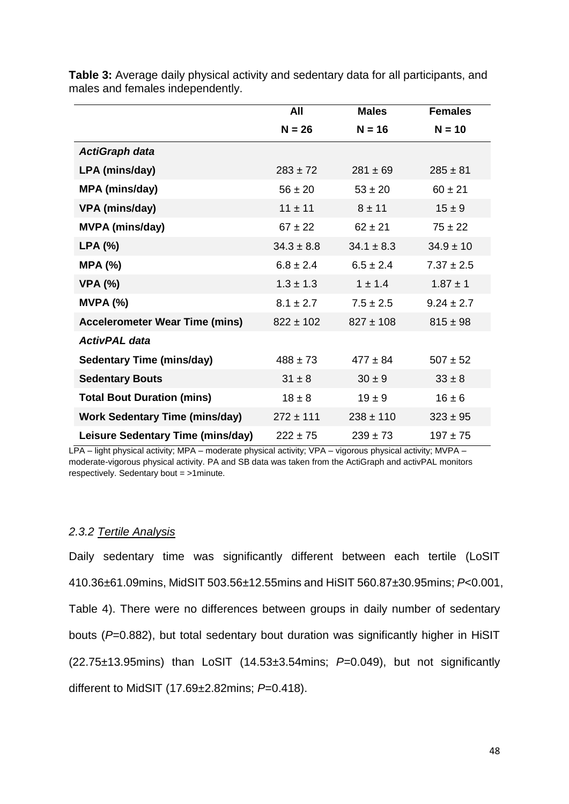|                                       | All            | <b>Males</b>   | <b>Females</b> |
|---------------------------------------|----------------|----------------|----------------|
|                                       | $N = 26$       | $N = 16$       | $N = 10$       |
| <b>ActiGraph data</b>                 |                |                |                |
| LPA (mins/day)                        | $283 \pm 72$   | $281 \pm 69$   | $285 \pm 81$   |
| <b>MPA (mins/day)</b>                 | $56 \pm 20$    | $53 \pm 20$    | $60 \pm 21$    |
| VPA (mins/day)                        | $11 \pm 11$    | $8 + 11$       | $15 \pm 9$     |
| <b>MVPA (mins/day)</b>                | $67 \pm 22$    | $62 \pm 21$    | $75 \pm 22$    |
| LPA(%)                                | $34.3 \pm 8.8$ | $34.1 \pm 8.3$ | $34.9 \pm 10$  |
| MPA (%)                               | $6.8 \pm 2.4$  | $6.5 \pm 2.4$  | $7.37 \pm 2.5$ |
| <b>VPA (%)</b>                        | $1.3 \pm 1.3$  | $1 \pm 1.4$    | $1.87 \pm 1$   |
| MVPA (%)                              | $8.1 \pm 2.7$  | $7.5 \pm 2.5$  | $9.24 \pm 2.7$ |
| <b>Accelerometer Wear Time (mins)</b> | $822 \pm 102$  | $827 \pm 108$  | $815 \pm 98$   |
| <b>ActivPAL data</b>                  |                |                |                |
| <b>Sedentary Time (mins/day)</b>      | $488 \pm 73$   | $477 \pm 84$   | $507 \pm 52$   |
| <b>Sedentary Bouts</b>                | $31 \pm 8$     | $30 \pm 9$     | $33 \pm 8$     |
| <b>Total Bout Duration (mins)</b>     | $18 \pm 8$     | $19 \pm 9$     | $16 \pm 6$     |
| <b>Work Sedentary Time (mins/day)</b> | $272 \pm 111$  | $238 \pm 110$  | $323 \pm 95$   |
| Leisure Sedentary Time (mins/day)     | $222 \pm 75$   | $239 \pm 73$   | $197 + 75$     |

**Table 3:** Average daily physical activity and sedentary data for all participants, and males and females independently.

LPA – light physical activity; MPA – moderate physical activity; VPA – vigorous physical activity; MVPA – moderate-vigorous physical activity. PA and SB data was taken from the ActiGraph and activPAL monitors respectively. Sedentary bout = >1minute.

#### *2.3.2 Tertile Analysis*

Daily sedentary time was significantly different between each tertile (LoSIT 410.36±61.09mins, MidSIT 503.56±12.55mins and HiSIT 560.87±30.95mins; *P*<0.001, Table 4). There were no differences between groups in daily number of sedentary bouts (*P*=0.882), but total sedentary bout duration was significantly higher in HiSIT (22.75±13.95mins) than LoSIT (14.53±3.54mins; *P*=0.049), but not significantly different to MidSIT (17.69±2.82mins; *P*=0.418).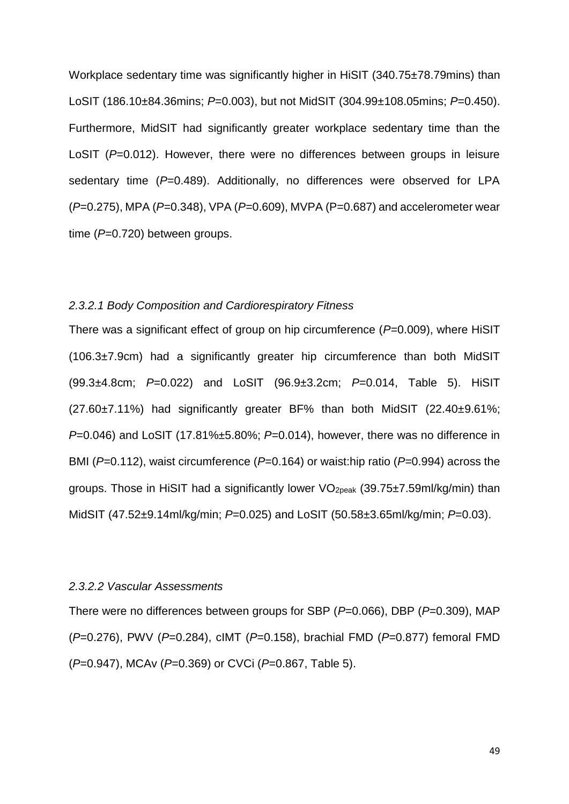Workplace sedentary time was significantly higher in HiSIT (340.75±78.79mins) than LoSIT (186.10±84.36mins; *P*=0.003), but not MidSIT (304.99±108.05mins; *P*=0.450). Furthermore, MidSIT had significantly greater workplace sedentary time than the LoSIT (P=0.012). However, there were no differences between groups in leisure sedentary time ( $P=0.489$ ). Additionally, no differences were observed for LPA (*P*=0.275), MPA (*P*=0.348), VPA (*P*=0.609), MVPA (P=0.687) and accelerometer wear time (P=0.720) between groups.

### *2.3.2.1 Body Composition and Cardiorespiratory Fitness*

There was a significant effect of group on hip circumference ( $P=0.009$ ), where HiSIT (106.3±7.9cm) had a significantly greater hip circumference than both MidSIT (99.3±4.8cm; *P*=0.022) and LoSIT (96.9±3.2cm; *P*=0.014, Table 5). HiSIT (27.60±7.11%) had significantly greater BF% than both MidSIT (22.40±9.61%; *P*=0.046) and LoSIT (17.81%±5.80%; *P*=0.014), however, there was no difference in BMI (*P*=0.112), waist circumference (*P*=0.164) or waist:hip ratio (*P*=0.994) across the groups. Those in HiSIT had a significantly lower VO2peak (39.75±7.59ml/kg/min) than MidSIT (47.52±9.14ml/kg/min; *P*=0.025) and LoSIT (50.58±3.65ml/kg/min; *P*=0.03).

## *2.3.2.2 Vascular Assessments*

There were no differences between groups for SBP (*P*=0.066), DBP (*P*=0.309), MAP (*P*=0.276), PWV (*P*=0.284), cIMT (*P*=0.158), brachial FMD (*P*=0.877) femoral FMD (*P*=0.947), MCAv (*P*=0.369) or CVCi (*P*=0.867, Table 5).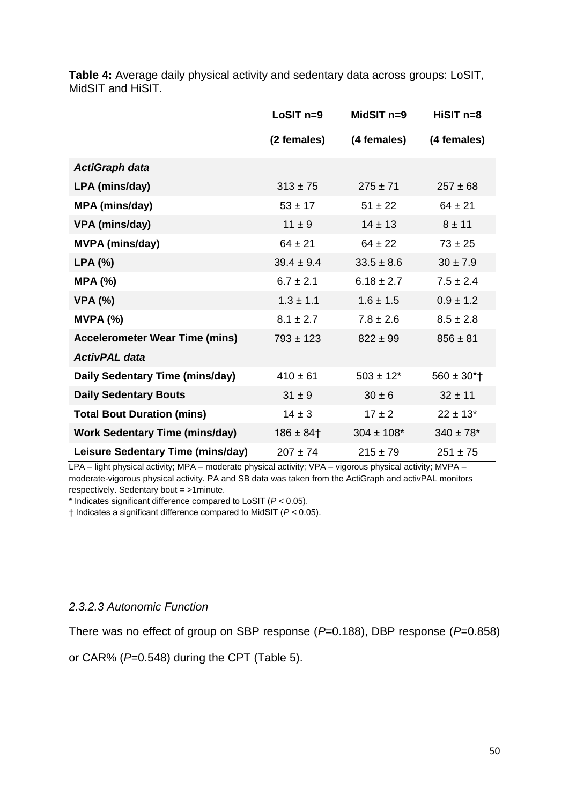|                                       | LoSIT <sub>n=9</sub> | MidSIT $n=9$    | $HISIT$ n=8                 |
|---------------------------------------|----------------------|-----------------|-----------------------------|
|                                       | (2 females)          | (4 females)     | (4 females)                 |
| <b>ActiGraph data</b>                 |                      |                 |                             |
| LPA (mins/day)                        | $313 \pm 75$         | $275 \pm 71$    | $257 \pm 68$                |
| <b>MPA (mins/day)</b>                 | $53 \pm 17$          | $51 \pm 22$     | $64 \pm 21$                 |
| VPA (mins/day)                        | $11 \pm 9$           | $14 \pm 13$     | $8 + 11$                    |
| <b>MVPA (mins/day)</b>                | $64 \pm 21$          | $64 \pm 22$     | $73 \pm 25$                 |
| LPA (%)                               | $39.4 \pm 9.4$       | $33.5 \pm 8.6$  | $30 \pm 7.9$                |
| <b>MPA (%)</b>                        | $6.7 \pm 2.1$        | $6.18 \pm 2.7$  | $7.5 \pm 2.4$               |
| <b>VPA (%)</b>                        | $1.3 \pm 1.1$        | $1.6 \pm 1.5$   | $0.9 \pm 1.2$               |
| MVPA (%)                              | $8.1 \pm 2.7$        | $7.8 \pm 2.6$   | $8.5 \pm 2.8$               |
| <b>Accelerometer Wear Time (mins)</b> | $793 \pm 123$        | $822 \pm 99$    | $856 \pm 81$                |
| <b>ActivPAL data</b>                  |                      |                 |                             |
| Daily Sedentary Time (mins/day)       | $410 \pm 61$         | $503 \pm 12$ *  | $560 \pm 30$ <sup>*</sup> T |
| <b>Daily Sedentary Bouts</b>          | $31 \pm 9$           | $30 \pm 6$      | $32 \pm 11$                 |
| <b>Total Bout Duration (mins)</b>     | $14 \pm 3$           | $17 \pm 2$      | $22 \pm 13$ *               |
| <b>Work Sedentary Time (mins/day)</b> | $186 \pm 84$ †       | $304 \pm 108$ * | $340 \pm 78$ *              |
| Leisure Sedentary Time (mins/day)     | $207 \pm 74$         | $215 \pm 79$    | $251 \pm 75$                |

**Table 4:** Average daily physical activity and sedentary data across groups: LoSIT, MidSIT and HiSIT.

LPA – light physical activity; MPA – moderate physical activity; VPA – vigorous physical activity; MVPA – moderate-vigorous physical activity. PA and SB data was taken from the ActiGraph and activPAL monitors respectively. Sedentary bout = >1minute.

\* Indicates significant difference compared to LoSIT (*P* < 0.05).

† Indicates a significant difference compared to MidSIT (*P* < 0.05).

## *2.3.2.3 Autonomic Function*

There was no effect of group on SBP response (*P*=0.188), DBP response (*P*=0.858)

or CAR% (*P*=0.548) during the CPT (Table 5).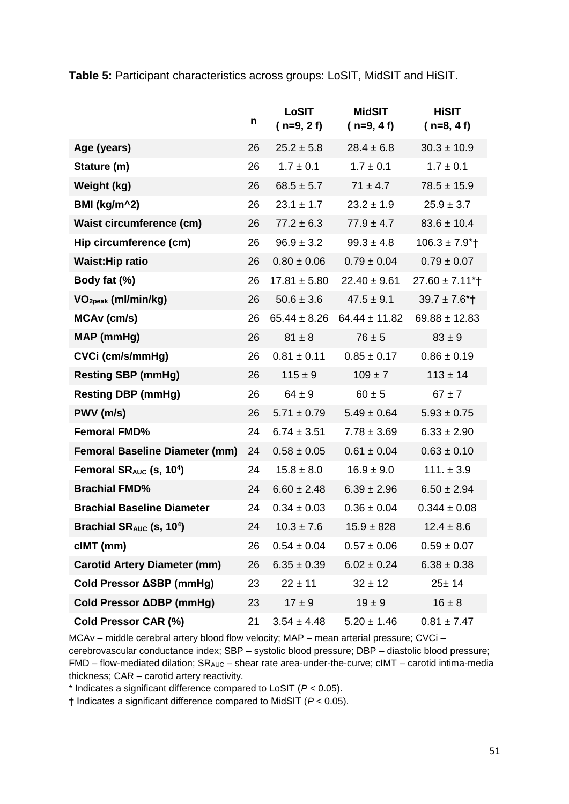|                                          | n  | LoSIT<br>$(n=9, 2f)$ | <b>MidSIT</b><br>$(n=9, 4f)$ | <b>HiSIT</b><br>$(n=8, 4f)$   |
|------------------------------------------|----|----------------------|------------------------------|-------------------------------|
| Age (years)                              | 26 | $25.2 \pm 5.8$       | $28.4 \pm 6.8$               | $30.3 \pm 10.9$               |
| Stature (m)                              | 26 | $1.7 \pm 0.1$        | $1.7 \pm 0.1$                | $1.7 \pm 0.1$                 |
| Weight (kg)                              | 26 | $68.5 \pm 5.7$       | $71 \pm 4.7$                 | $78.5 \pm 15.9$               |
| BMI (kg/m^2)                             | 26 | $23.1 \pm 1.7$       | $23.2 \pm 1.9$               | $25.9 \pm 3.7$                |
| <b>Waist circumference (cm)</b>          | 26 | $77.2 \pm 6.3$       | $77.9 \pm 4.7$               | $83.6 \pm 10.4$               |
| Hip circumference (cm)                   | 26 | $96.9 \pm 3.2$       | $99.3 \pm 4.8$               | $106.3 \pm 7.9$ * †           |
| <b>Waist: Hip ratio</b>                  | 26 | $0.80 \pm 0.06$      | $0.79 \pm 0.04$              | $0.79 \pm 0.07$               |
| Body fat (%)                             | 26 | $17.81 \pm 5.80$     | $22.40 \pm 9.61$             | $27.60 \pm 7.11$ <sup>*</sup> |
| VO <sub>2peak</sub> (ml/min/kg)          | 26 | $50.6 \pm 3.6$       | $47.5 \pm 9.1$               | $39.7 \pm 7.6$ <sup>*</sup>   |
| MCAv (cm/s)                              | 26 | $65.44 \pm 8.26$     | $64.44 \pm 11.82$            | $69.88 \pm 12.83$             |
| <b>MAP</b> (mmHg)                        | 26 | $81 \pm 8$           | $76 \pm 5$                   | $83 \pm 9$                    |
| CVCi (cm/s/mmHg)                         | 26 | $0.81 \pm 0.11$      | $0.85 \pm 0.17$              | $0.86 \pm 0.19$               |
| <b>Resting SBP (mmHg)</b>                | 26 | $115 \pm 9$          | $109 \pm 7$                  | $113 \pm 14$                  |
| <b>Resting DBP (mmHg)</b>                | 26 | $64 \pm 9$           | $60 \pm 5$                   | $67 \pm 7$                    |
| PWV (m/s)                                | 26 | $5.71 \pm 0.79$      | $5.49 \pm 0.64$              | $5.93 \pm 0.75$               |
| <b>Femoral FMD%</b>                      | 24 | $6.74 \pm 3.51$      | $7.78 \pm 3.69$              | $6.33 \pm 2.90$               |
| <b>Femoral Baseline Diameter (mm)</b>    | 24 | $0.58 \pm 0.05$      | $0.61 \pm 0.04$              | $0.63 \pm 0.10$               |
| Femoral $SR_{AUC}$ (s, 10 <sup>4</sup> ) | 24 | $15.8 \pm 8.0$       | $16.9 \pm 9.0$               | $111. \pm 3.9$                |
| <b>Brachial FMD%</b>                     | 24 | $6.60 \pm 2.48$      | $6.39 \pm 2.96$              | $6.50 \pm 2.94$               |
| <b>Brachial Baseline Diameter</b>        | 24 | $0.34 \pm 0.03$      | $0.36 \pm 0.04$              | $0.344 \pm 0.08$              |
| Brachial SRAUC (s, 10 <sup>4</sup> )     | 24 | $10.3 \pm 7.6$       | $15.9 \pm 828$               | $12.4 \pm 8.6$                |
| $clMT$ (mm)                              | 26 | $0.54 \pm 0.04$      | $0.57 \pm 0.06$              | $0.59 \pm 0.07$               |
| <b>Carotid Artery Diameter (mm)</b>      | 26 | $6.35 \pm 0.39$      | $6.02 \pm 0.24$              | $6.38 \pm 0.38$               |
| Cold Pressor ∆SBP (mmHg)                 | 23 | $22 \pm 11$          | $32 \pm 12$                  | $25 + 14$                     |
| Cold Pressor ΔDBP (mmHg)                 | 23 | $17 \pm 9$           | $19 \pm 9$                   | $16 \pm 8$                    |
| Cold Pressor CAR (%)                     | 21 | $3.54 \pm 4.48$      | $5.20 \pm 1.46$              | $0.81 \pm 7.47$               |

**Table 5:** Participant characteristics across groups: LoSIT, MidSIT and HiSIT.

MCAv – middle cerebral artery blood flow velocity; MAP – mean arterial pressure; CVCi – cerebrovascular conductance index; SBP – systolic blood pressure; DBP – diastolic blood pressure; FMD – flow-mediated dilation; SRAUC – shear rate area-under-the-curve; cIMT – carotid intima-media thickness; CAR – carotid artery reactivity.

\* Indicates a significant difference compared to LoSIT (*P* < 0.05).

† Indicates a significant difference compared to MidSIT (*P* < 0.05).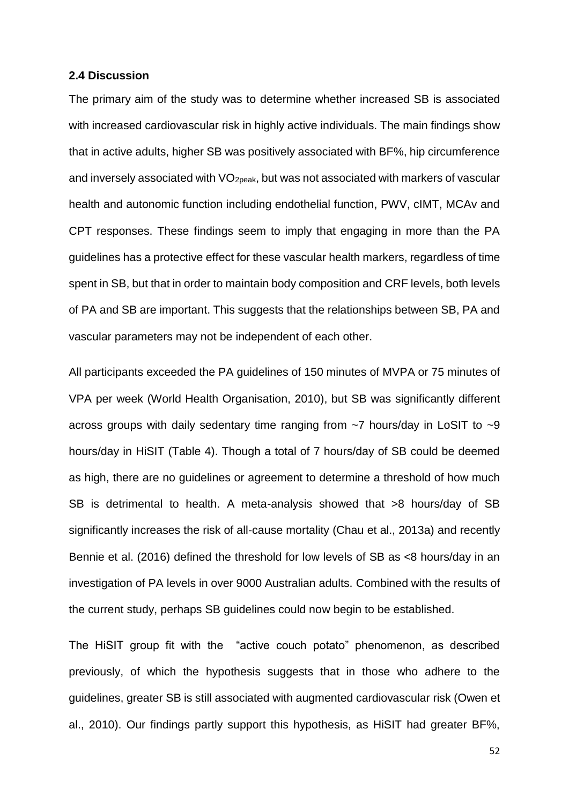## **2.4 Discussion**

The primary aim of the study was to determine whether increased SB is associated with increased cardiovascular risk in highly active individuals. The main findings show that in active adults, higher SB was positively associated with BF%, hip circumference and inversely associated with VO<sub>2peak</sub>, but was not associated with markers of vascular health and autonomic function including endothelial function, PWV, cIMT, MCAv and CPT responses. These findings seem to imply that engaging in more than the PA guidelines has a protective effect for these vascular health markers, regardless of time spent in SB, but that in order to maintain body composition and CRF levels, both levels of PA and SB are important. This suggests that the relationships between SB, PA and vascular parameters may not be independent of each other.

All participants exceeded the PA guidelines of 150 minutes of MVPA or 75 minutes of VPA per week (World Health Organisation, 2010), but SB was significantly different across groups with daily sedentary time ranging from ~7 hours/day in LoSIT to ~9 hours/day in HiSIT (Table 4). Though a total of 7 hours/day of SB could be deemed as high, there are no guidelines or agreement to determine a threshold of how much SB is detrimental to health. A meta-analysis showed that >8 hours/day of SB significantly increases the risk of all-cause mortality (Chau et al., 2013a) and recently Bennie et al. (2016) defined the threshold for low levels of SB as <8 hours/day in an investigation of PA levels in over 9000 Australian adults. Combined with the results of the current study, perhaps SB guidelines could now begin to be established.

The HiSIT group fit with the "active couch potato" phenomenon, as described previously, of which the hypothesis suggests that in those who adhere to the guidelines, greater SB is still associated with augmented cardiovascular risk (Owen et al., 2010). Our findings partly support this hypothesis, as HiSIT had greater BF%,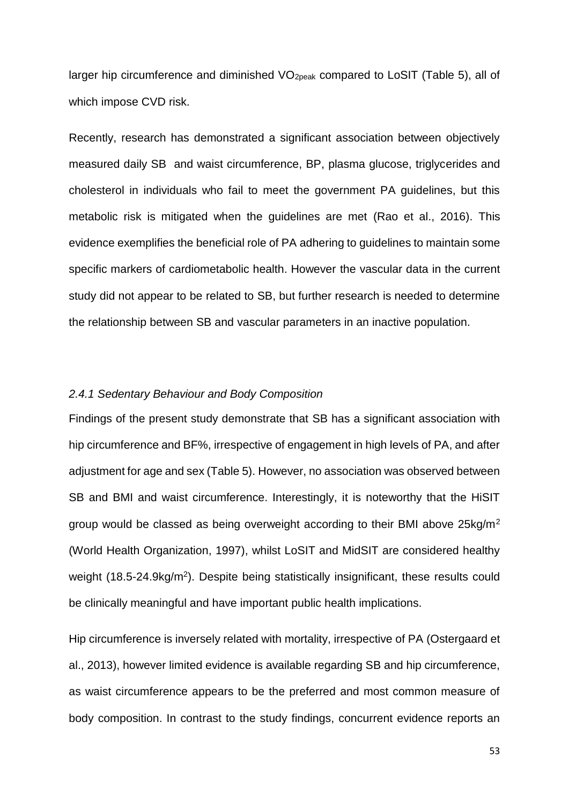larger hip circumference and diminished VO<sub>2peak</sub> compared to LoSIT (Table 5), all of which impose CVD risk.

Recently, research has demonstrated a significant association between objectively measured daily SB and waist circumference, BP, plasma glucose, triglycerides and cholesterol in individuals who fail to meet the government PA guidelines, but this metabolic risk is mitigated when the guidelines are met (Rao et al., 2016). This evidence exemplifies the beneficial role of PA adhering to guidelines to maintain some specific markers of cardiometabolic health. However the vascular data in the current study did not appear to be related to SB, but further research is needed to determine the relationship between SB and vascular parameters in an inactive population.

# *2.4.1 Sedentary Behaviour and Body Composition*

Findings of the present study demonstrate that SB has a significant association with hip circumference and BF%, irrespective of engagement in high levels of PA, and after adjustment for age and sex (Table 5). However, no association was observed between SB and BMI and waist circumference. Interestingly, it is noteworthy that the HiSIT group would be classed as being overweight according to their BMI above 25kg/m<sup>2</sup> (World Health Organization, 1997), whilst LoSIT and MidSIT are considered healthy weight (18.5-24.9kg/m<sup>2</sup>). Despite being statistically insignificant, these results could be clinically meaningful and have important public health implications.

Hip circumference is inversely related with mortality, irrespective of PA (Ostergaard et al., 2013), however limited evidence is available regarding SB and hip circumference, as waist circumference appears to be the preferred and most common measure of body composition. In contrast to the study findings, concurrent evidence reports an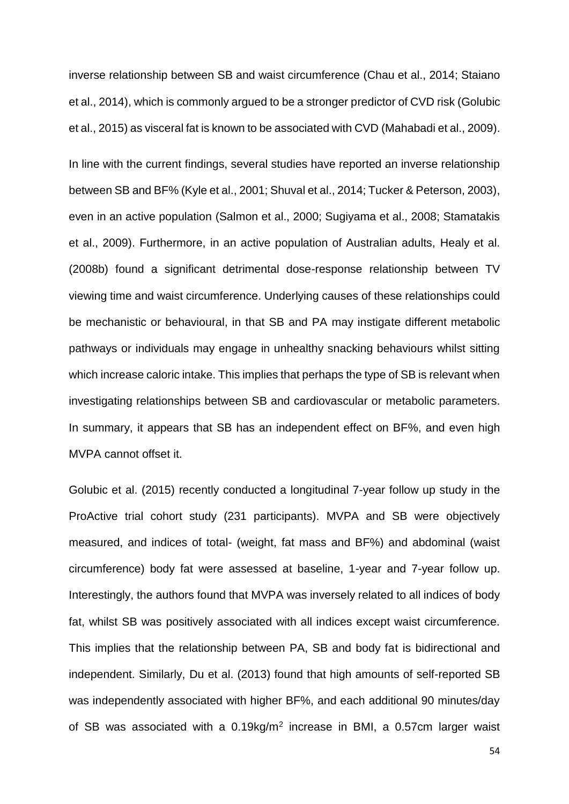inverse relationship between SB and waist circumference (Chau et al., 2014; Staiano et al., 2014), which is commonly argued to be a stronger predictor of CVD risk (Golubic et al., 2015) as visceral fat is known to be associated with CVD (Mahabadi et al., 2009).

In line with the current findings, several studies have reported an inverse relationship between SB and BF% (Kyle et al., 2001; Shuval et al., 2014; Tucker & Peterson, 2003), even in an active population (Salmon et al., 2000; Sugiyama et al., 2008; Stamatakis et al., 2009). Furthermore, in an active population of Australian adults, Healy et al. (2008b) found a significant detrimental dose-response relationship between TV viewing time and waist circumference. Underlying causes of these relationships could be mechanistic or behavioural, in that SB and PA may instigate different metabolic pathways or individuals may engage in unhealthy snacking behaviours whilst sitting which increase caloric intake. This implies that perhaps the type of SB is relevant when investigating relationships between SB and cardiovascular or metabolic parameters. In summary, it appears that SB has an independent effect on BF%, and even high MVPA cannot offset it.

Golubic et al. (2015) recently conducted a longitudinal 7-year follow up study in the ProActive trial cohort study (231 participants). MVPA and SB were objectively measured, and indices of total- (weight, fat mass and BF%) and abdominal (waist circumference) body fat were assessed at baseline, 1-year and 7-year follow up. Interestingly, the authors found that MVPA was inversely related to all indices of body fat, whilst SB was positively associated with all indices except waist circumference. This implies that the relationship between PA, SB and body fat is bidirectional and independent. Similarly, Du et al. (2013) found that high amounts of self-reported SB was independently associated with higher BF%, and each additional 90 minutes/day of SB was associated with a  $0.19 \text{kg/m}^2$  increase in BMI, a  $0.57 \text{cm}$  larger waist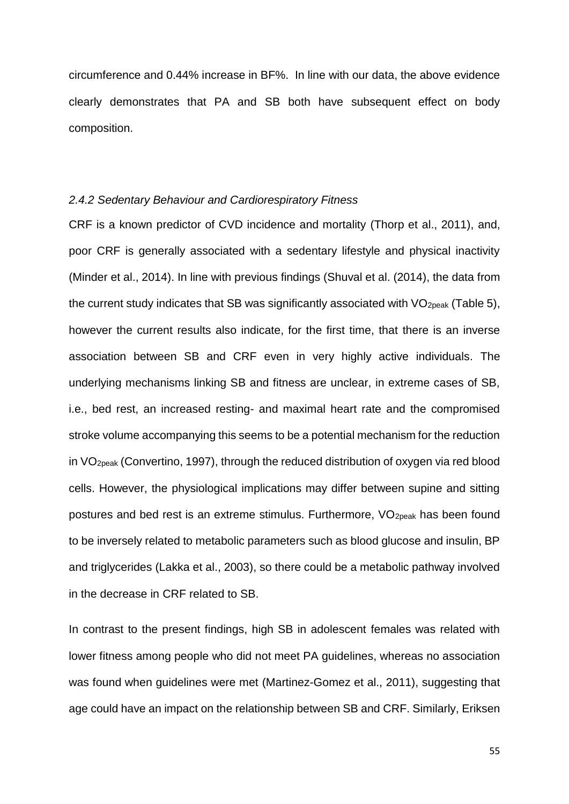circumference and 0.44% increase in BF%. In line with our data, the above evidence clearly demonstrates that PA and SB both have subsequent effect on body composition.

# *2.4.2 Sedentary Behaviour and Cardiorespiratory Fitness*

CRF is a known predictor of CVD incidence and mortality (Thorp et al., 2011), and, poor CRF is generally associated with a sedentary lifestyle and physical inactivity (Minder et al., 2014). In line with previous findings (Shuval et al. (2014), the data from the current study indicates that SB was significantly associated with  $VO<sub>20eak</sub>$  (Table 5), however the current results also indicate, for the first time, that there is an inverse association between SB and CRF even in very highly active individuals. The underlying mechanisms linking SB and fitness are unclear, in extreme cases of SB, i.e., bed rest, an increased resting- and maximal heart rate and the compromised stroke volume accompanying this seems to be a potential mechanism for the reduction in VO2peak (Convertino, 1997), through the reduced distribution of oxygen via red blood cells. However, the physiological implications may differ between supine and sitting postures and bed rest is an extreme stimulus. Furthermore, VO<sub>2peak</sub> has been found to be inversely related to metabolic parameters such as blood glucose and insulin, BP and triglycerides (Lakka et al., 2003), so there could be a metabolic pathway involved in the decrease in CRF related to SB.

In contrast to the present findings, high SB in adolescent females was related with lower fitness among people who did not meet PA guidelines, whereas no association was found when guidelines were met (Martinez-Gomez et al., 2011), suggesting that age could have an impact on the relationship between SB and CRF. Similarly, Eriksen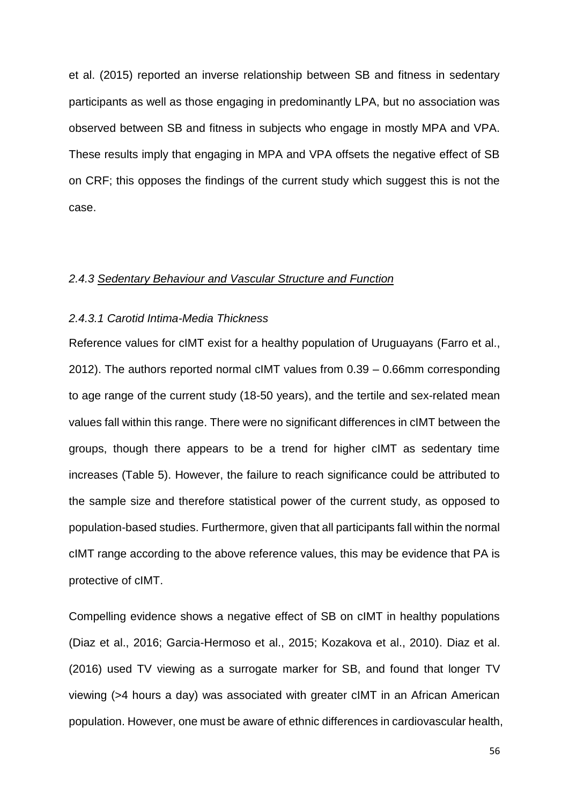et al. (2015) reported an inverse relationship between SB and fitness in sedentary participants as well as those engaging in predominantly LPA, but no association was observed between SB and fitness in subjects who engage in mostly MPA and VPA. These results imply that engaging in MPA and VPA offsets the negative effect of SB on CRF; this opposes the findings of the current study which suggest this is not the case.

#### *2.4.3 Sedentary Behaviour and Vascular Structure and Function*

#### *2.4.3.1 Carotid Intima-Media Thickness*

Reference values for cIMT exist for a healthy population of Uruguayans (Farro et al., 2012). The authors reported normal cIMT values from 0.39 – 0.66mm corresponding to age range of the current study (18-50 years), and the tertile and sex-related mean values fall within this range. There were no significant differences in cIMT between the groups, though there appears to be a trend for higher cIMT as sedentary time increases (Table 5). However, the failure to reach significance could be attributed to the sample size and therefore statistical power of the current study, as opposed to population-based studies. Furthermore, given that all participants fall within the normal cIMT range according to the above reference values, this may be evidence that PA is protective of cIMT.

Compelling evidence shows a negative effect of SB on cIMT in healthy populations (Diaz et al., 2016; Garcia-Hermoso et al., 2015; Kozakova et al., 2010). Diaz et al. (2016) used TV viewing as a surrogate marker for SB, and found that longer TV viewing (>4 hours a day) was associated with greater cIMT in an African American population. However, one must be aware of ethnic differences in cardiovascular health,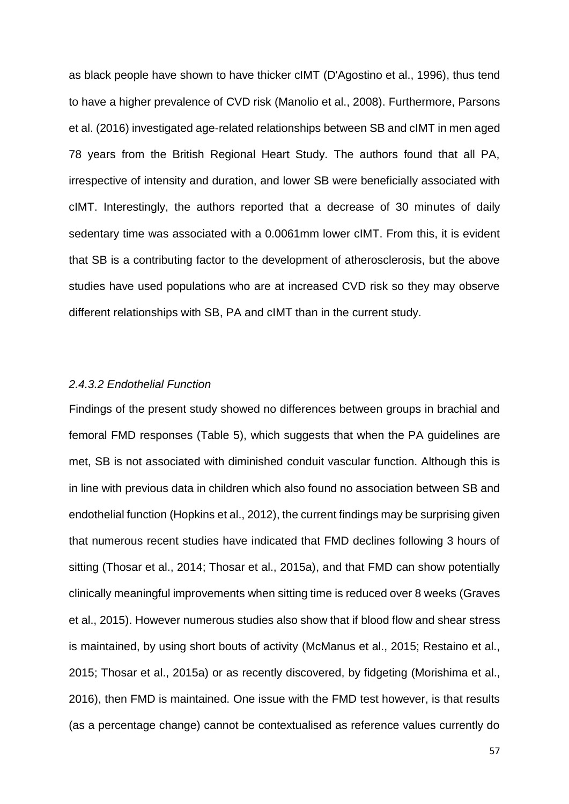as black people have shown to have thicker cIMT (D'Agostino et al., 1996), thus tend to have a higher prevalence of CVD risk (Manolio et al., 2008). Furthermore, Parsons et al. (2016) investigated age-related relationships between SB and cIMT in men aged 78 years from the British Regional Heart Study. The authors found that all PA, irrespective of intensity and duration, and lower SB were beneficially associated with cIMT. Interestingly, the authors reported that a decrease of 30 minutes of daily sedentary time was associated with a 0.0061mm lower cIMT. From this, it is evident that SB is a contributing factor to the development of atherosclerosis, but the above studies have used populations who are at increased CVD risk so they may observe different relationships with SB, PA and cIMT than in the current study.

### *2.4.3.2 Endothelial Function*

Findings of the present study showed no differences between groups in brachial and femoral FMD responses (Table 5), which suggests that when the PA guidelines are met, SB is not associated with diminished conduit vascular function. Although this is in line with previous data in children which also found no association between SB and endothelial function (Hopkins et al., 2012), the current findings may be surprising given that numerous recent studies have indicated that FMD declines following 3 hours of sitting (Thosar et al., 2014; Thosar et al., 2015a), and that FMD can show potentially clinically meaningful improvements when sitting time is reduced over 8 weeks (Graves et al., 2015). However numerous studies also show that if blood flow and shear stress is maintained, by using short bouts of activity (McManus et al., 2015; Restaino et al., 2015; Thosar et al., 2015a) or as recently discovered, by fidgeting (Morishima et al., 2016), then FMD is maintained. One issue with the FMD test however, is that results (as a percentage change) cannot be contextualised as reference values currently do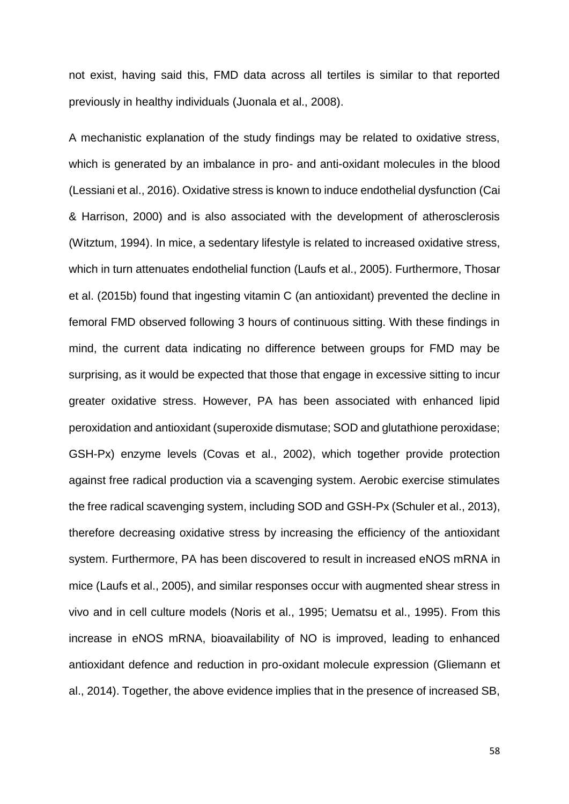not exist, having said this, FMD data across all tertiles is similar to that reported previously in healthy individuals (Juonala et al., 2008).

A mechanistic explanation of the study findings may be related to oxidative stress, which is generated by an imbalance in pro- and anti-oxidant molecules in the blood (Lessiani et al., 2016). Oxidative stress is known to induce endothelial dysfunction (Cai & Harrison, 2000) and is also associated with the development of atherosclerosis (Witztum, 1994). In mice, a sedentary lifestyle is related to increased oxidative stress, which in turn attenuates endothelial function (Laufs et al., 2005). Furthermore, Thosar et al. (2015b) found that ingesting vitamin C (an antioxidant) prevented the decline in femoral FMD observed following 3 hours of continuous sitting. With these findings in mind, the current data indicating no difference between groups for FMD may be surprising, as it would be expected that those that engage in excessive sitting to incur greater oxidative stress. However, PA has been associated with enhanced lipid peroxidation and antioxidant (superoxide dismutase; SOD and glutathione peroxidase; GSH-Px) enzyme levels (Covas et al., 2002), which together provide protection against free radical production via a scavenging system. Aerobic exercise stimulates the free radical scavenging system, including SOD and GSH-Px (Schuler et al., 2013), therefore decreasing oxidative stress by increasing the efficiency of the antioxidant system. Furthermore, PA has been discovered to result in increased eNOS mRNA in mice (Laufs et al., 2005), and similar responses occur with augmented shear stress in vivo and in cell culture models (Noris et al., 1995; Uematsu et al., 1995). From this increase in eNOS mRNA, bioavailability of NO is improved, leading to enhanced antioxidant defence and reduction in pro-oxidant molecule expression (Gliemann et al., 2014). Together, the above evidence implies that in the presence of increased SB,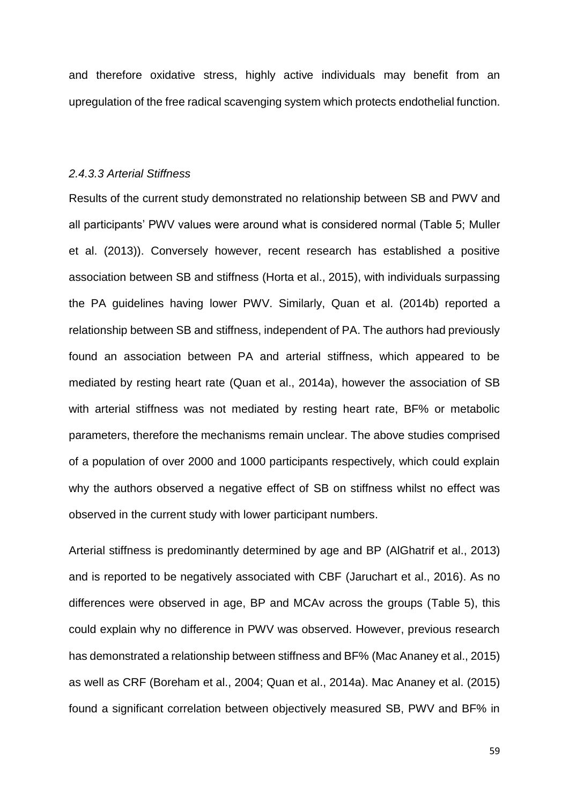and therefore oxidative stress, highly active individuals may benefit from an upregulation of the free radical scavenging system which protects endothelial function.

# *2.4.3.3 Arterial Stiffness*

Results of the current study demonstrated no relationship between SB and PWV and all participants' PWV values were around what is considered normal (Table 5; Muller et al. (2013)). Conversely however, recent research has established a positive association between SB and stiffness (Horta et al., 2015), with individuals surpassing the PA guidelines having lower PWV. Similarly, Quan et al. (2014b) reported a relationship between SB and stiffness, independent of PA. The authors had previously found an association between PA and arterial stiffness, which appeared to be mediated by resting heart rate (Quan et al., 2014a), however the association of SB with arterial stiffness was not mediated by resting heart rate, BF% or metabolic parameters, therefore the mechanisms remain unclear. The above studies comprised of a population of over 2000 and 1000 participants respectively, which could explain why the authors observed a negative effect of SB on stiffness whilst no effect was observed in the current study with lower participant numbers.

Arterial stiffness is predominantly determined by age and BP (AlGhatrif et al., 2013) and is reported to be negatively associated with CBF (Jaruchart et al., 2016). As no differences were observed in age, BP and MCAv across the groups (Table 5), this could explain why no difference in PWV was observed. However, previous research has demonstrated a relationship between stiffness and BF% (Mac Ananey et al., 2015) as well as CRF (Boreham et al., 2004; Quan et al., 2014a). Mac Ananey et al. (2015) found a significant correlation between objectively measured SB, PWV and BF% in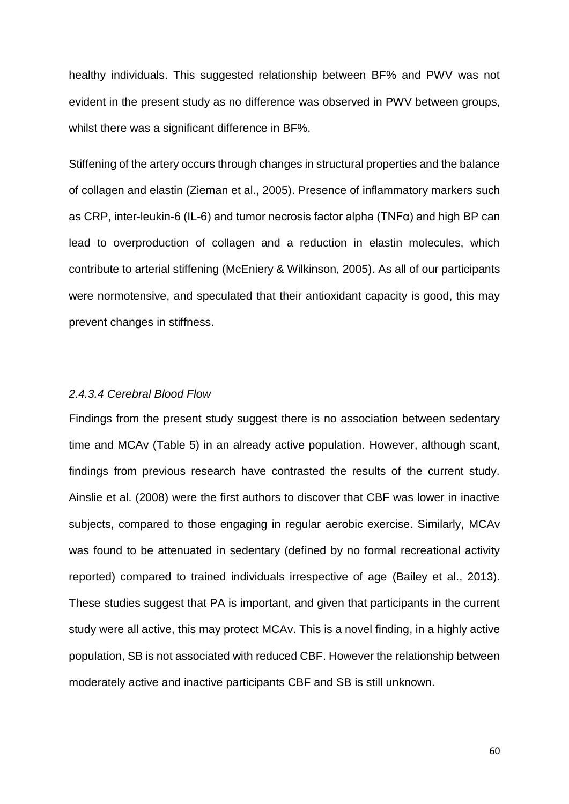healthy individuals. This suggested relationship between BF% and PWV was not evident in the present study as no difference was observed in PWV between groups, whilst there was a significant difference in BF%.

Stiffening of the artery occurs through changes in structural properties and the balance of collagen and elastin (Zieman et al., 2005). Presence of inflammatory markers such as CRP, inter-leukin-6 (IL-6) and tumor necrosis factor alpha (TNFα) and high BP can lead to overproduction of collagen and a reduction in elastin molecules, which contribute to arterial stiffening (McEniery & Wilkinson, 2005). As all of our participants were normotensive, and speculated that their antioxidant capacity is good, this may prevent changes in stiffness.

### *2.4.3.4 Cerebral Blood Flow*

Findings from the present study suggest there is no association between sedentary time and MCAv (Table 5) in an already active population. However, although scant, findings from previous research have contrasted the results of the current study. Ainslie et al. (2008) were the first authors to discover that CBF was lower in inactive subjects, compared to those engaging in regular aerobic exercise. Similarly, MCAv was found to be attenuated in sedentary (defined by no formal recreational activity reported) compared to trained individuals irrespective of age (Bailey et al., 2013). These studies suggest that PA is important, and given that participants in the current study were all active, this may protect MCAv. This is a novel finding, in a highly active population, SB is not associated with reduced CBF. However the relationship between moderately active and inactive participants CBF and SB is still unknown.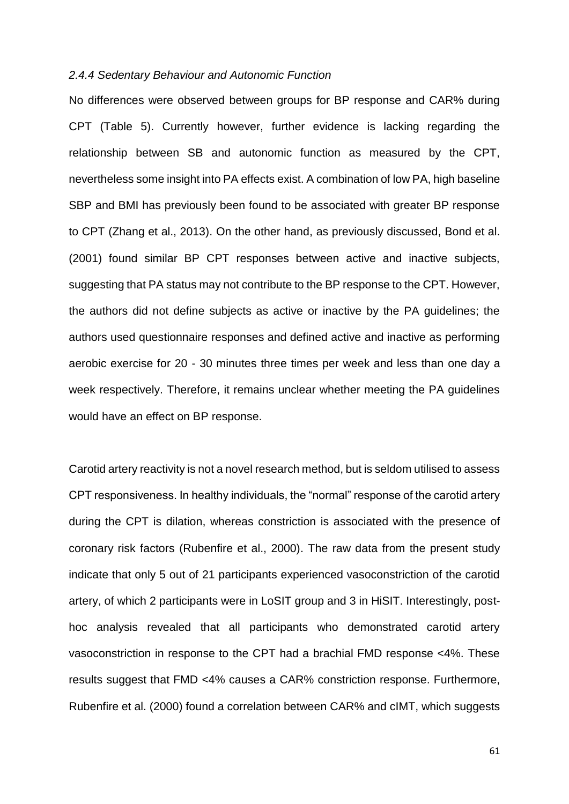#### *2.4.4 Sedentary Behaviour and Autonomic Function*

No differences were observed between groups for BP response and CAR% during CPT (Table 5). Currently however, further evidence is lacking regarding the relationship between SB and autonomic function as measured by the CPT, nevertheless some insight into PA effects exist. A combination of low PA, high baseline SBP and BMI has previously been found to be associated with greater BP response to CPT (Zhang et al., 2013). On the other hand, as previously discussed, Bond et al. (2001) found similar BP CPT responses between active and inactive subjects, suggesting that PA status may not contribute to the BP response to the CPT. However, the authors did not define subjects as active or inactive by the PA guidelines; the authors used questionnaire responses and defined active and inactive as performing aerobic exercise for 20 - 30 minutes three times per week and less than one day a week respectively. Therefore, it remains unclear whether meeting the PA guidelines would have an effect on BP response.

Carotid artery reactivity is not a novel research method, but is seldom utilised to assess CPT responsiveness. In healthy individuals, the "normal" response of the carotid artery during the CPT is dilation, whereas constriction is associated with the presence of coronary risk factors (Rubenfire et al., 2000). The raw data from the present study indicate that only 5 out of 21 participants experienced vasoconstriction of the carotid artery, of which 2 participants were in LoSIT group and 3 in HiSIT. Interestingly, posthoc analysis revealed that all participants who demonstrated carotid artery vasoconstriction in response to the CPT had a brachial FMD response <4%. These results suggest that FMD <4% causes a CAR% constriction response. Furthermore, Rubenfire et al. (2000) found a correlation between CAR% and cIMT, which suggests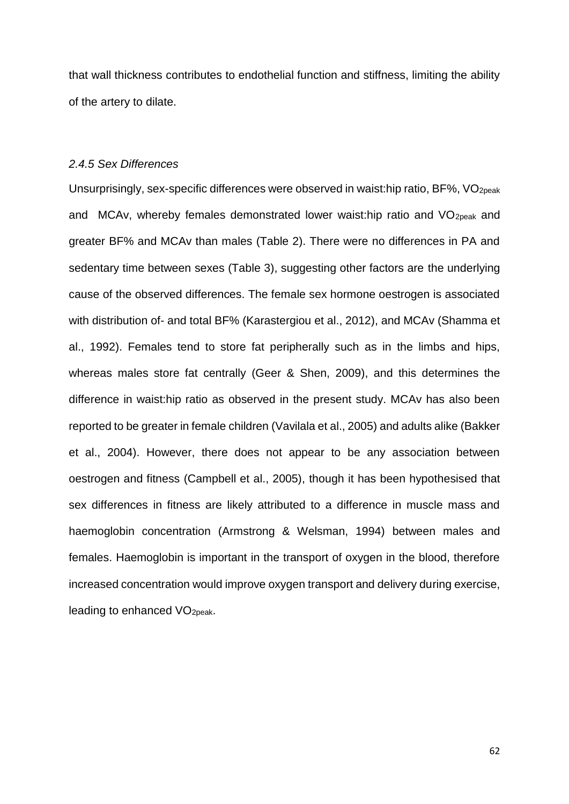that wall thickness contributes to endothelial function and stiffness, limiting the ability of the artery to dilate.

## *2.4.5 Sex Differences*

Unsurprisingly, sex-specific differences were observed in waist:hip ratio, BF%, VO2peak and MCAv, whereby females demonstrated lower waist:hip ratio and VO<sub>2peak</sub> and greater BF% and MCAv than males (Table 2). There were no differences in PA and sedentary time between sexes (Table 3), suggesting other factors are the underlying cause of the observed differences. The female sex hormone oestrogen is associated with distribution of- and total BF% (Karastergiou et al., 2012), and MCAv (Shamma et al., 1992). Females tend to store fat peripherally such as in the limbs and hips, whereas males store fat centrally (Geer & Shen, 2009), and this determines the difference in waist:hip ratio as observed in the present study. MCAv has also been reported to be greater in female children (Vavilala et al., 2005) and adults alike (Bakker et al., 2004). However, there does not appear to be any association between oestrogen and fitness (Campbell et al., 2005), though it has been hypothesised that sex differences in fitness are likely attributed to a difference in muscle mass and haemoglobin concentration (Armstrong & Welsman, 1994) between males and females. Haemoglobin is important in the transport of oxygen in the blood, therefore increased concentration would improve oxygen transport and delivery during exercise, leading to enhanced VO2peak.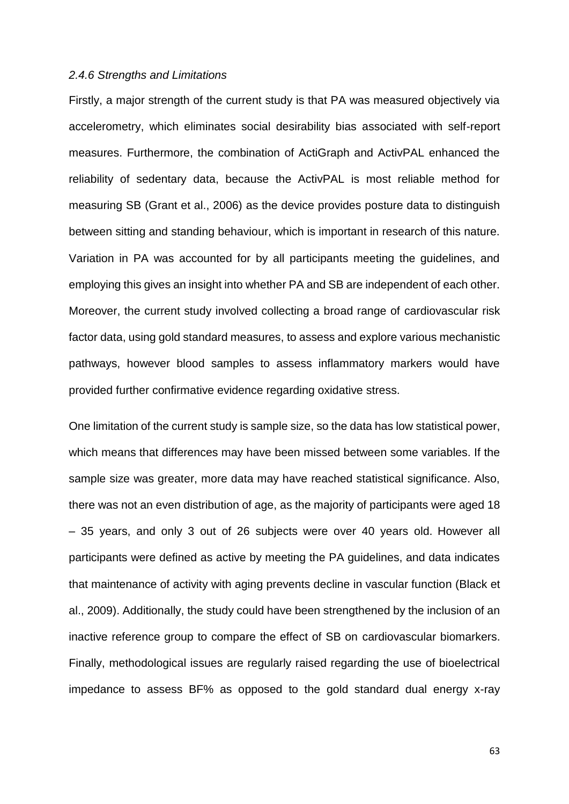#### *2.4.6 Strengths and Limitations*

Firstly, a major strength of the current study is that PA was measured objectively via accelerometry, which eliminates social desirability bias associated with self-report measures. Furthermore, the combination of ActiGraph and ActivPAL enhanced the reliability of sedentary data, because the ActivPAL is most reliable method for measuring SB (Grant et al., 2006) as the device provides posture data to distinguish between sitting and standing behaviour, which is important in research of this nature. Variation in PA was accounted for by all participants meeting the guidelines, and employing this gives an insight into whether PA and SB are independent of each other. Moreover, the current study involved collecting a broad range of cardiovascular risk factor data, using gold standard measures, to assess and explore various mechanistic pathways, however blood samples to assess inflammatory markers would have provided further confirmative evidence regarding oxidative stress.

One limitation of the current study is sample size, so the data has low statistical power, which means that differences may have been missed between some variables. If the sample size was greater, more data may have reached statistical significance. Also, there was not an even distribution of age, as the majority of participants were aged 18 – 35 years, and only 3 out of 26 subjects were over 40 years old. However all participants were defined as active by meeting the PA guidelines, and data indicates that maintenance of activity with aging prevents decline in vascular function (Black et al., 2009). Additionally, the study could have been strengthened by the inclusion of an inactive reference group to compare the effect of SB on cardiovascular biomarkers. Finally, methodological issues are regularly raised regarding the use of bioelectrical impedance to assess BF% as opposed to the gold standard dual energy x-ray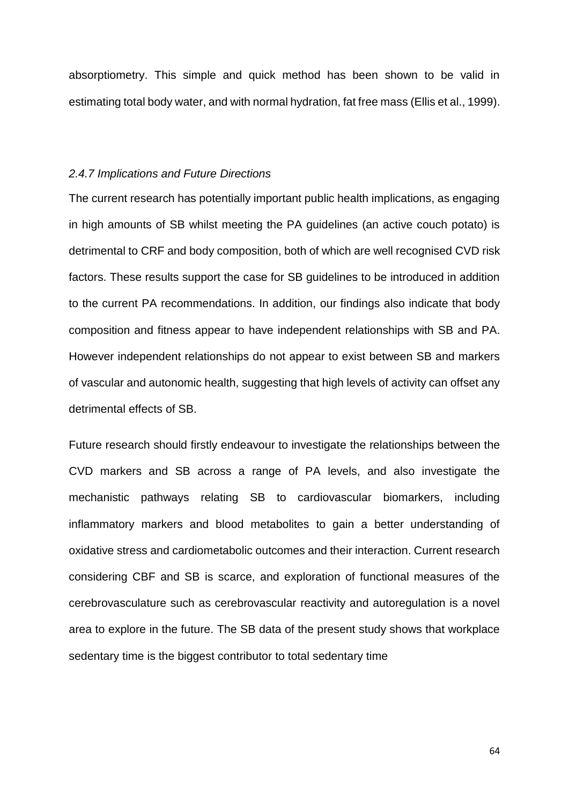absorptiometry. This simple and quick method has been shown to be valid in estimating total body water, and with normal hydration, fat free mass (Ellis et al., 1999).

## *2.4.7 Implications and Future Directions*

The current research has potentially important public health implications, as engaging in high amounts of SB whilst meeting the PA guidelines (an active couch potato) is detrimental to CRF and body composition, both of which are well recognised CVD risk factors. These results support the case for SB guidelines to be introduced in addition to the current PA recommendations. In addition, our findings also indicate that body composition and fitness appear to have independent relationships with SB and PA. However independent relationships do not appear to exist between SB and markers of vascular and autonomic health, suggesting that high levels of activity can offset any detrimental effects of SB.

Future research should firstly endeavour to investigate the relationships between the CVD markers and SB across a range of PA levels, and also investigate the mechanistic pathways relating SB to cardiovascular biomarkers, including inflammatory markers and blood metabolites to gain a better understanding of oxidative stress and cardiometabolic outcomes and their interaction. Current research considering CBF and SB is scarce, and exploration of functional measures of the cerebrovasculature such as cerebrovascular reactivity and autoregulation is a novel area to explore in the future. The SB data of the present study shows that workplace sedentary time is the biggest contributor to total sedentary time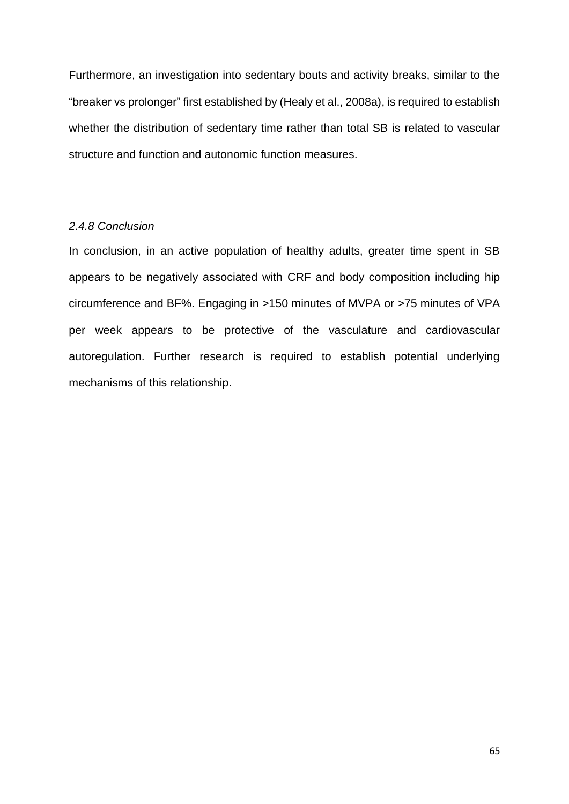Furthermore, an investigation into sedentary bouts and activity breaks, similar to the "breaker vs prolonger" first established by (Healy et al., 2008a), is required to establish whether the distribution of sedentary time rather than total SB is related to vascular structure and function and autonomic function measures.

### *2.4.8 Conclusion*

In conclusion, in an active population of healthy adults, greater time spent in SB appears to be negatively associated with CRF and body composition including hip circumference and BF%. Engaging in >150 minutes of MVPA or >75 minutes of VPA per week appears to be protective of the vasculature and cardiovascular autoregulation. Further research is required to establish potential underlying mechanisms of this relationship.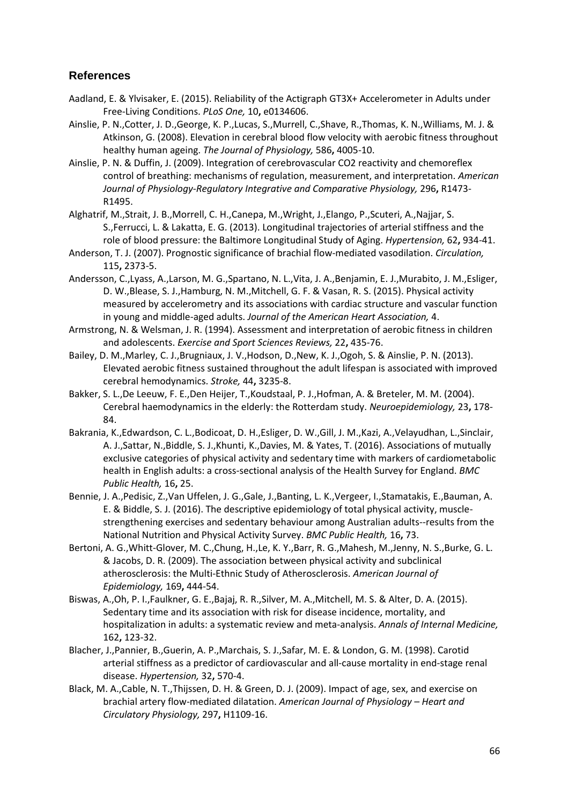# **References**

- Aadland, E. & Ylvisaker, E. (2015). Reliability of the Actigraph GT3X+ Accelerometer in Adults under Free-Living Conditions. *PLoS One,* 10**,** e0134606.
- Ainslie, P. N.,Cotter, J. D.,George, K. P.,Lucas, S.,Murrell, C.,Shave, R.,Thomas, K. N.,Williams, M. J. & Atkinson, G. (2008). Elevation in cerebral blood flow velocity with aerobic fitness throughout healthy human ageing. *The Journal of Physiology,* 586**,** 4005-10.
- Ainslie, P. N. & Duffin, J. (2009). Integration of cerebrovascular CO2 reactivity and chemoreflex control of breathing: mechanisms of regulation, measurement, and interpretation. *American Journal of Physiology-Regulatory Integrative and Comparative Physiology,* 296**,** R1473- R1495.
- Alghatrif, M.,Strait, J. B.,Morrell, C. H.,Canepa, M.,Wright, J.,Elango, P.,Scuteri, A.,Najjar, S. S.,Ferrucci, L. & Lakatta, E. G. (2013). Longitudinal trajectories of arterial stiffness and the role of blood pressure: the Baltimore Longitudinal Study of Aging. *Hypertension,* 62**,** 934-41.
- Anderson, T. J. (2007). Prognostic significance of brachial flow-mediated vasodilation. *Circulation,* 115**,** 2373-5.
- Andersson, C.,Lyass, A.,Larson, M. G.,Spartano, N. L.,Vita, J. A.,Benjamin, E. J.,Murabito, J. M.,Esliger, D. W.,Blease, S. J.,Hamburg, N. M.,Mitchell, G. F. & Vasan, R. S. (2015). Physical activity measured by accelerometry and its associations with cardiac structure and vascular function in young and middle-aged adults. *Journal of the American Heart Association,* 4.
- Armstrong, N. & Welsman, J. R. (1994). Assessment and interpretation of aerobic fitness in children and adolescents. *Exercise and Sport Sciences Reviews,* 22**,** 435-76.
- Bailey, D. M.,Marley, C. J.,Brugniaux, J. V.,Hodson, D.,New, K. J.,Ogoh, S. & Ainslie, P. N. (2013). Elevated aerobic fitness sustained throughout the adult lifespan is associated with improved cerebral hemodynamics. *Stroke,* 44**,** 3235-8.
- Bakker, S. L.,De Leeuw, F. E.,Den Heijer, T.,Koudstaal, P. J.,Hofman, A. & Breteler, M. M. (2004). Cerebral haemodynamics in the elderly: the Rotterdam study. *Neuroepidemiology,* 23**,** 178- 84.
- Bakrania, K.,Edwardson, C. L.,Bodicoat, D. H.,Esliger, D. W.,Gill, J. M.,Kazi, A.,Velayudhan, L.,Sinclair, A. J.,Sattar, N.,Biddle, S. J.,Khunti, K.,Davies, M. & Yates, T. (2016). Associations of mutually exclusive categories of physical activity and sedentary time with markers of cardiometabolic health in English adults: a cross-sectional analysis of the Health Survey for England. *BMC Public Health,* 16**,** 25.
- Bennie, J. A.,Pedisic, Z.,Van Uffelen, J. G.,Gale, J.,Banting, L. K.,Vergeer, I.,Stamatakis, E.,Bauman, A. E. & Biddle, S. J. (2016). The descriptive epidemiology of total physical activity, musclestrengthening exercises and sedentary behaviour among Australian adults--results from the National Nutrition and Physical Activity Survey. *BMC Public Health,* 16**,** 73.
- Bertoni, A. G.,Whitt-Glover, M. C.,Chung, H.,Le, K. Y.,Barr, R. G.,Mahesh, M.,Jenny, N. S.,Burke, G. L. & Jacobs, D. R. (2009). The association between physical activity and subclinical atherosclerosis: the Multi-Ethnic Study of Atherosclerosis. *American Journal of Epidemiology,* 169**,** 444-54.
- Biswas, A.,Oh, P. I.,Faulkner, G. E.,Bajaj, R. R.,Silver, M. A.,Mitchell, M. S. & Alter, D. A. (2015). Sedentary time and its association with risk for disease incidence, mortality, and hospitalization in adults: a systematic review and meta-analysis. *Annals of Internal Medicine,* 162**,** 123-32.
- Blacher, J.,Pannier, B.,Guerin, A. P.,Marchais, S. J.,Safar, M. E. & London, G. M. (1998). Carotid arterial stiffness as a predictor of cardiovascular and all-cause mortality in end-stage renal disease. *Hypertension,* 32**,** 570-4.
- Black, M. A.,Cable, N. T.,Thijssen, D. H. & Green, D. J. (2009). Impact of age, sex, and exercise on brachial artery flow-mediated dilatation. *American Journal of Physiology – Heart and Circulatory Physiology,* 297**,** H1109-16.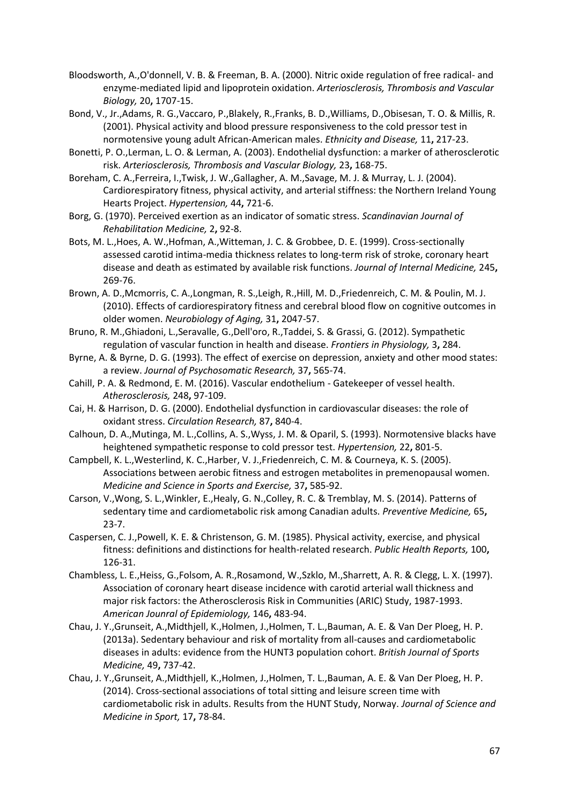- Bloodsworth, A.,O'donnell, V. B. & Freeman, B. A. (2000). Nitric oxide regulation of free radical- and enzyme-mediated lipid and lipoprotein oxidation. *Arteriosclerosis, Thrombosis and Vascular Biology,* 20**,** 1707-15.
- Bond, V., Jr.,Adams, R. G.,Vaccaro, P.,Blakely, R.,Franks, B. D.,Williams, D.,Obisesan, T. O. & Millis, R. (2001). Physical activity and blood pressure responsiveness to the cold pressor test in normotensive young adult African-American males. *Ethnicity and Disease,* 11**,** 217-23.
- Bonetti, P. O.,Lerman, L. O. & Lerman, A. (2003). Endothelial dysfunction: a marker of atherosclerotic risk. *Arteriosclerosis, Thrombosis and Vascular Biology,* 23**,** 168-75.
- Boreham, C. A.,Ferreira, I.,Twisk, J. W.,Gallagher, A. M.,Savage, M. J. & Murray, L. J. (2004). Cardiorespiratory fitness, physical activity, and arterial stiffness: the Northern Ireland Young Hearts Project. *Hypertension,* 44**,** 721-6.
- Borg, G. (1970). Perceived exertion as an indicator of somatic stress. *Scandinavian Journal of Rehabilitation Medicine,* 2**,** 92-8.
- Bots, M. L.,Hoes, A. W.,Hofman, A.,Witteman, J. C. & Grobbee, D. E. (1999). Cross-sectionally assessed carotid intima-media thickness relates to long-term risk of stroke, coronary heart disease and death as estimated by available risk functions. *Journal of Internal Medicine,* 245**,** 269-76.
- Brown, A. D.,Mcmorris, C. A.,Longman, R. S.,Leigh, R.,Hill, M. D.,Friedenreich, C. M. & Poulin, M. J. (2010). Effects of cardiorespiratory fitness and cerebral blood flow on cognitive outcomes in older women. *Neurobiology of Aging,* 31**,** 2047-57.
- Bruno, R. M.,Ghiadoni, L.,Seravalle, G.,Dell'oro, R.,Taddei, S. & Grassi, G. (2012). Sympathetic regulation of vascular function in health and disease. *Frontiers in Physiology,* 3**,** 284.
- Byrne, A. & Byrne, D. G. (1993). The effect of exercise on depression, anxiety and other mood states: a review. *Journal of Psychosomatic Research,* 37**,** 565-74.
- Cahill, P. A. & Redmond, E. M. (2016). Vascular endothelium Gatekeeper of vessel health. *Atherosclerosis,* 248**,** 97-109.
- Cai, H. & Harrison, D. G. (2000). Endothelial dysfunction in cardiovascular diseases: the role of oxidant stress. *Circulation Research,* 87**,** 840-4.
- Calhoun, D. A.,Mutinga, M. L.,Collins, A. S.,Wyss, J. M. & Oparil, S. (1993). Normotensive blacks have heightened sympathetic response to cold pressor test. *Hypertension,* 22**,** 801-5.
- Campbell, K. L.,Westerlind, K. C.,Harber, V. J.,Friedenreich, C. M. & Courneya, K. S. (2005). Associations between aerobic fitness and estrogen metabolites in premenopausal women. *Medicine and Science in Sports and Exercise,* 37**,** 585-92.
- Carson, V.,Wong, S. L.,Winkler, E.,Healy, G. N.,Colley, R. C. & Tremblay, M. S. (2014). Patterns of sedentary time and cardiometabolic risk among Canadian adults. *Preventive Medicine,* 65**,** 23-7.
- Caspersen, C. J.,Powell, K. E. & Christenson, G. M. (1985). Physical activity, exercise, and physical fitness: definitions and distinctions for health-related research. *Public Health Reports,* 100**,** 126-31.
- Chambless, L. E.,Heiss, G.,Folsom, A. R.,Rosamond, W.,Szklo, M.,Sharrett, A. R. & Clegg, L. X. (1997). Association of coronary heart disease incidence with carotid arterial wall thickness and major risk factors: the Atherosclerosis Risk in Communities (ARIC) Study, 1987-1993. *American Jounral of Epidemiology,* 146**,** 483-94.
- Chau, J. Y.,Grunseit, A.,Midthjell, K.,Holmen, J.,Holmen, T. L.,Bauman, A. E. & Van Der Ploeg, H. P. (2013a). Sedentary behaviour and risk of mortality from all-causes and cardiometabolic diseases in adults: evidence from the HUNT3 population cohort. *British Journal of Sports Medicine,* 49**,** 737-42.
- Chau, J. Y.,Grunseit, A.,Midthjell, K.,Holmen, J.,Holmen, T. L.,Bauman, A. E. & Van Der Ploeg, H. P. (2014). Cross-sectional associations of total sitting and leisure screen time with cardiometabolic risk in adults. Results from the HUNT Study, Norway. *Journal of Science and Medicine in Sport,* 17**,** 78-84.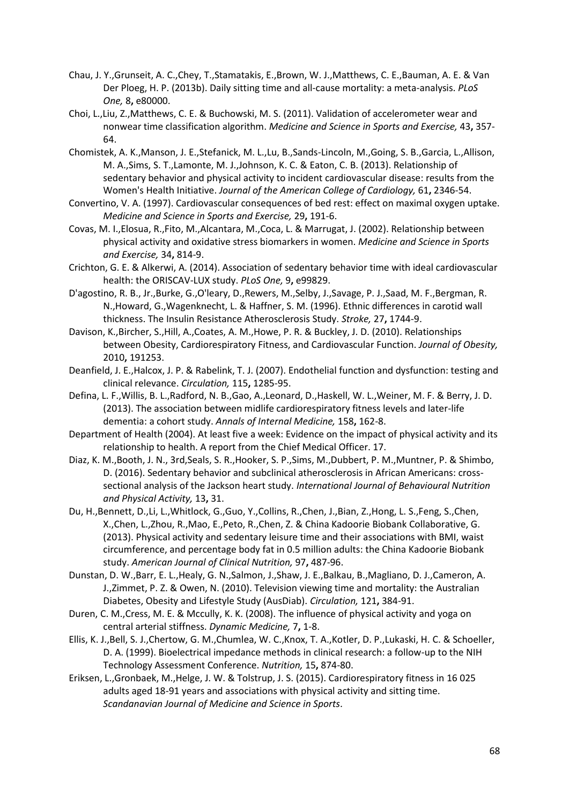- Chau, J. Y.,Grunseit, A. C.,Chey, T.,Stamatakis, E.,Brown, W. J.,Matthews, C. E.,Bauman, A. E. & Van Der Ploeg, H. P. (2013b). Daily sitting time and all-cause mortality: a meta-analysis. *PLoS One,* 8**,** e80000.
- Choi, L.,Liu, Z.,Matthews, C. E. & Buchowski, M. S. (2011). Validation of accelerometer wear and nonwear time classification algorithm. *Medicine and Science in Sports and Exercise,* 43**,** 357- 64.
- Chomistek, A. K.,Manson, J. E.,Stefanick, M. L.,Lu, B.,Sands-Lincoln, M.,Going, S. B.,Garcia, L.,Allison, M. A.,Sims, S. T.,Lamonte, M. J.,Johnson, K. C. & Eaton, C. B. (2013). Relationship of sedentary behavior and physical activity to incident cardiovascular disease: results from the Women's Health Initiative. *Journal of the American College of Cardiology,* 61**,** 2346-54.
- Convertino, V. A. (1997). Cardiovascular consequences of bed rest: effect on maximal oxygen uptake. *Medicine and Science in Sports and Exercise,* 29**,** 191-6.
- Covas, M. I.,Elosua, R.,Fito, M.,Alcantara, M.,Coca, L. & Marrugat, J. (2002). Relationship between physical activity and oxidative stress biomarkers in women. *Medicine and Science in Sports and Exercise,* 34**,** 814-9.
- Crichton, G. E. & Alkerwi, A. (2014). Association of sedentary behavior time with ideal cardiovascular health: the ORISCAV-LUX study. *PLoS One,* 9**,** e99829.
- D'agostino, R. B., Jr.,Burke, G.,O'leary, D.,Rewers, M.,Selby, J.,Savage, P. J.,Saad, M. F.,Bergman, R. N.,Howard, G.,Wagenknecht, L. & Haffner, S. M. (1996). Ethnic differences in carotid wall thickness. The Insulin Resistance Atherosclerosis Study. *Stroke,* 27**,** 1744-9.
- Davison, K.,Bircher, S.,Hill, A.,Coates, A. M.,Howe, P. R. & Buckley, J. D. (2010). Relationships between Obesity, Cardiorespiratory Fitness, and Cardiovascular Function. *Journal of Obesity,* 2010**,** 191253.
- Deanfield, J. E.,Halcox, J. P. & Rabelink, T. J. (2007). Endothelial function and dysfunction: testing and clinical relevance. *Circulation,* 115**,** 1285-95.
- Defina, L. F.,Willis, B. L.,Radford, N. B.,Gao, A.,Leonard, D.,Haskell, W. L.,Weiner, M. F. & Berry, J. D. (2013). The association between midlife cardiorespiratory fitness levels and later-life dementia: a cohort study. *Annals of Internal Medicine,* 158**,** 162-8.
- Department of Health (2004). At least five a week: Evidence on the impact of physical activity and its relationship to health. A report from the Chief Medical Officer. 17.
- Diaz, K. M.,Booth, J. N., 3rd,Seals, S. R.,Hooker, S. P.,Sims, M.,Dubbert, P. M.,Muntner, P. & Shimbo, D. (2016). Sedentary behavior and subclinical atherosclerosis in African Americans: crosssectional analysis of the Jackson heart study. *International Journal of Behavioural Nutrition and Physical Activity,* 13**,** 31.
- Du, H.,Bennett, D.,Li, L.,Whitlock, G.,Guo, Y.,Collins, R.,Chen, J.,Bian, Z.,Hong, L. S.,Feng, S.,Chen, X.,Chen, L.,Zhou, R.,Mao, E.,Peto, R.,Chen, Z. & China Kadoorie Biobank Collaborative, G. (2013). Physical activity and sedentary leisure time and their associations with BMI, waist circumference, and percentage body fat in 0.5 million adults: the China Kadoorie Biobank study. *American Journal of Clinical Nutrition,* 97**,** 487-96.
- Dunstan, D. W.,Barr, E. L.,Healy, G. N.,Salmon, J.,Shaw, J. E.,Balkau, B.,Magliano, D. J.,Cameron, A. J.,Zimmet, P. Z. & Owen, N. (2010). Television viewing time and mortality: the Australian Diabetes, Obesity and Lifestyle Study (AusDiab). *Circulation,* 121**,** 384-91.
- Duren, C. M.,Cress, M. E. & Mccully, K. K. (2008). The influence of physical activity and yoga on central arterial stiffness. *Dynamic Medicine,* 7**,** 1-8.
- Ellis, K. J.,Bell, S. J.,Chertow, G. M.,Chumlea, W. C.,Knox, T. A.,Kotler, D. P.,Lukaski, H. C. & Schoeller, D. A. (1999). Bioelectrical impedance methods in clinical research: a follow-up to the NIH Technology Assessment Conference. *Nutrition,* 15**,** 874-80.
- Eriksen, L.,Gronbaek, M.,Helge, J. W. & Tolstrup, J. S. (2015). Cardiorespiratory fitness in 16 025 adults aged 18-91 years and associations with physical activity and sitting time. *Scandanavian Journal of Medicine and Science in Sports*.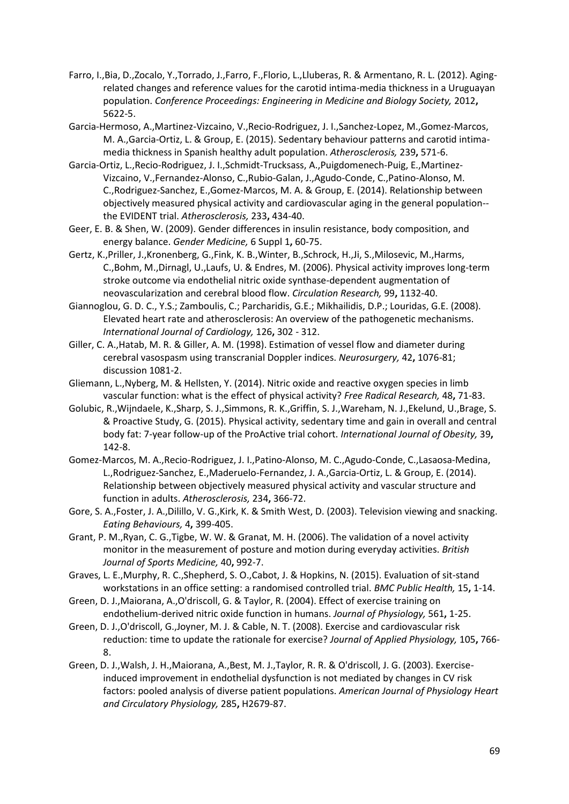- Farro, I.,Bia, D.,Zocalo, Y.,Torrado, J.,Farro, F.,Florio, L.,Lluberas, R. & Armentano, R. L. (2012). Agingrelated changes and reference values for the carotid intima-media thickness in a Uruguayan population. *Conference Proceedings: Engineering in Medicine and Biology Society,* 2012**,** 5622-5.
- Garcia-Hermoso, A.,Martinez-Vizcaino, V.,Recio-Rodriguez, J. I.,Sanchez-Lopez, M.,Gomez-Marcos, M. A.,Garcia-Ortiz, L. & Group, E. (2015). Sedentary behaviour patterns and carotid intimamedia thickness in Spanish healthy adult population. *Atherosclerosis,* 239**,** 571-6.
- Garcia-Ortiz, L.,Recio-Rodriguez, J. I.,Schmidt-Trucksass, A.,Puigdomenech-Puig, E.,Martinez-Vizcaino, V.,Fernandez-Alonso, C.,Rubio-Galan, J.,Agudo-Conde, C.,Patino-Alonso, M. C.,Rodriguez-Sanchez, E.,Gomez-Marcos, M. A. & Group, E. (2014). Relationship between objectively measured physical activity and cardiovascular aging in the general population- the EVIDENT trial. *Atherosclerosis,* 233**,** 434-40.
- Geer, E. B. & Shen, W. (2009). Gender differences in insulin resistance, body composition, and energy balance. *Gender Medicine,* 6 Suppl 1**,** 60-75.
- Gertz, K.,Priller, J.,Kronenberg, G.,Fink, K. B.,Winter, B.,Schrock, H.,Ji, S.,Milosevic, M.,Harms, C.,Bohm, M.,Dirnagl, U.,Laufs, U. & Endres, M. (2006). Physical activity improves long-term stroke outcome via endothelial nitric oxide synthase-dependent augmentation of neovascularization and cerebral blood flow. *Circulation Research,* 99**,** 1132-40.
- Giannoglou, G. D. C., Y.S.; Zamboulis, C.; Parcharidis, G.E.; Mikhailidis, D.P.; Louridas, G.E. (2008). Elevated heart rate and atherosclerosis: An overview of the pathogenetic mechanisms. *International Journal of Cardiology,* 126**,** 302 - 312.
- Giller, C. A.,Hatab, M. R. & Giller, A. M. (1998). Estimation of vessel flow and diameter during cerebral vasospasm using transcranial Doppler indices. *Neurosurgery,* 42**,** 1076-81; discussion 1081-2.
- Gliemann, L.,Nyberg, M. & Hellsten, Y. (2014). Nitric oxide and reactive oxygen species in limb vascular function: what is the effect of physical activity? *Free Radical Research,* 48**,** 71-83.
- Golubic, R.,Wijndaele, K.,Sharp, S. J.,Simmons, R. K.,Griffin, S. J.,Wareham, N. J.,Ekelund, U.,Brage, S. & Proactive Study, G. (2015). Physical activity, sedentary time and gain in overall and central body fat: 7-year follow-up of the ProActive trial cohort. *International Journal of Obesity,* 39**,** 142-8.
- Gomez-Marcos, M. A.,Recio-Rodriguez, J. I.,Patino-Alonso, M. C.,Agudo-Conde, C.,Lasaosa-Medina, L.,Rodriguez-Sanchez, E.,Maderuelo-Fernandez, J. A.,Garcia-Ortiz, L. & Group, E. (2014). Relationship between objectively measured physical activity and vascular structure and function in adults. *Atherosclerosis,* 234**,** 366-72.
- Gore, S. A.,Foster, J. A.,Dilillo, V. G.,Kirk, K. & Smith West, D. (2003). Television viewing and snacking. *Eating Behaviours,* 4**,** 399-405.
- Grant, P. M.,Ryan, C. G.,Tigbe, W. W. & Granat, M. H. (2006). The validation of a novel activity monitor in the measurement of posture and motion during everyday activities. *British Journal of Sports Medicine,* 40**,** 992-7.
- Graves, L. E.,Murphy, R. C.,Shepherd, S. O.,Cabot, J. & Hopkins, N. (2015). Evaluation of sit-stand workstations in an office setting: a randomised controlled trial. *BMC Public Health,* 15**,** 1-14.
- Green, D. J.,Maiorana, A.,O'driscoll, G. & Taylor, R. (2004). Effect of exercise training on endothelium-derived nitric oxide function in humans. *Journal of Physiology,* 561**,** 1-25.
- Green, D. J.,O'driscoll, G.,Joyner, M. J. & Cable, N. T. (2008). Exercise and cardiovascular risk reduction: time to update the rationale for exercise? *Journal of Applied Physiology,* 105**,** 766- 8.
- Green, D. J.,Walsh, J. H.,Maiorana, A.,Best, M. J.,Taylor, R. R. & O'driscoll, J. G. (2003). Exerciseinduced improvement in endothelial dysfunction is not mediated by changes in CV risk factors: pooled analysis of diverse patient populations. *American Journal of Physiology Heart and Circulatory Physiology,* 285**,** H2679-87.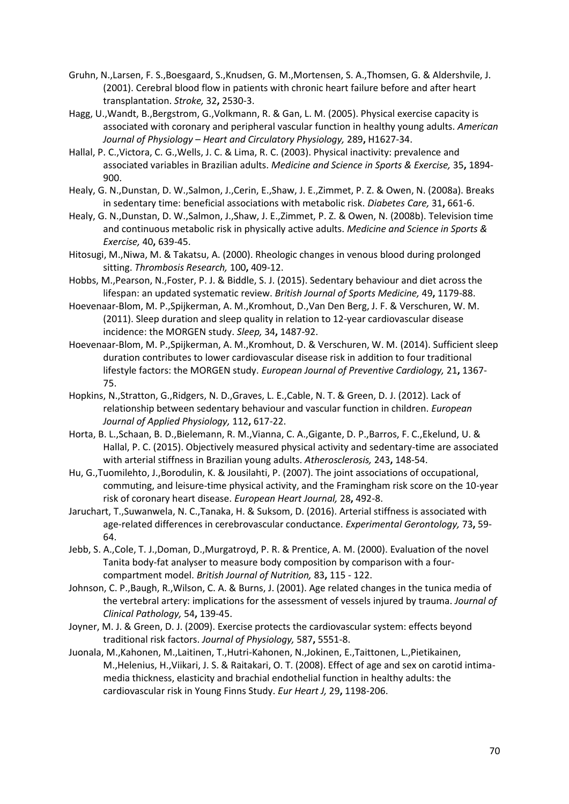- Gruhn, N.,Larsen, F. S.,Boesgaard, S.,Knudsen, G. M.,Mortensen, S. A.,Thomsen, G. & Aldershvile, J. (2001). Cerebral blood flow in patients with chronic heart failure before and after heart transplantation. *Stroke,* 32**,** 2530-3.
- Hagg, U.,Wandt, B.,Bergstrom, G.,Volkmann, R. & Gan, L. M. (2005). Physical exercise capacity is associated with coronary and peripheral vascular function in healthy young adults. *American Journal of Physiology – Heart and Circulatory Physiology,* 289**,** H1627-34.
- Hallal, P. C.,Victora, C. G.,Wells, J. C. & Lima, R. C. (2003). Physical inactivity: prevalence and associated variables in Brazilian adults. *Medicine and Science in Sports & Exercise,* 35**,** 1894- 900.
- Healy, G. N.,Dunstan, D. W.,Salmon, J.,Cerin, E.,Shaw, J. E.,Zimmet, P. Z. & Owen, N. (2008a). Breaks in sedentary time: beneficial associations with metabolic risk. *Diabetes Care,* 31**,** 661-6.
- Healy, G. N.,Dunstan, D. W.,Salmon, J.,Shaw, J. E.,Zimmet, P. Z. & Owen, N. (2008b). Television time and continuous metabolic risk in physically active adults. *Medicine and Science in Sports & Exercise,* 40**,** 639-45.
- Hitosugi, M.,Niwa, M. & Takatsu, A. (2000). Rheologic changes in venous blood during prolonged sitting. *Thrombosis Research,* 100**,** 409-12.
- Hobbs, M.,Pearson, N.,Foster, P. J. & Biddle, S. J. (2015). Sedentary behaviour and diet across the lifespan: an updated systematic review. *British Journal of Sports Medicine,* 49**,** 1179-88.
- Hoevenaar-Blom, M. P.,Spijkerman, A. M.,Kromhout, D.,Van Den Berg, J. F. & Verschuren, W. M. (2011). Sleep duration and sleep quality in relation to 12-year cardiovascular disease incidence: the MORGEN study. *Sleep,* 34**,** 1487-92.
- Hoevenaar-Blom, M. P.,Spijkerman, A. M.,Kromhout, D. & Verschuren, W. M. (2014). Sufficient sleep duration contributes to lower cardiovascular disease risk in addition to four traditional lifestyle factors: the MORGEN study. *European Journal of Preventive Cardiology,* 21**,** 1367- 75.
- Hopkins, N.,Stratton, G.,Ridgers, N. D.,Graves, L. E.,Cable, N. T. & Green, D. J. (2012). Lack of relationship between sedentary behaviour and vascular function in children. *European Journal of Applied Physiology,* 112**,** 617-22.
- Horta, B. L.,Schaan, B. D.,Bielemann, R. M.,Vianna, C. A.,Gigante, D. P.,Barros, F. C.,Ekelund, U. & Hallal, P. C. (2015). Objectively measured physical activity and sedentary-time are associated with arterial stiffness in Brazilian young adults. *Atherosclerosis,* 243**,** 148-54.
- Hu, G.,Tuomilehto, J.,Borodulin, K. & Jousilahti, P. (2007). The joint associations of occupational, commuting, and leisure-time physical activity, and the Framingham risk score on the 10-year risk of coronary heart disease. *European Heart Journal,* 28**,** 492-8.
- Jaruchart, T.,Suwanwela, N. C.,Tanaka, H. & Suksom, D. (2016). Arterial stiffness is associated with age-related differences in cerebrovascular conductance. *Experimental Gerontology,* 73**,** 59- 64.
- Jebb, S. A.,Cole, T. J.,Doman, D.,Murgatroyd, P. R. & Prentice, A. M. (2000). Evaluation of the novel Tanita body-fat analyser to measure body composition by comparison with a fourcompartment model. *British Journal of Nutrition,* 83**,** 115 - 122.
- Johnson, C. P.,Baugh, R.,Wilson, C. A. & Burns, J. (2001). Age related changes in the tunica media of the vertebral artery: implications for the assessment of vessels injured by trauma. *Journal of Clinical Pathology,* 54**,** 139-45.
- Joyner, M. J. & Green, D. J. (2009). Exercise protects the cardiovascular system: effects beyond traditional risk factors. *Journal of Physiology,* 587**,** 5551-8.
- Juonala, M.,Kahonen, M.,Laitinen, T.,Hutri-Kahonen, N.,Jokinen, E.,Taittonen, L.,Pietikainen, M.,Helenius, H.,Viikari, J. S. & Raitakari, O. T. (2008). Effect of age and sex on carotid intimamedia thickness, elasticity and brachial endothelial function in healthy adults: the cardiovascular risk in Young Finns Study. *Eur Heart J,* 29**,** 1198-206.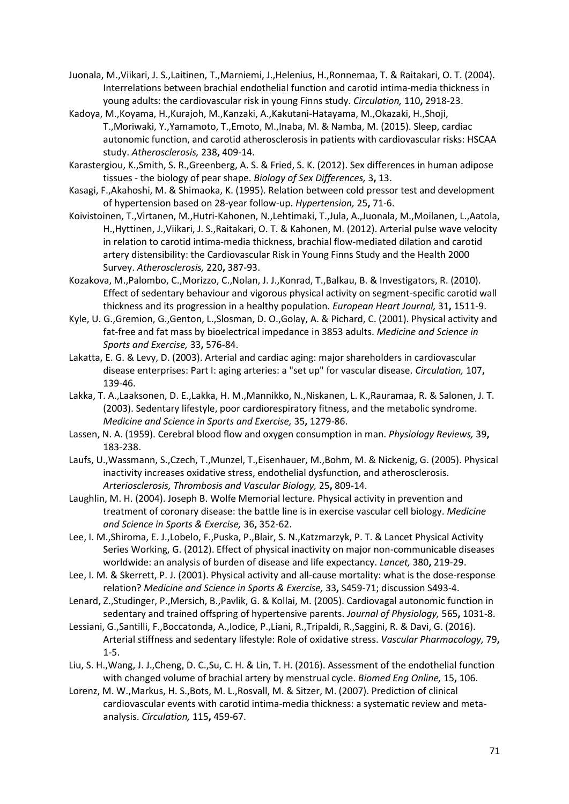- Juonala, M.,Viikari, J. S.,Laitinen, T.,Marniemi, J.,Helenius, H.,Ronnemaa, T. & Raitakari, O. T. (2004). Interrelations between brachial endothelial function and carotid intima-media thickness in young adults: the cardiovascular risk in young Finns study. *Circulation,* 110**,** 2918-23.
- Kadoya, M.,Koyama, H.,Kurajoh, M.,Kanzaki, A.,Kakutani-Hatayama, M.,Okazaki, H.,Shoji, T.,Moriwaki, Y.,Yamamoto, T.,Emoto, M.,Inaba, M. & Namba, M. (2015). Sleep, cardiac autonomic function, and carotid atherosclerosis in patients with cardiovascular risks: HSCAA study. *Atherosclerosis,* 238**,** 409-14.
- Karastergiou, K.,Smith, S. R.,Greenberg, A. S. & Fried, S. K. (2012). Sex differences in human adipose tissues - the biology of pear shape. *Biology of Sex Differences,* 3**,** 13.
- Kasagi, F.,Akahoshi, M. & Shimaoka, K. (1995). Relation between cold pressor test and development of hypertension based on 28-year follow-up. *Hypertension,* 25**,** 71-6.
- Koivistoinen, T.,Virtanen, M.,Hutri-Kahonen, N.,Lehtimaki, T.,Jula, A.,Juonala, M.,Moilanen, L.,Aatola, H.,Hyttinen, J.,Viikari, J. S.,Raitakari, O. T. & Kahonen, M. (2012). Arterial pulse wave velocity in relation to carotid intima-media thickness, brachial flow-mediated dilation and carotid artery distensibility: the Cardiovascular Risk in Young Finns Study and the Health 2000 Survey. *Atherosclerosis,* 220**,** 387-93.
- Kozakova, M.,Palombo, C.,Morizzo, C.,Nolan, J. J.,Konrad, T.,Balkau, B. & Investigators, R. (2010). Effect of sedentary behaviour and vigorous physical activity on segment-specific carotid wall thickness and its progression in a healthy population. *European Heart Journal,* 31**,** 1511-9.
- Kyle, U. G.,Gremion, G.,Genton, L.,Slosman, D. O.,Golay, A. & Pichard, C. (2001). Physical activity and fat-free and fat mass by bioelectrical impedance in 3853 adults. *Medicine and Science in Sports and Exercise,* 33**,** 576-84.
- Lakatta, E. G. & Levy, D. (2003). Arterial and cardiac aging: major shareholders in cardiovascular disease enterprises: Part I: aging arteries: a "set up" for vascular disease. *Circulation,* 107**,** 139-46.
- Lakka, T. A.,Laaksonen, D. E.,Lakka, H. M.,Mannikko, N.,Niskanen, L. K.,Rauramaa, R. & Salonen, J. T. (2003). Sedentary lifestyle, poor cardiorespiratory fitness, and the metabolic syndrome. *Medicine and Science in Sports and Exercise,* 35**,** 1279-86.
- Lassen, N. A. (1959). Cerebral blood flow and oxygen consumption in man. *Physiology Reviews,* 39**,** 183-238.
- Laufs, U.,Wassmann, S.,Czech, T.,Munzel, T.,Eisenhauer, M.,Bohm, M. & Nickenig, G. (2005). Physical inactivity increases oxidative stress, endothelial dysfunction, and atherosclerosis. *Arteriosclerosis, Thrombosis and Vascular Biology,* 25**,** 809-14.
- Laughlin, M. H. (2004). Joseph B. Wolfe Memorial lecture. Physical activity in prevention and treatment of coronary disease: the battle line is in exercise vascular cell biology. *Medicine and Science in Sports & Exercise,* 36**,** 352-62.
- Lee, I. M.,Shiroma, E. J.,Lobelo, F.,Puska, P.,Blair, S. N.,Katzmarzyk, P. T. & Lancet Physical Activity Series Working, G. (2012). Effect of physical inactivity on major non-communicable diseases worldwide: an analysis of burden of disease and life expectancy. *Lancet,* 380**,** 219-29.
- Lee, I. M. & Skerrett, P. J. (2001). Physical activity and all-cause mortality: what is the dose-response relation? *Medicine and Science in Sports & Exercise,* 33**,** S459-71; discussion S493-4.
- Lenard, Z.,Studinger, P.,Mersich, B.,Pavlik, G. & Kollai, M. (2005). Cardiovagal autonomic function in sedentary and trained offspring of hypertensive parents. *Journal of Physiology,* 565**,** 1031-8.
- Lessiani, G.,Santilli, F.,Boccatonda, A.,Iodice, P.,Liani, R.,Tripaldi, R.,Saggini, R. & Davi, G. (2016). Arterial stiffness and sedentary lifestyle: Role of oxidative stress. *Vascular Pharmacology,* 79**,** 1-5.
- Liu, S. H.,Wang, J. J.,Cheng, D. C.,Su, C. H. & Lin, T. H. (2016). Assessment of the endothelial function with changed volume of brachial artery by menstrual cycle. *Biomed Eng Online,* 15**,** 106.
- Lorenz, M. W.,Markus, H. S.,Bots, M. L.,Rosvall, M. & Sitzer, M. (2007). Prediction of clinical cardiovascular events with carotid intima-media thickness: a systematic review and metaanalysis. *Circulation,* 115**,** 459-67.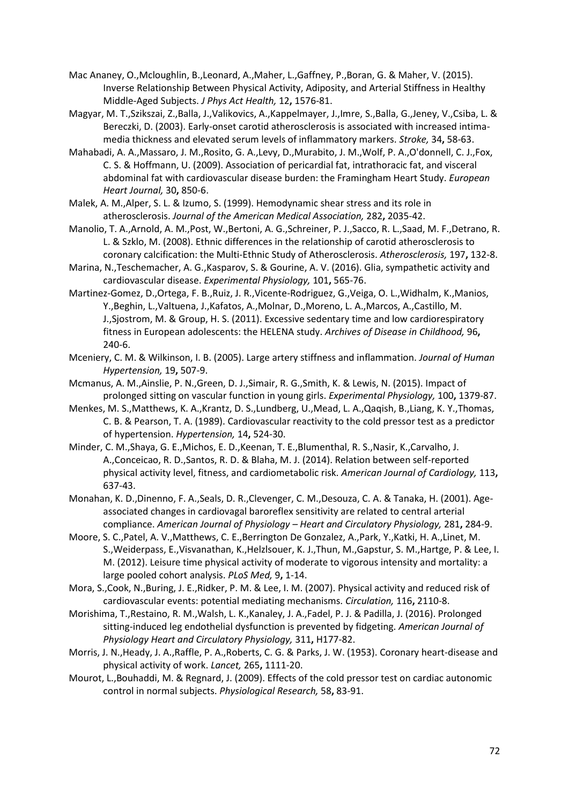- Mac Ananey, O.,Mcloughlin, B.,Leonard, A.,Maher, L.,Gaffney, P.,Boran, G. & Maher, V. (2015). Inverse Relationship Between Physical Activity, Adiposity, and Arterial Stiffness in Healthy Middle-Aged Subjects. *J Phys Act Health,* 12**,** 1576-81.
- Magyar, M. T.,Szikszai, Z.,Balla, J.,Valikovics, A.,Kappelmayer, J.,Imre, S.,Balla, G.,Jeney, V.,Csiba, L. & Bereczki, D. (2003). Early-onset carotid atherosclerosis is associated with increased intimamedia thickness and elevated serum levels of inflammatory markers. *Stroke,* 34**,** 58-63.
- Mahabadi, A. A.,Massaro, J. M.,Rosito, G. A.,Levy, D.,Murabito, J. M.,Wolf, P. A.,O'donnell, C. J.,Fox, C. S. & Hoffmann, U. (2009). Association of pericardial fat, intrathoracic fat, and visceral abdominal fat with cardiovascular disease burden: the Framingham Heart Study. *European Heart Journal,* 30**,** 850-6.
- Malek, A. M.,Alper, S. L. & Izumo, S. (1999). Hemodynamic shear stress and its role in atherosclerosis. *Journal of the American Medical Association,* 282**,** 2035-42.
- Manolio, T. A.,Arnold, A. M.,Post, W.,Bertoni, A. G.,Schreiner, P. J.,Sacco, R. L.,Saad, M. F.,Detrano, R. L. & Szklo, M. (2008). Ethnic differences in the relationship of carotid atherosclerosis to coronary calcification: the Multi-Ethnic Study of Atherosclerosis. *Atherosclerosis,* 197**,** 132-8.
- Marina, N.,Teschemacher, A. G.,Kasparov, S. & Gourine, A. V. (2016). Glia, sympathetic activity and cardiovascular disease. *Experimental Physiology,* 101**,** 565-76.
- Martinez-Gomez, D.,Ortega, F. B.,Ruiz, J. R.,Vicente-Rodriguez, G.,Veiga, O. L.,Widhalm, K.,Manios, Y.,Beghin, L.,Valtuena, J.,Kafatos, A.,Molnar, D.,Moreno, L. A.,Marcos, A.,Castillo, M. J.,Sjostrom, M. & Group, H. S. (2011). Excessive sedentary time and low cardiorespiratory fitness in European adolescents: the HELENA study. *Archives of Disease in Childhood,* 96**,** 240-6.
- Mceniery, C. M. & Wilkinson, I. B. (2005). Large artery stiffness and inflammation. *Journal of Human Hypertension,* 19**,** 507-9.
- Mcmanus, A. M.,Ainslie, P. N.,Green, D. J.,Simair, R. G.,Smith, K. & Lewis, N. (2015). Impact of prolonged sitting on vascular function in young girls. *Experimental Physiology,* 100**,** 1379-87.
- Menkes, M. S.,Matthews, K. A.,Krantz, D. S.,Lundberg, U.,Mead, L. A.,Qaqish, B.,Liang, K. Y.,Thomas, C. B. & Pearson, T. A. (1989). Cardiovascular reactivity to the cold pressor test as a predictor of hypertension. *Hypertension,* 14**,** 524-30.
- Minder, C. M.,Shaya, G. E.,Michos, E. D.,Keenan, T. E.,Blumenthal, R. S.,Nasir, K.,Carvalho, J. A.,Conceicao, R. D.,Santos, R. D. & Blaha, M. J. (2014). Relation between self-reported physical activity level, fitness, and cardiometabolic risk. *American Journal of Cardiology,* 113**,** 637-43.
- Monahan, K. D.,Dinenno, F. A.,Seals, D. R.,Clevenger, C. M.,Desouza, C. A. & Tanaka, H. (2001). Ageassociated changes in cardiovagal baroreflex sensitivity are related to central arterial compliance. *American Journal of Physiology – Heart and Circulatory Physiology,* 281**,** 284-9.
- Moore, S. C.,Patel, A. V.,Matthews, C. E.,Berrington De Gonzalez, A.,Park, Y.,Katki, H. A.,Linet, M. S.,Weiderpass, E.,Visvanathan, K.,Helzlsouer, K. J.,Thun, M.,Gapstur, S. M.,Hartge, P. & Lee, I. M. (2012). Leisure time physical activity of moderate to vigorous intensity and mortality: a large pooled cohort analysis. *PLoS Med,* 9**,** 1-14.
- Mora, S.,Cook, N.,Buring, J. E.,Ridker, P. M. & Lee, I. M. (2007). Physical activity and reduced risk of cardiovascular events: potential mediating mechanisms. *Circulation,* 116**,** 2110-8.
- Morishima, T.,Restaino, R. M.,Walsh, L. K.,Kanaley, J. A.,Fadel, P. J. & Padilla, J. (2016). Prolonged sitting-induced leg endothelial dysfunction is prevented by fidgeting. *American Journal of Physiology Heart and Circulatory Physiology,* 311**,** H177-82.
- Morris, J. N.,Heady, J. A.,Raffle, P. A.,Roberts, C. G. & Parks, J. W. (1953). Coronary heart-disease and physical activity of work. *Lancet,* 265**,** 1111-20.
- Mourot, L.,Bouhaddi, M. & Regnard, J. (2009). Effects of the cold pressor test on cardiac autonomic control in normal subjects. *Physiological Research,* 58**,** 83-91.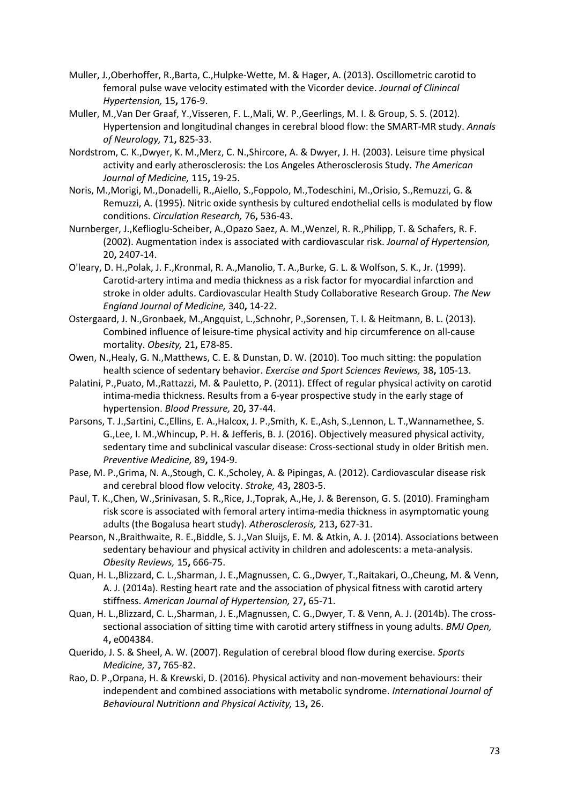- Muller, J.,Oberhoffer, R.,Barta, C.,Hulpke-Wette, M. & Hager, A. (2013). Oscillometric carotid to femoral pulse wave velocity estimated with the Vicorder device. *Journal of Clinincal Hypertension,* 15**,** 176-9.
- Muller, M.,Van Der Graaf, Y.,Visseren, F. L.,Mali, W. P.,Geerlings, M. I. & Group, S. S. (2012). Hypertension and longitudinal changes in cerebral blood flow: the SMART-MR study. *Annals of Neurology,* 71**,** 825-33.
- Nordstrom, C. K.,Dwyer, K. M.,Merz, C. N.,Shircore, A. & Dwyer, J. H. (2003). Leisure time physical activity and early atherosclerosis: the Los Angeles Atherosclerosis Study. *The American Journal of Medicine,* 115**,** 19-25.
- Noris, M.,Morigi, M.,Donadelli, R.,Aiello, S.,Foppolo, M.,Todeschini, M.,Orisio, S.,Remuzzi, G. & Remuzzi, A. (1995). Nitric oxide synthesis by cultured endothelial cells is modulated by flow conditions. *Circulation Research,* 76**,** 536-43.
- Nurnberger, J.,Keflioglu-Scheiber, A.,Opazo Saez, A. M.,Wenzel, R. R.,Philipp, T. & Schafers, R. F. (2002). Augmentation index is associated with cardiovascular risk. *Journal of Hypertension,* 20**,** 2407-14.
- O'leary, D. H.,Polak, J. F.,Kronmal, R. A.,Manolio, T. A.,Burke, G. L. & Wolfson, S. K., Jr. (1999). Carotid-artery intima and media thickness as a risk factor for myocardial infarction and stroke in older adults. Cardiovascular Health Study Collaborative Research Group. *The New England Journal of Medicine,* 340**,** 14-22.
- Ostergaard, J. N.,Gronbaek, M.,Angquist, L.,Schnohr, P.,Sorensen, T. I. & Heitmann, B. L. (2013). Combined influence of leisure-time physical activity and hip circumference on all-cause mortality. *Obesity,* 21**,** E78-85.
- Owen, N.,Healy, G. N.,Matthews, C. E. & Dunstan, D. W. (2010). Too much sitting: the population health science of sedentary behavior. *Exercise and Sport Sciences Reviews,* 38**,** 105-13.
- Palatini, P.,Puato, M.,Rattazzi, M. & Pauletto, P. (2011). Effect of regular physical activity on carotid intima-media thickness. Results from a 6-year prospective study in the early stage of hypertension. *Blood Pressure,* 20**,** 37-44.
- Parsons, T. J.,Sartini, C.,Ellins, E. A.,Halcox, J. P.,Smith, K. E.,Ash, S.,Lennon, L. T.,Wannamethee, S. G.,Lee, I. M.,Whincup, P. H. & Jefferis, B. J. (2016). Objectively measured physical activity, sedentary time and subclinical vascular disease: Cross-sectional study in older British men. *Preventive Medicine,* 89**,** 194-9.
- Pase, M. P.,Grima, N. A.,Stough, C. K.,Scholey, A. & Pipingas, A. (2012). Cardiovascular disease risk and cerebral blood flow velocity. *Stroke,* 43**,** 2803-5.
- Paul, T. K.,Chen, W.,Srinivasan, S. R.,Rice, J.,Toprak, A.,He, J. & Berenson, G. S. (2010). Framingham risk score is associated with femoral artery intima-media thickness in asymptomatic young adults (the Bogalusa heart study). *Atherosclerosis,* 213**,** 627-31.
- Pearson, N.,Braithwaite, R. E.,Biddle, S. J.,Van Sluijs, E. M. & Atkin, A. J. (2014). Associations between sedentary behaviour and physical activity in children and adolescents: a meta-analysis. *Obesity Reviews,* 15**,** 666-75.
- Quan, H. L.,Blizzard, C. L.,Sharman, J. E.,Magnussen, C. G.,Dwyer, T.,Raitakari, O.,Cheung, M. & Venn, A. J. (2014a). Resting heart rate and the association of physical fitness with carotid artery stiffness. *American Journal of Hypertension,* 27**,** 65-71.
- Quan, H. L.,Blizzard, C. L.,Sharman, J. E.,Magnussen, C. G.,Dwyer, T. & Venn, A. J. (2014b). The crosssectional association of sitting time with carotid artery stiffness in young adults. *BMJ Open,* 4**,** e004384.
- Querido, J. S. & Sheel, A. W. (2007). Regulation of cerebral blood flow during exercise. *Sports Medicine,* 37**,** 765-82.
- Rao, D. P.,Orpana, H. & Krewski, D. (2016). Physical activity and non-movement behaviours: their independent and combined associations with metabolic syndrome. *International Journal of Behavioural Nutritionn and Physical Activity,* 13**,** 26.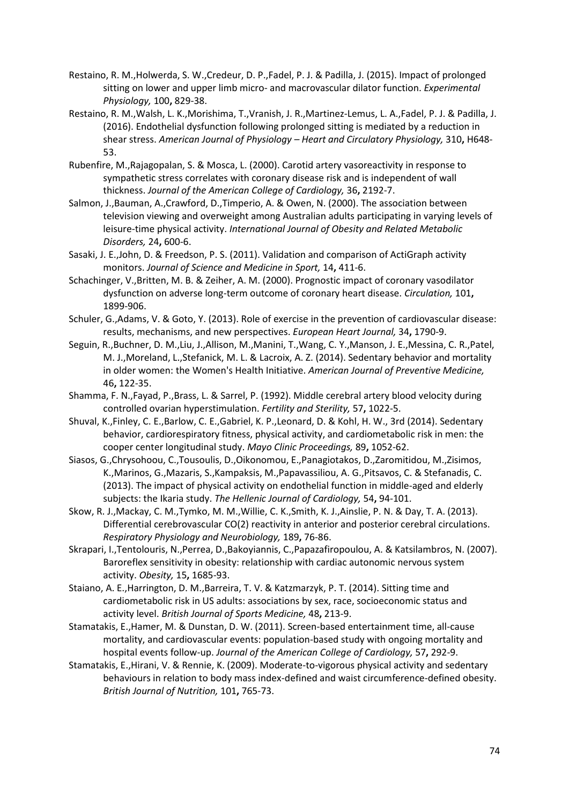- Restaino, R. M.,Holwerda, S. W.,Credeur, D. P.,Fadel, P. J. & Padilla, J. (2015). Impact of prolonged sitting on lower and upper limb micro- and macrovascular dilator function. *Experimental Physiology,* 100**,** 829-38.
- Restaino, R. M.,Walsh, L. K.,Morishima, T.,Vranish, J. R.,Martinez-Lemus, L. A.,Fadel, P. J. & Padilla, J. (2016). Endothelial dysfunction following prolonged sitting is mediated by a reduction in shear stress. *American Journal of Physiology – Heart and Circulatory Physiology,* 310**,** H648- 53.
- Rubenfire, M.,Rajagopalan, S. & Mosca, L. (2000). Carotid artery vasoreactivity in response to sympathetic stress correlates with coronary disease risk and is independent of wall thickness. *Journal of the American College of Cardiology,* 36**,** 2192-7.
- Salmon, J.,Bauman, A.,Crawford, D.,Timperio, A. & Owen, N. (2000). The association between television viewing and overweight among Australian adults participating in varying levels of leisure-time physical activity. *International Journal of Obesity and Related Metabolic Disorders,* 24**,** 600-6.
- Sasaki, J. E.,John, D. & Freedson, P. S. (2011). Validation and comparison of ActiGraph activity monitors. *Journal of Science and Medicine in Sport,* 14**,** 411-6.
- Schachinger, V.,Britten, M. B. & Zeiher, A. M. (2000). Prognostic impact of coronary vasodilator dysfunction on adverse long-term outcome of coronary heart disease. *Circulation,* 101**,** 1899-906.
- Schuler, G.,Adams, V. & Goto, Y. (2013). Role of exercise in the prevention of cardiovascular disease: results, mechanisms, and new perspectives. *European Heart Journal,* 34**,** 1790-9.
- Seguin, R.,Buchner, D. M.,Liu, J.,Allison, M.,Manini, T.,Wang, C. Y.,Manson, J. E.,Messina, C. R.,Patel, M. J.,Moreland, L.,Stefanick, M. L. & Lacroix, A. Z. (2014). Sedentary behavior and mortality in older women: the Women's Health Initiative. *American Journal of Preventive Medicine,* 46**,** 122-35.
- Shamma, F. N.,Fayad, P.,Brass, L. & Sarrel, P. (1992). Middle cerebral artery blood velocity during controlled ovarian hyperstimulation. *Fertility and Sterility,* 57**,** 1022-5.
- Shuval, K.,Finley, C. E.,Barlow, C. E.,Gabriel, K. P.,Leonard, D. & Kohl, H. W., 3rd (2014). Sedentary behavior, cardiorespiratory fitness, physical activity, and cardiometabolic risk in men: the cooper center longitudinal study. *Mayo Clinic Proceedings,* 89**,** 1052-62.
- Siasos, G.,Chrysohoou, C.,Tousoulis, D.,Oikonomou, E.,Panagiotakos, D.,Zaromitidou, M.,Zisimos, K.,Marinos, G.,Mazaris, S.,Kampaksis, M.,Papavassiliou, A. G.,Pitsavos, C. & Stefanadis, C. (2013). The impact of physical activity on endothelial function in middle-aged and elderly subjects: the Ikaria study. *The Hellenic Journal of Cardiology,* 54**,** 94-101.
- Skow, R. J.,Mackay, C. M.,Tymko, M. M.,Willie, C. K.,Smith, K. J.,Ainslie, P. N. & Day, T. A. (2013). Differential cerebrovascular CO(2) reactivity in anterior and posterior cerebral circulations. *Respiratory Physiology and Neurobiology,* 189**,** 76-86.
- Skrapari, I.,Tentolouris, N.,Perrea, D.,Bakoyiannis, C.,Papazafiropoulou, A. & Katsilambros, N. (2007). Baroreflex sensitivity in obesity: relationship with cardiac autonomic nervous system activity. *Obesity,* 15**,** 1685-93.
- Staiano, A. E.,Harrington, D. M.,Barreira, T. V. & Katzmarzyk, P. T. (2014). Sitting time and cardiometabolic risk in US adults: associations by sex, race, socioeconomic status and activity level. *British Journal of Sports Medicine,* 48**,** 213-9.
- Stamatakis, E.,Hamer, M. & Dunstan, D. W. (2011). Screen-based entertainment time, all-cause mortality, and cardiovascular events: population-based study with ongoing mortality and hospital events follow-up. *Journal of the American College of Cardiology,* 57**,** 292-9.
- Stamatakis, E.,Hirani, V. & Rennie, K. (2009). Moderate-to-vigorous physical activity and sedentary behaviours in relation to body mass index-defined and waist circumference-defined obesity. *British Journal of Nutrition,* 101**,** 765-73.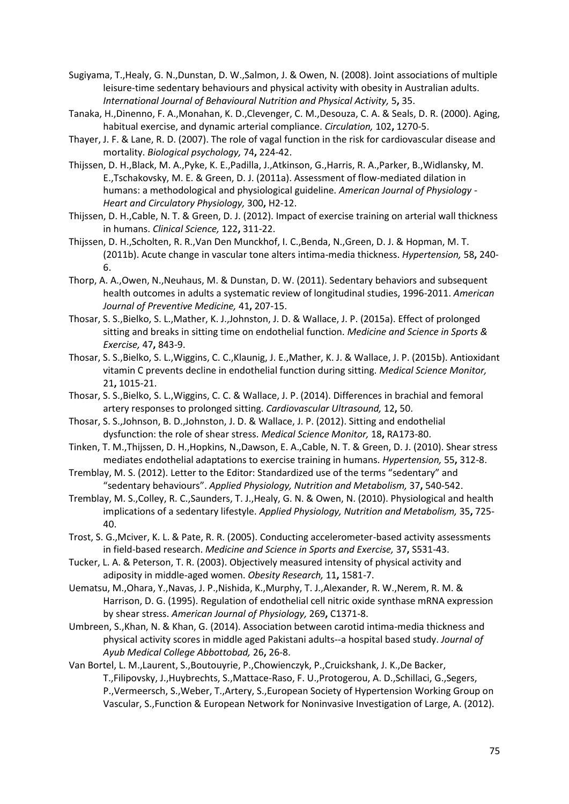- Sugiyama, T.,Healy, G. N.,Dunstan, D. W.,Salmon, J. & Owen, N. (2008). Joint associations of multiple leisure-time sedentary behaviours and physical activity with obesity in Australian adults. *International Journal of Behavioural Nutrition and Physical Activity,* 5**,** 35.
- Tanaka, H.,Dinenno, F. A.,Monahan, K. D.,Clevenger, C. M.,Desouza, C. A. & Seals, D. R. (2000). Aging, habitual exercise, and dynamic arterial compliance. *Circulation,* 102**,** 1270-5.
- Thayer, J. F. & Lane, R. D. (2007). The role of vagal function in the risk for cardiovascular disease and mortality. *Biological psychology,* 74**,** 224-42.
- Thijssen, D. H.,Black, M. A.,Pyke, K. E.,Padilla, J.,Atkinson, G.,Harris, R. A.,Parker, B.,Widlansky, M. E.,Tschakovsky, M. E. & Green, D. J. (2011a). Assessment of flow-mediated dilation in humans: a methodological and physiological guideline. *American Journal of Physiology - Heart and Circulatory Physiology,* 300**,** H2-12.
- Thijssen, D. H.,Cable, N. T. & Green, D. J. (2012). Impact of exercise training on arterial wall thickness in humans. *Clinical Science,* 122**,** 311-22.
- Thijssen, D. H.,Scholten, R. R.,Van Den Munckhof, I. C.,Benda, N.,Green, D. J. & Hopman, M. T. (2011b). Acute change in vascular tone alters intima-media thickness. *Hypertension,* 58**,** 240- 6.
- Thorp, A. A.,Owen, N.,Neuhaus, M. & Dunstan, D. W. (2011). Sedentary behaviors and subsequent health outcomes in adults a systematic review of longitudinal studies, 1996-2011. *American Journal of Preventive Medicine,* 41**,** 207-15.
- Thosar, S. S.,Bielko, S. L.,Mather, K. J.,Johnston, J. D. & Wallace, J. P. (2015a). Effect of prolonged sitting and breaks in sitting time on endothelial function. *Medicine and Science in Sports & Exercise,* 47**,** 843-9.
- Thosar, S. S.,Bielko, S. L.,Wiggins, C. C.,Klaunig, J. E.,Mather, K. J. & Wallace, J. P. (2015b). Antioxidant vitamin C prevents decline in endothelial function during sitting. *Medical Science Monitor,* 21**,** 1015-21.
- Thosar, S. S.,Bielko, S. L.,Wiggins, C. C. & Wallace, J. P. (2014). Differences in brachial and femoral artery responses to prolonged sitting. *Cardiovascular Ultrasound,* 12**,** 50.
- Thosar, S. S.,Johnson, B. D.,Johnston, J. D. & Wallace, J. P. (2012). Sitting and endothelial dysfunction: the role of shear stress. *Medical Science Monitor,* 18**,** RA173-80.
- Tinken, T. M.,Thijssen, D. H.,Hopkins, N.,Dawson, E. A.,Cable, N. T. & Green, D. J. (2010). Shear stress mediates endothelial adaptations to exercise training in humans. *Hypertension,* 55**,** 312-8.
- Tremblay, M. S. (2012). Letter to the Editor: Standardized use of the terms "sedentary" and "sedentary behaviours". *Applied Physiology, Nutrition and Metabolism,* 37**,** 540-542.
- Tremblay, M. S.,Colley, R. C.,Saunders, T. J.,Healy, G. N. & Owen, N. (2010). Physiological and health implications of a sedentary lifestyle. *Applied Physiology, Nutrition and Metabolism,* 35**,** 725- 40.
- Trost, S. G.,Mciver, K. L. & Pate, R. R. (2005). Conducting accelerometer-based activity assessments in field-based research. *Medicine and Science in Sports and Exercise,* 37**,** S531-43.
- Tucker, L. A. & Peterson, T. R. (2003). Objectively measured intensity of physical activity and adiposity in middle-aged women. *Obesity Research,* 11**,** 1581-7.
- Uematsu, M.,Ohara, Y.,Navas, J. P.,Nishida, K.,Murphy, T. J.,Alexander, R. W.,Nerem, R. M. & Harrison, D. G. (1995). Regulation of endothelial cell nitric oxide synthase mRNA expression by shear stress. *American Journal of Physiology,* 269**,** C1371-8.
- Umbreen, S.,Khan, N. & Khan, G. (2014). Association between carotid intima-media thickness and physical activity scores in middle aged Pakistani adults--a hospital based study. *Journal of Ayub Medical College Abbottobad,* 26**,** 26-8.
- Van Bortel, L. M.,Laurent, S.,Boutouyrie, P.,Chowienczyk, P.,Cruickshank, J. K.,De Backer, T.,Filipovsky, J.,Huybrechts, S.,Mattace-Raso, F. U.,Protogerou, A. D.,Schillaci, G.,Segers, P.,Vermeersch, S.,Weber, T.,Artery, S.,European Society of Hypertension Working Group on Vascular, S.,Function & European Network for Noninvasive Investigation of Large, A. (2012).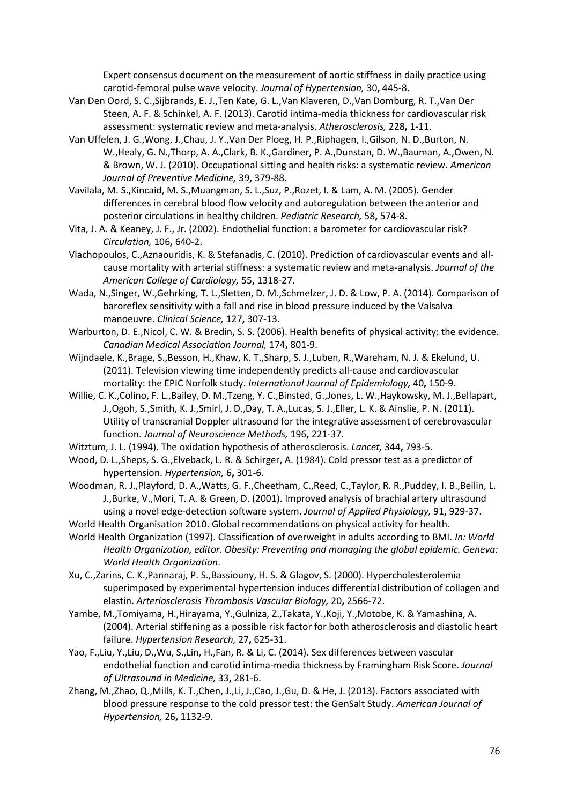Expert consensus document on the measurement of aortic stiffness in daily practice using carotid-femoral pulse wave velocity. *Journal of Hypertension,* 30**,** 445-8.

- Van Den Oord, S. C.,Sijbrands, E. J.,Ten Kate, G. L.,Van Klaveren, D.,Van Domburg, R. T.,Van Der Steen, A. F. & Schinkel, A. F. (2013). Carotid intima-media thickness for cardiovascular risk assessment: systematic review and meta-analysis. *Atherosclerosis,* 228**,** 1-11.
- Van Uffelen, J. G.,Wong, J.,Chau, J. Y.,Van Der Ploeg, H. P.,Riphagen, I.,Gilson, N. D.,Burton, N. W.,Healy, G. N.,Thorp, A. A.,Clark, B. K.,Gardiner, P. A.,Dunstan, D. W.,Bauman, A.,Owen, N. & Brown, W. J. (2010). Occupational sitting and health risks: a systematic review. *American Journal of Preventive Medicine,* 39**,** 379-88.
- Vavilala, M. S.,Kincaid, M. S.,Muangman, S. L.,Suz, P.,Rozet, I. & Lam, A. M. (2005). Gender differences in cerebral blood flow velocity and autoregulation between the anterior and posterior circulations in healthy children. *Pediatric Research,* 58**,** 574-8.
- Vita, J. A. & Keaney, J. F., Jr. (2002). Endothelial function: a barometer for cardiovascular risk? *Circulation,* 106**,** 640-2.
- Vlachopoulos, C.,Aznaouridis, K. & Stefanadis, C. (2010). Prediction of cardiovascular events and allcause mortality with arterial stiffness: a systematic review and meta-analysis. *Journal of the American College of Cardiology,* 55**,** 1318-27.
- Wada, N.,Singer, W.,Gehrking, T. L.,Sletten, D. M.,Schmelzer, J. D. & Low, P. A. (2014). Comparison of baroreflex sensitivity with a fall and rise in blood pressure induced by the Valsalva manoeuvre. *Clinical Science,* 127**,** 307-13.
- Warburton, D. E.,Nicol, C. W. & Bredin, S. S. (2006). Health benefits of physical activity: the evidence. *Canadian Medical Association Journal,* 174**,** 801-9.
- Wijndaele, K.,Brage, S.,Besson, H.,Khaw, K. T.,Sharp, S. J.,Luben, R.,Wareham, N. J. & Ekelund, U. (2011). Television viewing time independently predicts all-cause and cardiovascular mortality: the EPIC Norfolk study. *International Journal of Epidemiology,* 40**,** 150-9.
- Willie, C. K.,Colino, F. L.,Bailey, D. M.,Tzeng, Y. C.,Binsted, G.,Jones, L. W.,Haykowsky, M. J.,Bellapart, J.,Ogoh, S.,Smith, K. J.,Smirl, J. D.,Day, T. A.,Lucas, S. J.,Eller, L. K. & Ainslie, P. N. (2011). Utility of transcranial Doppler ultrasound for the integrative assessment of cerebrovascular function. *Journal of Neuroscience Methods,* 196**,** 221-37.
- Witztum, J. L. (1994). The oxidation hypothesis of atherosclerosis. *Lancet,* 344**,** 793-5.
- Wood, D. L.,Sheps, S. G.,Elveback, L. R. & Schirger, A. (1984). Cold pressor test as a predictor of hypertension. *Hypertension,* 6**,** 301-6.
- Woodman, R. J.,Playford, D. A.,Watts, G. F.,Cheetham, C.,Reed, C.,Taylor, R. R.,Puddey, I. B.,Beilin, L. J.,Burke, V.,Mori, T. A. & Green, D. (2001). Improved analysis of brachial artery ultrasound using a novel edge-detection software system. *Journal of Applied Physiology,* 91**,** 929-37.
- World Health Organisation 2010. Global recommendations on physical activity for health. World Health Organization (1997). Classification of overweight in adults according to BMI. *In: World*
- *Health Organization, editor. Obesity: Preventing and managing the global epidemic. Geneva: World Health Organization*.
- Xu, C.,Zarins, C. K.,Pannaraj, P. S.,Bassiouny, H. S. & Glagov, S. (2000). Hypercholesterolemia superimposed by experimental hypertension induces differential distribution of collagen and elastin. *Arteriosclerosis Thrombosis Vascular Biology,* 20**,** 2566-72.
- Yambe, M.,Tomiyama, H.,Hirayama, Y.,Gulniza, Z.,Takata, Y.,Koji, Y.,Motobe, K. & Yamashina, A. (2004). Arterial stiffening as a possible risk factor for both atherosclerosis and diastolic heart failure. *Hypertension Research,* 27**,** 625-31.
- Yao, F.,Liu, Y.,Liu, D.,Wu, S.,Lin, H.,Fan, R. & Li, C. (2014). Sex differences between vascular endothelial function and carotid intima-media thickness by Framingham Risk Score. *Journal of Ultrasound in Medicine,* 33**,** 281-6.
- Zhang, M.,Zhao, Q.,Mills, K. T.,Chen, J.,Li, J.,Cao, J.,Gu, D. & He, J. (2013). Factors associated with blood pressure response to the cold pressor test: the GenSalt Study. *American Journal of Hypertension,* 26**,** 1132-9.